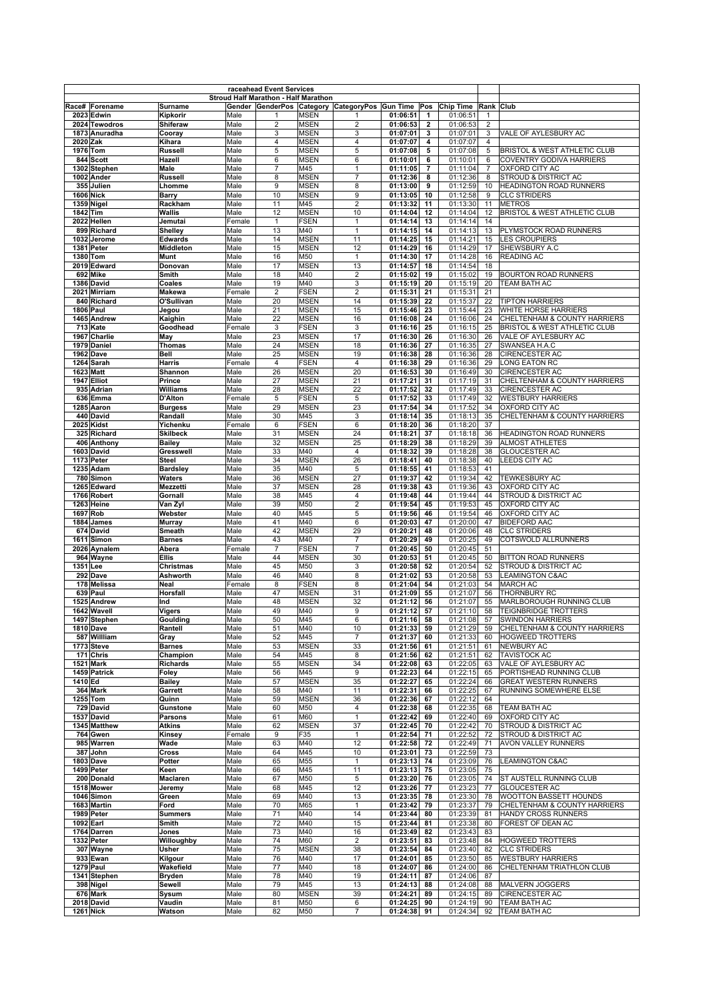|                               |                      |                | raceahead Event Services                    |                            |                                                    |                      |                          |                      |                |                                          |
|-------------------------------|----------------------|----------------|---------------------------------------------|----------------------------|----------------------------------------------------|----------------------|--------------------------|----------------------|----------------|------------------------------------------|
|                               |                      |                | <b>Stroud Half Marathon - Half Marathon</b> |                            |                                                    |                      |                          |                      |                |                                          |
| Race# Forename                | Surname              |                |                                             |                            | Gender GenderPos Category CategoryPos Gun Time Pos |                      |                          | <b>Chip Time</b>     | Rank Club      |                                          |
| 2023 Edwin<br>2024 Tewodros   | Kipkorir<br>Shiferaw | Male<br>Male   | 1<br>2                                      | <b>MSEN</b><br><b>MSEN</b> | 1<br>$\overline{2}$                                | 01:06:51<br>01:06:53 | $\mathbf{1}$<br>2        | 01:06:51<br>01:06:53 | 1<br>2         |                                          |
| 1873 Anuradha                 | Cooray               | Male           | 3                                           | <b>MSEN</b>                | 3                                                  | 01:07:01             | 3                        | 01:07:01             | 3              | VALE OF AYLESBURY AC                     |
| 2020 Zak                      | Kihara               | Male           | $\overline{4}$                              | <b>MSEN</b>                | $\overline{4}$                                     | 01:07:07             | 4                        | 01:07:07             | $\overline{4}$ |                                          |
| 1976 Tom                      | <b>Russell</b>       | Male           | 5                                           | <b>MSEN</b>                | $\sqrt{5}$                                         | 01:07:08             | 5                        | 01:07:08             | 5              | BRISTOL & WEST ATHLETIC CLUB             |
| 844 Scott                     | Hazell               | Male           | 6                                           | <b>MSEN</b>                | 6                                                  | 01:10:01             | 6                        | 01:10:01             | 6              | <b>COVENTRY GODIVA HARRIERS</b>          |
| 1302 Stephen                  | Male                 | Male           | $\overline{7}$                              | M45                        | $\mathbf{1}$                                       | 01:11:05             | $\overline{\phantom{a}}$ | 01:11:04             | $\overline{7}$ | OXFORD CITY AC                           |
| 1002 Ander                    | Russell              | Male           | 8                                           | <b>MSEN</b>                | $\overline{7}$                                     | 01:12:36             | 8                        | 01:12:36             | 8              | STROUD & DISTRICT AC                     |
| 355 Julien                    | Lhomme               | Male           | 9                                           | <b>MSEN</b>                | 8                                                  | 01:13:00             | 9                        | 01:12:59             | 10             | HEADINGTON ROAD RUNNERS                  |
| <b>1606 Nick</b>              | <b>Barry</b>         | Male           | 10                                          | <b>MSEN</b>                | 9                                                  | 01:13:05             | 10                       | 01:12:58             | 9              | <b>CLC STRIDERS</b>                      |
| 1359 Nigel                    | Rackham              | Male           | 11                                          | M45                        | $\overline{2}$                                     | 01:13:32             | 11                       | 01:13:30             | 11             | <b>METROS</b>                            |
| 1842 Tim                      | Wallis               | Male           | 12                                          | <b>MSEN</b>                | 10                                                 | 01:14:04             | 12                       | 01:14:04             | 12             | <b>BRISTOL &amp; WEST ATHLETIC CLUB</b>  |
| 2022 Hellen                   | Jemutai              | Female         | $\mathbf{1}$                                | <b>FSEN</b>                | $\mathbf{1}$                                       | 01:14:14             | 13                       | 01:14:14             | 14             |                                          |
| 899 Richard                   | Shelley              | Male           | 13                                          | M40                        | $\mathbf{1}$                                       | 01:14:15             | 14                       | 01:14:13             | 13             | PLYMSTOCK ROAD RUNNERS                   |
| 1032 Jerome                   | <b>Edwards</b>       | Male           | 14                                          | <b>MSEN</b>                | 11                                                 | 01:14:25             | 15                       | 01:14:21             | 15             | <b>LES CROUPIERS</b>                     |
| 1381 Peter                    | Middleton            | Male           | 15                                          | <b>MSEN</b>                | 12                                                 | 01:14:29             | 16                       | 01:14:29             | 17             | SHEWSBURY A.C                            |
| 1380 Tom                      | Munt                 | Male           | 16                                          | M50                        | $\mathbf{1}$                                       | 01:14:30             | 17                       | 01:14:28             | 16             | <b>READING AC</b>                        |
| 2019 Edward                   | Donovan              | Male           | 17                                          | <b>MSEN</b>                | 13                                                 | 01:14:57             | 18                       | 01:14:54             | 18             |                                          |
| 692 Mike                      | Smith                | Male           | 18                                          | M40                        | $\overline{2}$                                     | 01:15:02             | 19                       | 01:15:02             | 19             | <b>BOURTON ROAD RUNNERS</b>              |
| 1386 David                    | Coales               | Male           | 19                                          | M40                        | 3                                                  | 01:15:19             | 20                       | 01:15:19             | 20             | TEAM BATH AC                             |
| 2021 Mirriam<br>840 Richard   | Makewa<br>O'Sullivan | Female<br>Male | $\overline{2}$<br>20                        | <b>FSEN</b><br><b>MSEN</b> | $\overline{2}$<br>14                               | 01:15:31<br>01:15:39 | 21<br>22                 | 01:15:31<br>01:15:37 | 21<br>22       | <b>TIPTON HARRIERS</b>                   |
| 1806 Paul                     | Jegou                | Male           | 21                                          | <b>MSEN</b>                | 15                                                 | 01:15:46             | 23                       | 01:15:44             | 23             | WHITE HORSE HARRIERS                     |
| 1465 Andrew                   | Kaighin              | Male           | 22                                          | <b>MSEN</b>                | 16                                                 | 01:16:08             | 24                       | 01:16:06             | 24             | CHELTENHAM & COUNTY HARRIERS             |
| 713 Kate                      | Goodhead             | Female         | 3                                           | <b>FSEN</b>                | $\mathsf 3$                                        | 01:16:16             | 25                       | 01:16:15             | 25             | BRISTOL & WEST ATHLETIC CLUB             |
| 1967 Charlie                  | May                  | Male           | 23                                          | <b>MSEN</b>                | 17                                                 | 01:16:30             | 26                       | 01:16:30             | 26             | VALE OF AYLESBURY AC                     |
| 1979 Daniel                   | Thomas               | Male           | 24                                          | <b>MSEN</b>                | 18                                                 | 01:16:36             | 27                       | 01:16:35             | 27             | SWANSEA H.A.C                            |
| 1962 Dave                     | Bell                 | Male           | 25                                          | <b>MSEN</b>                | 19                                                 | 01:16:38             | 28                       | 01:16:36             | 28             | <b>CIRENCESTER AC</b>                    |
| 1264 Sarah                    | Harris               | Female         | 4                                           | <b>FSEN</b>                | $\overline{4}$                                     | 01:16:38             | 29                       | 01:16:36             | 29             | <b>LONG EATON RC</b>                     |
| 1623 Matt                     | Shannon              | Male           | 26                                          | <b>MSEN</b>                | 20                                                 | 01:16:53             | 30                       | 01:16:49             | 30             | CIRENCESTER AC                           |
| 1947 Elliot                   | Prince               | Male           | 27                                          | <b>MSEN</b>                | 21                                                 | 01:17:21             | 31                       | 01:17:19             | 31             | CHELTENHAM & COUNTY HARRIERS             |
| 935 Adrian                    | Williams             | Male           | 28                                          | <b>MSEN</b>                | 22                                                 | 01:17:52             | 32                       | 01:17:49             | 33             | CIRENCESTER AC                           |
| 636 Emma                      | D'Alton              | Female         | $\sqrt{5}$                                  | <b>FSEN</b>                | $\sqrt{5}$                                         | 01:17:52             | 33                       | 01:17:49             | 32             | <b>WESTBURY HARRIERS</b>                 |
| 1285 Aaron                    | <b>Burgess</b>       | Male           | 29                                          | <b>MSEN</b>                | 23                                                 | 01:17:54             | 34                       | 01:17:52             | 34             | OXFORD CITY AC                           |
| 440 David                     | Randall              | Male           | 30                                          | M45                        | 3                                                  | 01:18:14             | 35                       | 01:18:13             | 35             | CHELTENHAM & COUNTY HARRIERS             |
| 2025 Kidst                    | Yichenku             | Female         | 6                                           | <b>FSEN</b>                | 6                                                  | 01:18:20             | 36                       | 01:18:20             | 37             |                                          |
| 325 Richard                   | <b>Skilbeck</b>      | Male           | 31                                          | <b>MSEN</b>                | 24                                                 | 01:18:21             | 37                       | 01:18:18             | 36             | <b>HEADINGTON ROAD RUNNERS</b>           |
| 406 Anthony                   | <b>Bailey</b>        | Male           | 32                                          | <b>MSEN</b>                | 25                                                 | 01:18:29             | 38                       | 01:18:29             | 39             | <b>ALMOST ATHLETES</b>                   |
| 1603 David                    | Gresswell            | Male           | 33                                          | M40                        | $\overline{4}$                                     | 01:18:32             | 39                       | 01:18:28             | 38             | GLOUCESTER AC                            |
| 1173 Peter                    | Steel                | Male           | 34                                          | <b>MSEN</b>                | 26                                                 | 01:18:41             | 40                       | 01:18:38             | 40             | <b>LEEDS CITY AC</b>                     |
| 1235 Adam                     | <b>Bardsley</b>      | Male           | 35<br>36                                    | M40                        | 5                                                  | 01:18:55             | 41<br>42                 | 01:18:53             | 41<br>42       |                                          |
| 780 Simon<br>1265 Edward      | Waters<br>Mezzetti   | Male<br>Male   | 37                                          | <b>MSEN</b><br><b>MSEN</b> | 27<br>28                                           | 01:19:37<br>01:19:38 | 43                       | 01:19:34<br>01:19:36 | 43             | TEWKESBURY AC<br>OXFORD CITY AC          |
| 1766 Robert                   | Gornall              | Male           | 38                                          | M45                        | $\overline{4}$                                     | 01:19:48             | 44                       | 01:19:44             | 44             | STROUD & DISTRICT AC                     |
| 1263 Heine                    | Van Zyl              | Male           | 39                                          | M50                        | $\boldsymbol{2}$                                   | 01:19:54             | 45                       | 01:19:53             | 45             | OXFORD CITY AC                           |
| 1697 Rob                      | Webster              | Male           | 40                                          | M45                        | 5                                                  | 01:19:56             | 46                       | 01:19:54             | 46             | OXFORD CITY AC                           |
| 1884 James                    | Murray               | Male           | 41                                          | M40                        | 6                                                  | 01:20:03             | 47                       | 01:20:00             | 47             | <b>BIDEFORD AAC</b>                      |
| 674 David                     | Smeath               | Male           | 42                                          | <b>MSEN</b>                | 29                                                 | 01:20:21             | 48                       | 01:20:06             | 48             | <b>CLC STRIDERS</b>                      |
| 1611 Simon                    | <b>Barnes</b>        | Male           | 43                                          | M40                        | $\overline{7}$                                     | 01:20:29             | 49                       | 01:20:25             | 49             | <b>COTSWOLD ALLRUNNERS</b>               |
| 2026 Aynalem                  | Abera                | Female         | $\overline{7}$                              | <b>FSEN</b>                | $\overline{7}$                                     | 01:20:45             | 50                       | 01:20:45             | 51             |                                          |
| 964 Wayne                     | Ellis                | Male           | 44                                          | <b>MSEN</b>                | 30                                                 | 01:20:53             | 51                       | 01:20:45             | 50             | <b>BITTON ROAD RUNNERS</b>               |
| 1351 Lee                      | Christmas            | Male           | 45                                          | M50                        | 3                                                  | 01:20:58             | 52                       | 01:20:54             | 52             | STROUD & DISTRICT AC                     |
| 292 Dave                      | Ashworth             | Male           | 46                                          | M40                        | 8                                                  | 01:21:02             | 53                       | 01:20:58             | 53             | <b>LEAMINGTON C&amp;AC</b>               |
| 178 Melissa                   | Neal                 | Female         | 8                                           | <b>FSEN</b>                | 8                                                  | 01:21:04             | 54                       | 01:21:03             | 54             | <b>MARCH AC</b>                          |
| 639 Paul                      | Horsfall             | Male           | 47                                          | MSEN                       | 31                                                 | 01:21:09             | 55                       | 01:21:07             | 56             | THORNBURY RC                             |
| 1525 Andrew                   | Ind                  | Male           | 48                                          | <b>MSEN</b>                | 32                                                 | 01:21:12             | 56                       | 01:21:07             | 55             | MARLBOROUGH RUNNING CLUB                 |
| 1642 Wavell                   | Vigers               | Male           | 49                                          | M40                        | 9                                                  | 01:21:12             | 57                       | 01:21:10             | 58             | <b>TEIGNBRIDGE TROTTERS</b>              |
| 1497 Stephen                  | Goulding             | Male           | 50                                          | M45                        | 6                                                  | 01:21:16 58          |                          | 01:21:08             |                | <b>SWINDON HARRIERS</b>                  |
| 1810 Dave                     | Rantell              | Male           | 51                                          | M40                        | 10                                                 | 01:21:33             | 59                       | 01:21:29             | 59             | CHELTENHAM & COUNTY HARRIERS             |
| 587 Willliam                  | Gray                 | Male           | 52                                          | M45                        | $\overline{7}$                                     | 01:21:37             | 60                       | 01:21:33             | 60             | <b>HOGWEED TROTTERS</b>                  |
| 1773 Steve                    | <b>Barnes</b>        | Male           | 53                                          | <b>MSEN</b>                | 33                                                 | 01:21:56             | 61                       | 01:21:51             | 61             | <b>NEWBURY AC</b><br><b>TAVISTOCK AC</b> |
| 171 Chris<br><b>1521 Mark</b> | Champion<br>Richards | Male<br>Male   | 54<br>55                                    | M45<br><b>MSEN</b>         | 8<br>34                                            | 01:21:56<br>01:22:08 | 62<br>63                 | 01:21:51<br>01:22:05 | 62<br>63       | VALE OF AYLESBURY AC                     |
| 1459 Patrick                  | Foley                | Male           | 56                                          | M45                        | $\boldsymbol{9}$                                   | 01:22:23             | 64                       | 01:22:15             | 65             | PORTISHEAD RUNNING CLUB                  |
| 1410 Ed                       | <b>Bailey</b>        | Male           | 57                                          | <b>MSEN</b>                | 35                                                 | 01:22:27             | 65                       | 01:22:24             | 66             | <b>GREAT WESTERN RUNNERS</b>             |
| 364 Mark                      | Garrett              | Male           | 58                                          | M40                        | 11                                                 | 01:22:31             | 66                       | 01:22:25             | 67             | RUNNING SOMEWHERE ELSE                   |
| 1255 Tom                      | Quinn                | Male           | 59                                          | <b>MSEN</b>                | 36                                                 | 01:22:36             | 67                       | 01:22:12             | 64             |                                          |
| 729 David                     | Gunstone             | Male           | 60                                          | M50                        | 4                                                  | 01:22:38             | 68                       | 01:22:35             | 68             | TEAM BATH AC                             |
| 1537 David                    | <b>Parsons</b>       | Male           | 61                                          | M60                        | $\mathbf{1}$                                       | 01:22:42             | 69                       | 01:22:40             | 69             | OXFORD CITY AC                           |
| 1345 Matthew                  | Atkins               | Male           | 62                                          | <b>MSEN</b>                | 37                                                 | 01:22:45             | 70                       | 01:22:42             | 70             | STROUD & DISTRICT AC                     |
| 764 Gwen                      | Kinsey               | Female         | 9                                           | F35                        | $\mathbf{1}$                                       | 01:22:54             | 71                       | 01:22:52             | 72             | STROUD & DISTRICT AC                     |
| 985 Warren                    | Wade                 | Male           | 63                                          | M40                        | 12                                                 | 01:22:58             | 72                       | 01:22:49             | 71             | AVON VALLEY RUNNERS                      |
| 387 John                      | Cross                | Male           | 64                                          | M45                        | 10                                                 | 01:23:01             | 73                       | 01:22:59             | 73             |                                          |
| 1803 Dave                     | Potter               | Male           | 65                                          | M55                        | $\mathbf{1}$                                       | 01:23:13             | 74                       | 01:23:09             | 76             | <b>LEAMINGTON C&amp;AC</b>               |
| 1499 Peter                    | Keen                 | Male           | 66                                          | M45                        | 11                                                 | 01:23:13 75          |                          | 01:23:05             | 75             |                                          |
| 200 Donald                    | Maclaren             | Male           | 67                                          | M50                        | 5                                                  | 01:23:20 76          |                          | 01:23:05             | 74             | ST AUSTELL RUNNING CLUB                  |
| 1518 Mower                    | Jeremy               | Male           | 68                                          | M45                        | 12                                                 | 01:23:26             | 77                       | 01:23:23             | 77             | <b>GLOUCESTER AC</b>                     |
| 1046 Simon                    | Green                | Male           | 69                                          | M40                        | 13                                                 | 01:23:35             | 78                       | 01:23:30             | 78             | WOOTTON BASSETT HOUNDS                   |
| 1683 Martin                   | Ford                 | Male           | 70<br>71                                    | M65                        | $\mathbf{1}$<br>14                                 | 01:23:42<br>01:23:44 | 79                       | 01:23:37             | 79<br>81       | CHELTENHAM & COUNTY HARRIERS             |
| 1989 Peter<br>1092 Earl       | Summers<br>Smith     | Male<br>Male   | 72                                          | M40<br>M40                 | 15                                                 | 01:23:44             | 80<br>81                 | 01:23:39<br>01:23:38 | 80             | HANDY CROSS RUNNERS<br>FOREST OF DEAN AC |
| 1764 Darren                   | Jones                | Male           | 73                                          | M40                        | 16                                                 | 01:23:49             | 82                       | 01:23:43             | 83             |                                          |
| 1332 Peter                    | Willoughby           | Male           | 74                                          | M60                        | $\sqrt{2}$                                         | 01:23:51             | 83                       | 01:23:48             | 84             | <b>HOGWEED TROTTERS</b>                  |
| 307 Wayne                     | Usher                | Male           | 75                                          | <b>MSEN</b>                | 38                                                 | 01:23:54             | 84                       | 01:23:40             | 82             | <b>CLC STRIDERS</b>                      |
| 933 Ewan                      | Kilgour              | Male           | 76                                          | M40                        | 17                                                 | 01:24:01             | 85                       | 01:23:50             | 85             | <b>WESTBURY HARRIERS</b>                 |
| 1279 Paul                     | Wakefield            | Male           | 77                                          | M40                        | 18                                                 | 01:24:07             | 86                       | 01:24:00             | 86             | CHELTENHAM TRIATHLON CLUB                |
| 1341 Stephen                  | Bryden               | Male           | 78                                          | M40                        | 19                                                 | 01:24:11             | 87                       | 01:24:06             | 87             |                                          |
| 398 Nigel                     | Sewell               | Male           | 79                                          | M45                        | 13                                                 | 01:24:13             | 88                       | 01:24:08             | 88             | MALVERN JOGGERS                          |
| 676 Mark                      | Sysum                | Male           | 80                                          | <b>MSEN</b>                | 39                                                 | 01:24:21             | 89                       | 01:24:15             | 89             | CIRENCESTER AC                           |
| 2018 David                    | Vaudin               | Male           | 81                                          | M50                        | 6                                                  | 01:24:25             | 90                       | 01:24:19             | 90             | TEAM BATH AC                             |
| <b>1261 Nick</b>              | Watson               | Male           | 82                                          | M50                        | 7                                                  | 01:24:38             | 91                       | 01:24:34             | 92             | <b>TEAM BATH AC</b>                      |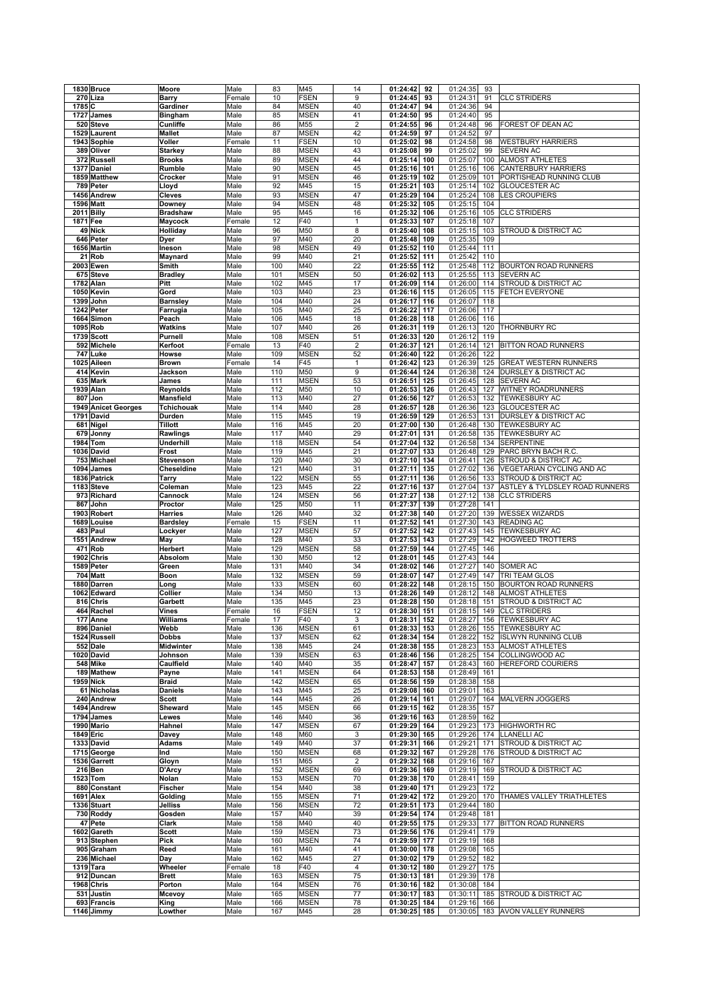|          | 1830 Bruce                | Moore             | Male         | 83         | M45                | 14              | 01:24:42             | 92         | 01:24:35             | 93  |                                  |
|----------|---------------------------|-------------------|--------------|------------|--------------------|-----------------|----------------------|------------|----------------------|-----|----------------------------------|
|          | 270 Liza                  | Barry             | Female       | 10         | <b>FSEN</b>        | 9               | 01:24:45             | 93         | 01:24:31             | 91  | <b>CLC STRIDERS</b>              |
| 1785 C   |                           | Gardiner          | Male         | 84         | <b>MSEN</b>        | 40              | 01:24:47             | 94         | 01:24:36             | 94  |                                  |
|          | 1727 James                |                   |              |            | <b>MSEN</b>        |                 | 01:24:50             |            | 01:24:40             | 95  |                                  |
|          |                           | <b>Bingham</b>    | Male         | 85         |                    | 41              |                      | 95         |                      |     |                                  |
|          | 520 Steve                 | Cunliffe          | Male         | 86         | M55                | $\overline{2}$  | 01:24:55             | 96         | 01:24:48             | 96  | FOREST OF DEAN AC                |
|          | 1529 Laurent              | <b>Mallet</b>     | Male         | 87         | <b>MSEN</b>        | 42              | 01:24:59             | 97         | 01:24:52             | 97  |                                  |
|          | 1943 Sophie               | Voller            | Female       | 11         | <b>FSEN</b>        | 10              | 01:25:02             | 98         | 01:24:58             | 98  | <b>WESTBURY HARRIERS</b>         |
|          | 389 Oliver                | <b>Starkey</b>    | Male         | 88         | <b>MSEN</b>        | 43              | 01:25:08             | 99         | 01:25:02             | 99  | <b>SEVERN AC</b>                 |
|          | 372 Russell               | <b>Brooks</b>     | Male         | 89         | <b>MSEN</b>        | 44              | 01:25:14             | 100        | 01:25:07             | 100 | <b>ALMOST ATHLETES</b>           |
|          | 1377 Daniel               | Rumble            | Male         | 90         | <b>MSEN</b>        | 45              | 01:25:16             | 101        | 01:25:16             | 106 | <b>CANTERBURY HARRIERS</b>       |
|          |                           |                   |              |            |                    |                 |                      |            |                      |     |                                  |
|          | 1859 Matthew              | Crocker           | Male         | 91         | <b>MSEN</b>        | 46              | 01:25:19             | 102        | 01:25:09             | 101 | PORTISHEAD RUNNING CLUB          |
|          | 789 Peter                 | Lloyd             | Male         | 92         | M45                | 15              | 01:25:21             | 103        | 01:25:14             | 102 | <b>GLOUCESTER AC</b>             |
|          | 1456 Andrew               | Cleves            | Male         | 93         | <b>MSEN</b>        | 47              | 01:25:29             | 104        | 01:25:24             | 108 | <b>LES CROUPIERS</b>             |
|          | 1596 Matt                 | Downey            | Male         | 94         | <b>MSEN</b>        | 48              | 01:25:32             | 105        | 01:25:15             | 104 |                                  |
|          | 2011 Billy                | <b>Bradshaw</b>   | Male         | 95         | M45                | 16              | 01:25:32             | 106        | 01:25:16             | 105 | <b>CLC STRIDERS</b>              |
|          |                           |                   | Female       |            | F40                |                 | 01:25:33             | 107        |                      |     |                                  |
| 1871 Fee |                           | Maycock           |              | 12         |                    | $\mathbf{1}$    |                      |            | 01:25:18             | 107 |                                  |
|          | 49 Nick                   | Holliday          | Male         | 96         | M50                | 8               | 01:25:40             | 108        | 01:25:15             | 103 | <b>STROUD &amp; DISTRICT AC</b>  |
|          | 646 Peter                 | Dyer              | Male         | 97         | M40                | 20              | 01:25:48             | 109        | 01:25:35             | 109 |                                  |
|          | 1656 Martin               | Ineson            | Male         | 98         | <b>MSEN</b>        | 49              | 01:25:52             | 110        | 01:25:44             | 111 |                                  |
|          | 21 Rob                    | Maynard           | Male         | 99         | M40                | 21              | 01:25:52             | 111        | 01:25:42             | 110 |                                  |
|          | <b>2003 Ewen</b>          | Smith             | Male         | 100        | M40                | 22              | 01:25:55             | 112        | 01:25:48             |     | 112 BOURTON ROAD RUNNERS         |
|          |                           |                   |              |            |                    |                 |                      |            |                      |     |                                  |
|          | 675 Steve                 | <b>Bradley</b>    | Male         | 101        | <b>MSEN</b>        | 50              | 01:26:02             | 113        | 01:25:55             | 113 | <b>SEVERN AC</b>                 |
|          | 1782 Alan                 | Pitt              | Male         | 102        | M45                | 17              | 01:26:09             | 114        | 01:26:00             | 114 | <b>STROUD &amp; DISTRICT AC</b>  |
|          | 1050 Kevin                | Gord              | Male         | 103        | M40                | 23              | 01:26:16             | 115        | 01:26:05             | 115 | <b>FETCH EVERYONE</b>            |
|          | 1399 John                 | <b>Barnsley</b>   | Male         | 104        | M40                | 24              | 01:26:17             | 116        | 01:26:07             | 118 |                                  |
|          | 1242 Peter                | Farrugia          | Male         | 105        | M40                | 25              | 01:26:22             | 117        | 01:26:06             | 117 |                                  |
|          | 1664 Simon                | Peach             | Male         | 106        | M45                | 18              | 01:26:28             | 118        | 01:26:06             | 116 |                                  |
|          |                           |                   |              |            |                    |                 |                      |            | 01:26:13             |     |                                  |
|          | 1095 Rob                  | Watkins           | Male         | 107        | M40                | 26              | 01:26:31             | 119        |                      | 120 | THORNBURY RC                     |
|          | 1739 Scott                | Purnell           | Male         | 108        | <b>MSEN</b>        | 51              | 01:26:33             | 120        | 01:26:12             | 119 |                                  |
|          | 592 Michele               | Kerfoot           | Female       | 13         | F40                | $\overline{2}$  | 01:26:37             | 121        | 01:26:14             | 121 | <b>BITTON ROAD RUNNERS</b>       |
|          | 747 Luke                  | Howse             | Male         | 109        | <b>MSEN</b>        | 52              | 01:26:40             | 122        | 01:26:26             | 122 |                                  |
|          | 1025 Aileen               | <b>Brown</b>      | Female       | 14         | F45                | 1               | 01:26:42             | 123        | 01:26:39             | 125 | <b>GREAT WESTERN RUNNERS</b>     |
|          | 414 Kevin                 | Jackson           | Male         | 110        | M50                | 9               | 01:26:44             | 124        | 01:26:38             | 124 | <b>DURSLEY &amp; DISTRICT AC</b> |
|          |                           |                   |              |            |                    |                 |                      |            |                      |     |                                  |
|          | 635 Mark                  | James             | Male         | 111        | <b>MSEN</b>        | 53              | 01:26:51             | 125        | 01:26:45             | 128 | <b>SEVERN AC</b>                 |
|          | 1939 Alan                 | Reynolds          | Male         | 112        | M50                | 10              | 01:26:53             | 126        | 01:26:43             | 127 | WITNEY ROADRUNNERS               |
|          | 807 Jon                   | <b>Mansfield</b>  | Male         | 113        | M40                | 27              | 01:26:56             | 127        | 01:26:53             | 132 | <b>TEWKESBURY AC</b>             |
|          | 1949 Anicet Georges       | <b>Tchichouak</b> | Male         | 114        | M40                | 28              | 01:26:57             | 128        | 01:26:36             | 123 | <b>GLOUCESTER AC</b>             |
|          | 1791 David                | Durden            | Male         | 115        | M45                | 19              | 01:26:59             | 129        | 01:26:53             | 131 | <b>DURSLEY &amp; DISTRICT AC</b> |
|          |                           |                   |              |            | M45                |                 |                      | 130        |                      | 130 | <b>TEWKESBURY AC</b>             |
|          | 681 Nigel                 | <b>Tillott</b>    | Male         | 116        |                    | 20              | 01:27:00             |            | 01:26:48             |     |                                  |
|          | 679 Jonny                 | Rawlings          | Male         | 117        | M40                | 29              | 01:27:01             | 131        | 01:26:58             | 135 | <b>TEWKESBURY AC</b>             |
|          | 1984 Tom                  | Underhill         | Male         | 118        | <b>MSEN</b>        | 54              | 01:27:04             | 132        | 01:26:58             | 134 | <b>SERPENTINE</b>                |
|          | 1036 David                | Frost             | Male         | 119        | M45                | 21              | 01:27:07             | 133        | 01:26:48             | 129 | PARC BRYN BACH R.C.              |
|          | 753 Michael               | Stevenson         | Male         | 120        | M40                | 30              | 01:27:10             | 134        | 01:26:41             | 126 | <b>STROUD &amp; DISTRICT AC</b>  |
|          |                           |                   |              |            |                    |                 |                      |            |                      |     |                                  |
|          | 1094 James                | Cheseldine        | Male         | 121        | M40                | 31              | 01:27:11             | 135        | 01:27:02             | 136 | VEGETARIAN CYCLING AND AC        |
|          | 1836 Patrick              | Tarry             | Male         | 122        | <b>MSEN</b>        | 55              | 01:27:11             | 136        | 01:26:56             | 133 | <b>STROUD &amp; DISTRICT AC</b>  |
|          | 1183 Steve                | Coleman           | Male         | 123        | M45                | $\overline{22}$ | 01:27:16             | 137        | 01:27:04             | 137 | ASTLEY & TYLDSLEY ROAD RUNNERS   |
|          | 973 Richard               | Cannock           | Male         | 124        | <b>MSEN</b>        | 56              | 01:27:27             | 138        | 01:27:12             | 138 | <b>CLC STRIDERS</b>              |
|          | 867 John                  | Proctor           | Male         | 125        | M50                | 11              | 01:27:37             | 139        | 01:27:28             | 141 |                                  |
|          |                           |                   |              |            |                    |                 |                      |            |                      |     |                                  |
|          | 1903 Robert               | Harries           | Male         | 126        | M40                | 32              | 01:27:38             | 140        | 01:27:20             | 139 | <b>WESSEX WIZARDS</b>            |
|          | 1689 Louise               | <b>Bardsley</b>   | Female       | 15         | <b>FSEN</b>        | 11              | 01:27:52             | 141        | 01:27:30             | 143 | <b>READING AC</b>                |
|          | 483 Paul                  | Lockyer           | Male         | 127        | <b>MSEN</b>        | 57              | 01:27:52             | 142        | 01:27:43             | 145 | <b>TEWKESBURY AC</b>             |
|          | 1551 Andrew               | May               | Male         | 128        | M40                | 33              | 01:27:53             | 143        | 01:27:29             | 142 | <b>HOGWEED TROTTERS</b>          |
|          | 471 Rob                   | Herbert           | Male         | 129        | <b>MSEN</b>        | 58              | 01:27:59             | 144        | 01:27:45             | 146 |                                  |
|          |                           |                   |              |            |                    |                 |                      |            |                      |     |                                  |
|          | 1902 Chris                | <b>Absolom</b>    | Male         | 130        | M50                | 12              | 01:28:01             | 145        | 01:27:43             | 144 |                                  |
|          | 1589 Peter                | Green             | Male         | 131        | M40                | 34              | 01:28:02             | 146        | 01:27:27             | 140 | <b>SOMER AC</b>                  |
|          | 704 Matt                  | Boon              | Male         | 132        | <b>MSEN</b>        | 59              | 01:28:07             | 147        | 01:27:49             | 147 | TRI TEAM GLOS                    |
|          | 1880 Darren               | Long              | Male         | 133        | <b>MSEN</b>        | 60              | 01:28:22             | 148        | 01:28:15             | 150 | <b>BOURTON ROAD RUNNERS</b>      |
|          | 1062 Edward               |                   |              |            |                    |                 |                      |            |                      |     | <b>ALMOST ATHLETES</b>           |
|          | 816 Chris                 |                   |              |            |                    |                 |                      |            |                      |     |                                  |
|          |                           | Collier           | Male         | 134        | M50                | 13              | 01:28:26             | 149        | 01:28:12             | 148 |                                  |
|          |                           | Garbett           | Male         | 135        | M45                | 23              | 01:28:28             | 150        | 01:28:18             | 151 | STROUD & DISTRICT AC             |
|          | 464 Rachel                | Vines             | Female       | 16         | <b>FSEN</b>        | 12              | 01:28:30             | 151        | 01:28:15             | 149 | <b>CLC STRIDERS</b>              |
|          | 177 Anne                  | Williams          | Female       | 17         | <b>F40</b>         | 3               | 01:28:31 152         |            | 01:28:27             |     | 156 ITEWKESBURY AC               |
|          | 896 Daniel                | Webb              |              | 136        | <b>MSEN</b>        | 61              | 01:28:33 153         |            | 01:28:26             |     | 155 TEWKESBURY AC                |
|          |                           |                   | Male         |            |                    |                 |                      |            |                      |     |                                  |
|          | 1524 Russell              | <b>Dobbs</b>      | Male         | 137        | <b>MSEN</b>        | 62              | 01:28:34             | 154        | 01:28:22             | 152 | <b>ISLWYN RUNNING CLUB</b>       |
|          | 552 Dale                  | Midwinter         | Male         | 138        | M45                | 24              | 01:28:38             | 155        | 01:28:23             | 153 | <b>ALMOST ATHLETES</b>           |
|          | 1020 David                | Johnson           | Male         | 139        | <b>MSEN</b>        | 63              | 01:28:46             | 156        | 01:28:25             | 154 | COLLINGWOOD AC                   |
|          | 548 Mike                  | Caulfield         | Male         | 140        | M40                | 35              | 01:28:47             | 157        | 01:28:43             | 160 | <b>HEREFORD COURIERS</b>         |
|          | 189 Mathew                | Payne             | Male         | 141        | <b>MSEN</b>        | 64              | 01:28:53             | 158        | 01:28:49             | 161 |                                  |
|          | <b>1959 Nick</b>          | <b>Braid</b>      | Male         | 142        | <b>MSEN</b>        | 65              | 01:28:56             | 159        | 01:28:38             | 158 |                                  |
|          |                           |                   |              |            |                    |                 |                      |            |                      |     |                                  |
|          | 61 Nicholas               | <b>Daniels</b>    | Male         | 143        | M45                | 25              | 01:29:08             | 160        | 01:29:01             | 163 |                                  |
|          | 240 Andrew                | <b>Scott</b>      | Male         | 144        | M45                | 26              | 01:29:14             | 161        | 01:29:07             | 164 | MALVERN JOGGERS                  |
|          | 1494 Andrew               | Sheward           | Male         | 145        | <b>MSEN</b>        | 66              | 01:29:15             | 162        | 01:28:35             | 157 |                                  |
|          | 1794 James                | Lewes             | Male         | 146        | M40                | 36              | 01:29:16 163         |            | 01:28:59             | 162 |                                  |
|          | 1990 Mario                | Hahnel            | Male         | 147        | <b>MSEN</b>        | 67              | 01:29:29             | 164        | 01:29:23             |     | 173 HIGHWORTH RC                 |
|          | 1849 Eric                 | Davey             | Male         | 148        | M60                | 3               | 01:29:30             | 165        | 01:29:26             | 174 | <b>LLANELLI AC</b>               |
|          | 1333 David                | Adams             | Male         | 149        | M40                | 37              | 01:29:31             | 166        | 01:29:21             | 171 | <b>STROUD &amp; DISTRICT AC</b>  |
|          |                           |                   |              |            |                    |                 |                      |            |                      |     |                                  |
|          | 1715 George               | Ind               | Male         | 150        | <b>MSEN</b>        | 68              | 01:29:32             | 167        | 01:29:28             | 176 | <b>STROUD &amp; DISTRICT AC</b>  |
|          | 1536 Garrett              | Gloyn             | Male         | 151        | M65                | $\overline{c}$  | 01:29:32             | 168        | 01:29:16             | 167 |                                  |
|          | 216 Ben                   | D'Arcy            | Male         | 152        | <b>MSEN</b>        | 69              | 01:29:36             | 169        | 01:29:19             | 169 | <b>STROUD &amp; DISTRICT AC</b>  |
|          | 1523 Tom                  | Nolan             | Male         | 153        | <b>MSEN</b>        | 70              | 01:29:38             | 170        | 01:28:41             | 159 |                                  |
|          | 880 Constant              | Fischer           | Male         | 154        | M40                | 38              | 01:29:40             | 171        |                      | 172 |                                  |
|          |                           |                   |              |            |                    |                 |                      |            | 01:29:23             |     |                                  |
|          | 1691 Alex                 | Golding           | Male         | 155        | <b>MSEN</b>        | 71              | 01:29:42             | 172        | 01:29:20             | 170 | THAMES VALLEY TRIATHLETES        |
|          | 1336 Stuart               | Jelliss           | Male         | 156        | <b>MSEN</b>        | 72              | 01:29:51             | 173        | 01:29:44             | 180 |                                  |
|          | 730 Roddy                 | Gosden            | Male         | 157        | M40                | 39              | 01:29:54             | 174        | 01:29:48             | 181 |                                  |
|          | 47 Pete                   | Clark             | Male         | 158        | M40                | 40              | 01:29:55             | 175        | 01:29:33             | 177 | <b>BITTON ROAD RUNNERS</b>       |
|          | 1602 Gareth               | <b>Scott</b>      | Male         | 159        | <b>MSEN</b>        | 73              | 01:29:56             | 176        | 01:29:41             | 179 |                                  |
|          |                           |                   |              |            |                    |                 |                      |            |                      |     |                                  |
|          | 913 Stephen               | Pick              | Male         | 160        | <b>MSEN</b>        | 74              | 01:29:59             | 177        | 01:29:19             | 168 |                                  |
|          | 905 Graham                | Reed              | Male         | 161        | M40                | 41              | 01:30:00             | 178        | 01:29:08             | 165 |                                  |
|          | 236 Michael               | Day               | Male         | 162        | M45                | 27              | 01:30:02             | 179        | 01:29:52             | 182 |                                  |
|          | 1319 Tara                 | Wheeler           | Female       | 18         | F40                | 4               | 01:30:12             | 180        | 01:29:27             | 175 |                                  |
|          | 912 Duncan                | <b>Brett</b>      | Male         | 163        | <b>MSEN</b>        | 75              | 01:30:13             | 181        | 01:29:39             | 178 |                                  |
|          | 1968 Chris                | Porton            | Male         | 164        | <b>MSEN</b>        | 76              | 01:30:16             | 182        | 01:30:08             | 184 |                                  |
|          |                           |                   |              |            |                    |                 |                      |            |                      |     |                                  |
|          | 531 Justin                | Mcevoy            | Male         | 165        | <b>MSEN</b>        | 77              | 01:30:17             | 183        | 01:30:11             | 185 | <b>STROUD &amp; DISTRICT AC</b>  |
|          | 693 Francis<br>1146 Jimmy | King<br>Lowther   | Male<br>Male | 166<br>167 | <b>MSEN</b><br>M45 | 78<br>28        | 01:30:25<br>01:30:25 | 184<br>185 | 01:29:16<br>01:30:05 | 166 | 183 AVON VALLEY RUNNERS          |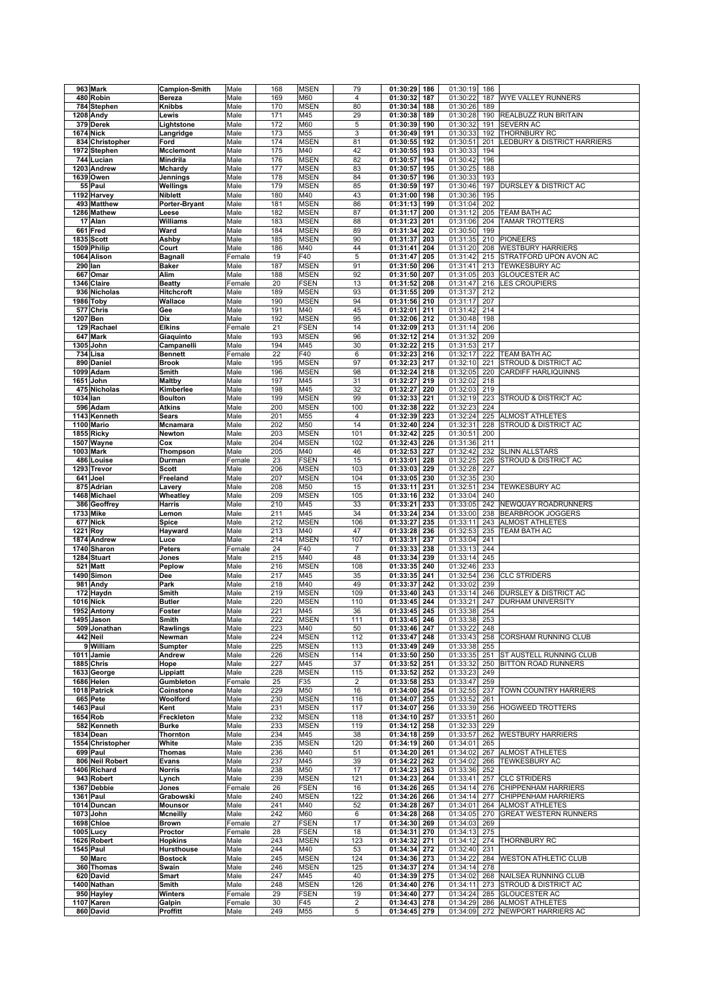|          | 963 Mark                   | <b>Campion-Smith</b>      | Male           | 168        | <b>MSEN</b>                | 79                  | 01:30:29<br>186                    | 01:30:19             | 186        |                                               |
|----------|----------------------------|---------------------------|----------------|------------|----------------------------|---------------------|------------------------------------|----------------------|------------|-----------------------------------------------|
|          | 480 Robin                  | <b>Bereza</b>             | Male           | 169        | M60                        | 4                   | 01:30:32<br>187                    | 01:30:22             | 187        | WYE VALLEY RUNNERS                            |
|          | 784 Stephen                | <b>Knibbs</b>             | Male           | 170        | <b>MSEN</b>                | 80                  | 188<br>01:30:34                    | 01:30:26             | 189        |                                               |
|          | 1208 Andy                  | Lewis                     | Male           | 171        | M45                        | 29                  | 01:30:38<br>189                    | 01:30:28             | 190        | REALBUZZ RUN BRITAIN                          |
|          | 379 Derek                  | Lightstone                | Male           | 172        | M60                        | 5                   | 01:30:39<br>190                    | 01:30:32             | 191        | SEVERN AC                                     |
|          | <b>1674 Nick</b>           | Langridge                 | Male           | 173        | M55                        | 3                   | 01:30:49<br>191                    | 01:30:33             | 192        | THORNBURY RC                                  |
|          | 834 Christopher            | Ford                      | Male           | 174        | <b>MSEN</b>                | 81                  | 01:30:55<br>192                    | 01:30:51             | 201        | LEDBURY & DISTRICT HARRIERS                   |
|          | 1972 Stephen               | Mcclemont                 | Male           | 175        | M40                        | 42                  | 01:30:55<br>193                    | 01:30:33             | 194        |                                               |
|          | 744 Lucian                 | <b>Mindrila</b>           | Male           | 176        | <b>MSEN</b>                | 82                  | 01:30:57<br>194                    | 01:30:42             | 196        |                                               |
|          | 1203 Andrew                | Mchardy                   | Male           | 177        | <b>MSEN</b>                | 83                  | 01:30:57<br>195                    | 01:30:25             | 188        |                                               |
|          | 1639 Owen                  | Jennings                  | Male           | 178        | <b>MSEN</b>                | 84                  | 01:30:57<br>196<br>197             | 01:30:33             | 193<br>197 |                                               |
|          | 55 Paul<br>1192 Harvey     | Wellings                  | Male           | 179<br>180 | <b>MSEN</b><br>M40         | 85<br>43            | 01:30:59<br>01:31:00<br>198        | 01:30:46<br>01:30:36 | 195        | DURSLEY & DISTRICT AC                         |
|          |                            | Niblett                   | Male           |            |                            |                     | 01:31:13<br>199                    |                      | 202        |                                               |
|          | 493 Matthew<br>1286 Mathew | Porter-Bryant             | Male           | 181        | <b>MSEN</b>                | 86                  | 01:31:17<br>200                    | 01:31:04             | 205        | TEAM BATH AC                                  |
|          |                            | Leese                     | Male           | 182        | <b>MSEN</b>                | 87                  | 201                                | 01:31:12             | 204        |                                               |
|          | 17 Alan<br>661 Fred        | Williams<br>Ward          | Male           | 183<br>184 | <b>MSEN</b>                | 88                  | 01:31:23<br>01:31:34<br>202        | 01:31:06<br>01:30:50 | 199        | <b>TAMAR TROTTERS</b>                         |
|          | 1835 Scott                 | Ashby                     | Male<br>Male   | 185        | <b>MSEN</b><br><b>MSEN</b> | 89<br>90            | 01:31:37<br>203                    | 01:31:35             | 210        | <b>PIONEERS</b>                               |
|          | 1509 Philip                | Court                     | Male           | 186        | M40                        | 44                  | 01:31:41<br>204                    | 01:31:20             | 208        | <b>WESTBURY HARRIERS</b>                      |
|          | 1064 Alison                | <b>Bagnall</b>            | Female         | 19         | F40                        | $\overline{5}$      | 01:31:47<br>205                    | 01:31:42             | 215        | STRATFORD UPON AVON AC                        |
|          | 290 lan                    | <b>Baker</b>              | Male           | 187        | <b>MSEN</b>                | 91                  | 01:31:50<br>206                    | 01:31:41             | 213        | <b>TEWKESBURY AC</b>                          |
|          | 667 Omar                   | Alim                      | Male           | 188        | <b>MSEN</b>                | 92                  | 01:31:50<br>207                    | 01:31:05             | 203        | GLOUCESTER AC                                 |
|          | 1346 Claire                | <b>Beatty</b>             | Female         | 20         | <b>FSEN</b>                | 13                  | 01:31:52<br>208                    | 01:31:47             | 216        | <b>LES CROUPIERS</b>                          |
|          | 936 Nicholas               | <b>Hitchcroft</b>         | Male           | 189        | <b>MSEN</b>                | 93                  | 209<br>01:31:55                    | 01:31:37             | 212        |                                               |
|          | 1986 Toby                  | Wallace                   | Male           | 190        | <b>MSEN</b>                | 94                  | 01:31:56<br>210                    | 01:31:17             | 207        |                                               |
|          | 577 Chris                  | Gee                       | Male           | 191        | M40                        | 45                  | 01:32:01<br>211                    | 01:31:42             | 214        |                                               |
|          | 1207 Ben                   | Dix                       | Male           | 192        | <b>MSEN</b>                | 95                  | 01:32:06<br>212                    | 01:30:48             | 198        |                                               |
|          | 129 Rachael                | <b>Elkins</b>             | Female         | 21         | <b>FSEN</b>                | 14                  | 01:32:09<br>213                    | 01:31:14             | 206        |                                               |
|          | 647 Mark                   | Giaquinto                 | Male           | 193        | <b>MSEN</b>                | 96                  | 01:32:12<br>214                    | 01:31:32             | 209        |                                               |
|          | 1305 John                  | Campanelli                | Male           | 194        | M45                        | 30                  | 01:32:22<br>215                    | 01:31:53             | 217        |                                               |
|          | 734 Lisa                   | <b>Bennett</b>            | Female         | 22         | F40                        | 6                   | 01:32:23<br>216                    | 01:32:17             | 222        | TEAM BATH AC                                  |
|          | 890 Daniel                 | <b>Brook</b>              | Male           | 195        | <b>MSEN</b>                | 97                  | 01:32:23<br>217                    | 01:32:10             | 221        | STROUD & DISTRICT AC                          |
|          | 1099 Adam                  | Smith                     | Male           | 196        | <b>MSEN</b>                | 98                  | 01:32:24<br>218                    | 01:32:05             | 220        | <b>CARDIFF HARLIQUINNS</b>                    |
|          | 1651 John                  | <b>Maltby</b>             | Male           | 197        | M45                        | 31                  | 01:32:27<br>219                    | 01:32:02             | 218        |                                               |
|          | 475 Nicholas               | Kimberlee                 | Male           | 198        | M45                        | 32                  | 01:32:27<br>220                    | 01:32:03             | 219        |                                               |
| 1034 lan |                            | <b>Boulton</b>            | Male           | 199        | <b>MSEN</b>                | 99                  | 01:32:33<br>221                    | 01:32:19             | 223        | STROUD & DISTRICT AC                          |
|          | 596 Adam                   | <b>Atkins</b>             | Male           | 200        | <b>MSEN</b>                | 100                 | 01:32:38<br>222                    | 01:32:23             | 224        |                                               |
|          | 1143 Kenneth               | Sears                     | Male           | 201        | M55                        | 4                   | 01:32:39<br>223                    | 01:32:24             | 225        | <b>ALMOST ATHLETES</b>                        |
|          | 1100 Mario                 | Mcnamara                  | Male           | 202        | M50                        | 14                  | 01:32:40<br>224                    | 01:32:31             | 228        | STROUD & DISTRICT AC                          |
|          | 1855 Ricky                 | Newton                    | Male           | 203        | <b>MSEN</b>                | 101                 | 01:32:42<br>225                    | 01:30:51             | 200        |                                               |
|          | 1507 Wayne                 | Cox                       | Male           | 204        | <b>MSEN</b>                | 102                 | 01:32:43<br>226                    | 01:31:36             | 211        |                                               |
|          | 1003 Mark                  | Thompson                  | Male           | 205        | M40                        | 46                  | 01:32:53<br>227                    | 01:32:42             | 232        | <b>SLINN ALLSTARS</b>                         |
|          | 486 Louise                 | Durman                    | Female         | 23         | <b>FSEN</b>                | 15                  | 01:33:01<br>228                    | 01:32:25             | 226        | STROUD & DISTRICT AC                          |
|          | 1293 Trevor                | <b>Scott</b>              | Male           | 206        | <b>MSEN</b>                | 103                 | 01:33:03<br>229                    | 01:32:28             | 227        |                                               |
|          | 641 Joel                   | Freeland                  | Male           | 207        | <b>MSEN</b>                | 104                 | 01:33:05<br>230                    | 01:32:35             | 230        |                                               |
|          | 875 Adrian                 | Lavery                    | Male           | 208        | M50                        | 15                  | 01:33:11<br>231                    | 01:32:51             | 234        | <b>TEWKESBURY AC</b>                          |
|          | 1468 Michael               | Wheatley                  | Male           | 209        | <b>MSEN</b>                | 105                 | 01:33:16 232                       | 01:33:04             | 240        |                                               |
|          | 386 Geoffrey               | Harris                    | Male           | 210        | M45                        | 33                  | 01:33:21<br>233                    | 01:33:05             | 242        | NEWQUAY ROADRUNNERS                           |
|          | 1733 Mike                  | Lemon                     | Male           | 211        | M45                        | 34                  | 01:33:24<br>234                    | 01:33:00             | 238        | <b>BEARBROOK JOGGERS</b>                      |
|          | 677 Nick                   | Spice                     | Male           | 212        | <b>MSEN</b>                | 106                 | 01:33:27<br>235                    | 01:33:11             | 243        | <b>ALMOST ATHLETES</b>                        |
| 1221 Roy |                            | Hayward                   | Male           | 213        | M40                        | 47                  | 01:33:28<br>236                    | 01:32:53             | 235        | TEAM BATH AC                                  |
|          | 1874 Andrew                | Luce                      | Male           | 214        | <b>MSEN</b>                | 107                 | 01:33:31<br>237                    | 01:33:04             | 241        |                                               |
|          | 1740 Sharon                | Peters                    | Female         | 24         | F40                        | $\overline{7}$      | 01:33:33<br>238                    | 01:33:13             | 244        |                                               |
|          | 1284 Stuart                | Jones                     | Male           | 215        | M40                        | 48                  | 01:33:34<br>239                    | 01:33:14             | 245        |                                               |
|          | 521 Matt                   | Peplow                    | Male           | 216        | <b>MSEN</b>                | 108                 | 01:33:35<br>240                    | 01:32:46             | 233        |                                               |
|          | 1490 Simon                 | Dee                       | Male           | 217        | M45                        | 35                  | 01:33:35<br>241                    | 01:32:54             | 236        | <b>CLC STRIDERS</b>                           |
|          | 981 Andy                   |                           |                |            |                            |                     |                                    |                      |            |                                               |
|          |                            | Park                      | Male           | 218        | M40                        | 49                  | 242<br>01:33:37                    | 01:33:02             | 239        |                                               |
|          | 172 Haydn                  | Smith                     | Male           | 219        | <b>MSEN</b>                | 109                 | 01:33:40<br>243                    | 01:33:14             | 246        | <b>DURSLEY &amp; DISTRICT AC</b>              |
|          | <b>1016 Nick</b>           | <b>Butler</b>             | Male           | 220        | <b>MSEN</b>                | 110                 | 01:33:45<br>244                    | 01:33:21             | 247        | <b>DURHAM UNIVERSITY</b>                      |
|          | 1952 Antony                | Foster                    | Male           | 221        | M45                        | 36                  | 01:33:45<br>245                    | 01:33:38             | 254        |                                               |
|          | 1495∣Jason                 | Smith                     | Male           | 222        | MSEN                       | 111                 | 01:33:45 246                       | 01:33:38 253         |            |                                               |
|          | 509 Jonathan               | Rawlings                  | Male           | 223        | M40                        | 50                  | 01:33:46 247                       | 01:33:22             | 248        |                                               |
|          | 442 Neil                   | Newman                    | Male           | 224        | <b>MSEN</b>                | 112                 | 01:33:47<br>248                    | 01:33:43             | 258        | CORSHAM RUNNING CLUB                          |
|          | 9 William                  | Sumpter                   | Male           | 225        | <b>MSEN</b>                | 113                 | 01:33:49<br>249                    | 01:33:38             | 255        |                                               |
|          | 1011 Jamie                 | Andrew                    | Male           | 226        | <b>MSEN</b>                | 114                 | 01:33:50<br>250                    | 01:33:35             | 251        | ST AUSTELL RUNNING CLUB                       |
|          | 1885 Chris                 | Hope                      | Male           | 227        | M45                        | 37                  | 01:33:52<br>251                    | 01:33:32             | 250        | <b>BITTON ROAD RUNNERS</b>                    |
|          | 1633 George                | Lippiatt                  | Male           | 228        | <b>MSEN</b>                | 115                 | 01:33:52<br>252                    | 01:33:23             | 249        |                                               |
|          | 1686 Helen                 | Gumbleton                 | Female         | 25         | F35                        | $\overline{c}$      | 01:33:58<br>253                    | 01:33:47             | 259        | TOWN COUNTRY HARRIERS                         |
|          | 1018 Patrick               | Coinstone                 | Male           | 229        | M50                        | 16                  | 01:34:00<br>254                    | 01:32:55             | 237<br>261 |                                               |
|          | 665 Pete<br>1463 Paul      | Woolford<br>Kent          | Male<br>Male   | 230<br>231 | <b>MSEN</b><br><b>MSEN</b> | 116<br>117          | 01:34:07<br>255<br>01:34:07<br>256 | 01:33:52             | 256        | <b>HOGWEED TROTTERS</b>                       |
|          | 1654 Rob                   | Freckleton                | Male           | 232        | <b>MSEN</b>                | 118                 | 01:34:10 257                       | 01:33:39<br>01:33:51 | 260        |                                               |
|          | 582 Kenneth                | <b>Burke</b>              | Male           | 233        | <b>MSEN</b>                | 119                 | 01:34:12<br>258                    | 01:32:33             | 229        |                                               |
|          | 1834 Dean                  | Thornton                  | Male           | 234        | M45                        | 38                  | 01:34:18<br>259                    | 01:33:57             | 262        | <b>WESTBURY HARRIERS</b>                      |
|          | 1554 Christopher           | White                     | Male           | 235        | <b>MSEN</b>                | 120                 | 01:34:19<br>260                    | 01:34:01             | 265        |                                               |
|          | 699 Paul                   | Thomas                    | Male           | 236        | M40                        | 51                  | 01:34:20<br>261                    | 01:34:02             | 267        | <b>ALMOST ATHLETES</b>                        |
|          | 806 Neil Robert            | Evans                     | Male           | 237        | M45                        | 39                  | 01:34:22<br>262                    | 01:34:02             | 266        | TEWKESBURY AC                                 |
|          | 1406 Richard               | Norris                    | Male           | 238        | M50                        | 17                  | 01:34:23<br>263                    | 01:33:36             | 252        |                                               |
|          | 943 Robert                 | Lynch                     | Male           | 239        | <b>MSEN</b>                | 121                 | 01:34:23<br>264                    | 01:33:41             | 257        | <b>CLC STRIDERS</b>                           |
|          | 1367 Debbie                | Jones                     | Female         | 26         | <b>FSEN</b>                | 16                  | 01:34:26<br>265                    | 01:34:14             | 276        | CHIPPENHAM HARRIERS                           |
|          | 1361 Paul                  | Grabowski                 | Male           | 240        | <b>MSEN</b>                | 122                 | 01:34:26<br>266                    | 01:34:14             | 277        | CHIPPENHAM HARRIERS                           |
|          | 1014 Duncan                | <b>Mounsor</b>            | Male           | 241        | M40                        | 52                  | 01:34:28<br>267                    | 01:34:01             | 264        | <b>ALMOST ATHLETES</b>                        |
|          | 1073 John                  | <b>Mcneilly</b>           | Male           | 242        | M60                        | 6                   | 01:34:28<br>268                    | 01:34:05             | 270        | <b>GREAT WESTERN RUNNERS</b>                  |
|          | 1698 Chloe                 | <b>Brown</b>              | Female         | 27         | <b>FSEN</b>                | 17                  | 01:34:30<br>269                    | 01:34:03             | 269        |                                               |
|          | 1005 Lucy                  | Proctor                   | Female         | 28         | FSEN                       | 18                  | 01:34:31<br>270                    | 01:34:13             | 275        |                                               |
|          | 1626 Robert                | <b>Hopkins</b>            | Male           | 243        | <b>MSEN</b>                | 123                 | 01:34:32<br>271                    | 01:34:12             | 274        | THORNBURY RC                                  |
|          | 1545 Paul                  | <b>Hursthouse</b>         | Male           | 244        | M40                        | 53                  | 01:34:34<br>272                    | 01:32:40             | 231        |                                               |
|          | 50 Marc                    | <b>Bostock</b>            | Male           | 245        | <b>MSEN</b>                | 124                 | 01:34:36<br>273                    | 01:34:22             | 284        | <b>WESTON ATHLETIC CLUB</b>                   |
|          | 360 Thomas                 | Swain                     | Male           | 246        | <b>MSEN</b>                | 125                 | 01:34:37<br>274                    | 01:34:14             | 278        |                                               |
|          | 620 David                  | <b>Smart</b>              | Male           | 247        | M45                        | 40                  | 01:34:39<br>275                    | 01:34:02             | 268        | NAILSEA RUNNING CLUB                          |
|          | 1400 Nathan                | Smith                     | Male           | 248        | <b>MSEN</b>                | 126                 | 01:34:40<br>276                    | 01:34:11             | 273        | STROUD & DISTRICT AC                          |
|          | 950 Hayley                 | Winters                   | Female         | 29         | <b>FSEN</b>                | 19                  | 01:34:40<br>277                    | 01:34:24             | 285        | GLOUCESTER AC                                 |
|          | 1107 Karen<br>860 David    | Galpin<br><b>Proffitt</b> | Female<br>Male | 30<br>249  | F45<br>M55                 | $\overline{c}$<br>5 | 01:34:43<br>278<br>01:34:45 279    | 01:34:29<br>01:34:09 | 286<br>272 | <b>ALMOST ATHLETES</b><br>NEWPORT HARRIERS AC |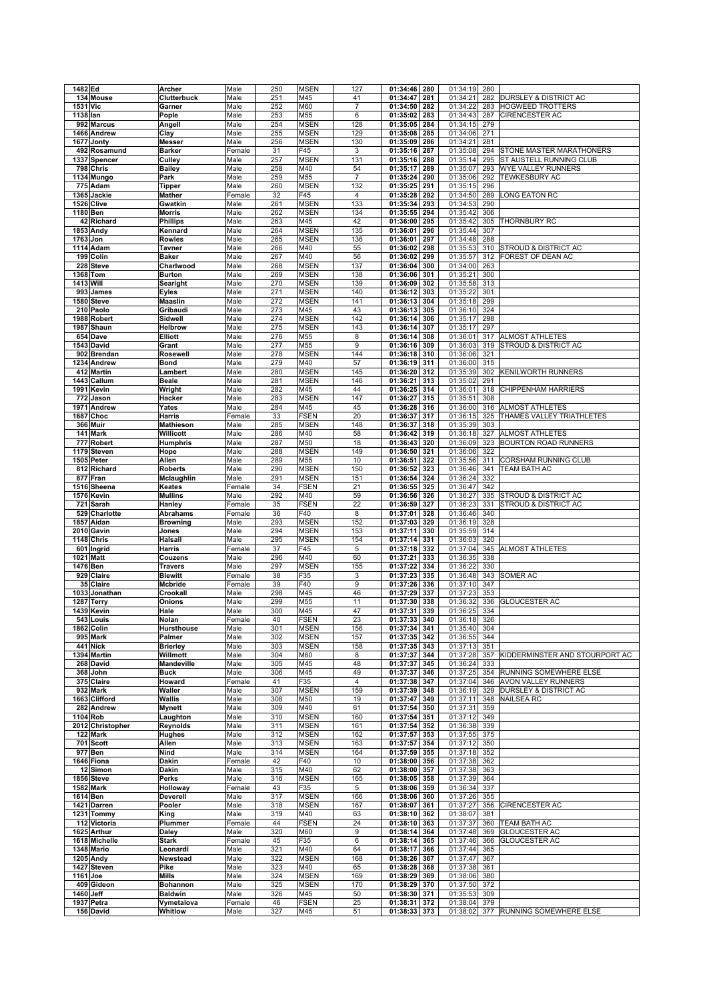|                  | 1482 Ed                 | Archer                | Male           | 250       | <b>MSEN</b>        | 127                     | 01:34:46             | 280        | 01:34:19             | 280 |                                |
|------------------|-------------------------|-----------------------|----------------|-----------|--------------------|-------------------------|----------------------|------------|----------------------|-----|--------------------------------|
|                  | 134 Mouse               | Clutterbuck           | Male           | 251       | M45                | 41                      | 01:34:47             | 281        | 01:34:21             | 282 | DURSLEY & DISTRICT AC          |
| 1531 Vic         |                         | Garner                | Male           | 252       | M60                | $\overline{7}$          | 01:34:50             | 282        | 01:34:22             | 283 | <b>HOGWEED TROTTERS</b>        |
| 1138 lan         |                         | Pople                 | Male           | 253       | M55                | 6                       | 01:35:02             | 283        | 01:34:43             | 287 | CIRENCESTER AC                 |
|                  | 992 Marcus              | Angell                | Male           | 254       | MSEN               | 128                     | 01:35:05             | 284        | 01:34:15             | 279 |                                |
|                  | 1466 Andrew             | Clay                  | Male           | 255       | <b>MSEN</b>        | 129                     | 01:35:08             | 285        | 01:34:06             | 271 |                                |
|                  | 1677 Jonty              | <b>Messer</b>         | Male           | 256       | <b>MSEN</b>        | 130                     | 01:35:09             | 286        | 01:34:21             | 281 |                                |
|                  | 492 Rosamund            |                       |                |           |                    |                         |                      |            |                      |     | STONE MASTER MARATHONERS       |
|                  |                         | <b>Barker</b>         | Female         | 31        | F45                | 3                       | 01:35:16             | 287        | 01:35:08             | 294 |                                |
|                  | 1337 Spencer            | Culley                | Male           | 257       | <b>MSEN</b>        | 131                     | 01:35:16             | 288        | 01:35:14             | 295 | ST AUSTELL RUNNING CLUB        |
|                  | 798 Chris               | <b>Bailey</b>         | Male           | 258       | M40                | 54                      | 01:35:17             | 289        | 01:35:07             | 293 | WYE VALLEY RUNNERS             |
|                  | 1134 Mungo              | Park                  | Male           | 259       | M55                | $\overline{7}$          | 01:35:24             | 290        | 01:35:06             | 292 | <b>TEWKESBURY AC</b>           |
|                  | 775 Adam                | <b>Tipper</b>         | Male           | 260       | <b>MSEN</b>        | 132                     | 01:35:25             | 291        | 01:35:15             | 296 |                                |
|                  | 1365 Jackie             | Mather                | Female         | 32        | F45                | $\overline{4}$          | 01:35:28             | 292        | 01:34:50             | 289 | LONG EATON RC                  |
|                  | 1526 Clive              | Gwatkin               | Male           | 261       | <b>MSEN</b>        | 133                     | 01:35:34             | 293        | 01:34:53             | 290 |                                |
| 1180 Ben         |                         | Morris                | Male           | 262       | <b>MSEN</b>        | 134                     | 01:35:55             | 294        | 01:35:42             | 306 |                                |
|                  | 42 Richard              | <b>Phillips</b>       | Male           | 263       | M45                | 42                      | 01:36:00             | 295        | 01:35:42             | 305 | <b>THORNBURY RC</b>            |
|                  |                         |                       |                |           |                    |                         |                      |            |                      |     |                                |
|                  | 1853 Andy               | Kennard               | Male           | 264       | <b>MSEN</b>        | 135                     | 01:36:01             | 296        | 01:35:44             | 307 |                                |
| 1763 Jon         |                         | Rowles                | Male           | 265       | <b>MSEN</b>        | 136                     | 01:36:01             | 297        | 01:34:48             | 288 |                                |
|                  | 1114 Adam               | Tavner                | Male           | 266       | M40                | 55                      | 01:36:02             | 298        | 01:35:53             | 310 | STROUD & DISTRICT AC           |
|                  | 199 Colin               | Baker                 | Male           | 267       | M40                | 56                      | 01:36:02             | 299        | 01:35:57             | 312 | FOREST OF DEAN AC              |
|                  | 228 Steve               | Charlwood             | Male           | 268       | <b>MSEN</b>        | 137                     | 01:36:04             | 300        | 01:34:00             | 263 |                                |
|                  | 1368 Tom                | <b>Burton</b>         | Male           | 269       | <b>MSEN</b>        | 138                     | 01:36:06             | 301        | 01:35:21             | 300 |                                |
| <b>1413 Will</b> |                         | Searight              | Male           | 270       | <b>MSEN</b>        | 139                     | 01:36:09             | 302        | 01:35:58             | 313 |                                |
|                  | 993 James               | <b>Eyles</b>          | Male           | 271       | <b>MSEN</b>        | 140                     | 01:36:12             | 303        | 01:35:22             | 301 |                                |
|                  | 1580 Steve              | <b>Maaslin</b>        | Male           | 272       | <b>MSEN</b>        | 141                     | 01:36:13             | 304        | 01:35:18             | 299 |                                |
|                  |                         |                       |                |           |                    |                         |                      |            |                      |     |                                |
|                  | 210 Paolo               | Gribaudi              | Male           | 273       | M45                | 43                      | 01:36:13             | 305        | 01:36:10             | 324 |                                |
|                  | 1988 Robert             | Sidwell               | Male           | 274       | MSEN               | 142                     | 01:36:14             | 306        | 01:35:17             | 298 |                                |
|                  | 1987 Shaun              | <b>Helbrow</b>        | Male           | 275       | <b>MSEN</b>        | 143                     | 01:36:14             | 307        | 01:35:17             | 297 |                                |
|                  | 654 Dave                | <b>Elliott</b>        | Male           | 276       | M55                | 8                       | 01:36:14             | 308        | 01:36:01             | 317 | <b>ALMOST ATHLETES</b>         |
|                  | 1543 David              | Grant                 | Male           | 277       | M55                | $\boldsymbol{9}$        | 01:36:16             | 309        | 01:36:03             | 319 | STROUD & DISTRICT AC           |
|                  | 902 Brendan             | Rosewell              | Male           | 278       | <b>MSEN</b>        | 144                     | 01:36:18             | 310        | 01:36:06             | 321 |                                |
|                  | 1234 Andrew             | <b>Bond</b>           | Male           | 279       | M40                | 57                      | 01:36:19             | 311        | 01:36:00             | 315 |                                |
|                  | 412 Martin              | Lambert               | Male           | 280       | <b>MSEN</b>        | 145                     | 01:36:20             | 312        | 01:35:39             | 302 | KENILWORTH RUNNERS             |
|                  | 1443 Callum             |                       | Male           | 281       | <b>MSEN</b>        | 146                     | 01:36:21             | 313        | 01:35:02             | 291 |                                |
|                  |                         | <b>Beale</b>          |                |           |                    |                         |                      |            |                      |     |                                |
|                  | 1991 Kevin              | Wright                | Male           | 282       | M45                | 44                      | 01:36:25             | 314        | 01:36:01             | 318 | <b>CHIPPENHAM HARRIERS</b>     |
|                  | 772 Jason               | Hacker                | Male           | 283       | <b>MSEN</b>        | 147                     | 01:36:27             | 315        | 01:35:51             | 308 |                                |
|                  | 1971 Andrew             | Yates                 | Male           | 284       | M45                | 45                      | 01:36:28             | 316        | 01:36:00             | 316 | <b>ALMOST ATHLETES</b>         |
|                  | 1687 Choc               | Harris                | Female         | 33        | <b>FSEN</b>        | 20                      | 01:36:37             | 317        | 01:36:15             | 325 | THAMES VALLEY TRIATHLETES      |
|                  | 366 Muir                | <b>Mathieson</b>      | Male           | 285       | <b>MSEN</b>        | 148                     | 01:36:37             | 318        | 01:35:39             | 303 |                                |
|                  | 141 Mark                | Willicott             | Male           | 286       | M40                | 58                      | 01:36:42             | 319        | 01:36:18             | 327 | <b>ALMOST ATHLETES</b>         |
|                  | 777 Robert              | <b>Humphris</b>       | Male           | 287       | M50                | 18                      | 01:36:43             | 320        | 01:36:09             | 323 | BOURTON ROAD RUNNERS           |
|                  | 1179 Steven             |                       | Male           | 288       | <b>MSEN</b>        | 149                     | 01:36:50             | 321        | 01:36:06             | 322 |                                |
|                  |                         | Hope                  |                |           |                    |                         |                      |            |                      |     |                                |
|                  | 1505 Peter              | Allen                 | Male           | 289       | M55                | 10                      | 01:36:51             | 322        | 01:35:56             | 311 | CORSHAM RUNNING CLUB           |
|                  | 812 Richard             | <b>Roberts</b>        | Male           | 290       | <b>MSEN</b>        | 150                     | 01:36:52             | 323        | 01:36:46             | 341 | TEAM BATH AC                   |
|                  | 877 Fran                | Mclaughlin            | Male           | 291       | <b>MSEN</b>        | 151                     | 01:36:54             | 324        | 01:36:24             | 332 |                                |
|                  | 1516 Sheena             | Keates                | Female         | 34        | <b>FSEN</b>        | 21                      | 01:36:55             | 325        | 01:36:47             | 342 |                                |
|                  | 1576 Kevin              | <b>Mullins</b>        | Male           | 292       | M40                | 59                      | 01:36:56             | 326        | 01:36:27             | 335 | STROUD & DISTRICT AC           |
|                  | 721 Sarah               | Hanley                | Female         | 35        | <b>FSEN</b>        | 22                      | 01:36:59             | 327        | 01:36:23             | 331 | STROUD & DISTRICT AC           |
|                  | 529 Charlotte           | Abrahams              | Female         | 36        | F40                | 8                       | 01:37:01             | 328        | 01:36:46             | 340 |                                |
|                  | 1857 Aidan              | <b>Browning</b>       | Male           | 293       | MSEN               | 152                     | 01:37:03             | 329        | 01:36:19             | 328 |                                |
|                  | 2010 Gavin              | Jones                 | Male           | 294       | MSEN               | 153                     | 01:37:11             | 330        | 01:35:59             | 314 |                                |
|                  |                         |                       |                |           |                    |                         |                      |            |                      |     |                                |
|                  | 1148 Chris              | <b>Halsall</b>        | Male           | 295       | MSEN               | 154                     | 01:37:14             | 331        | 01:36:03             | 320 |                                |
|                  | 601 Ingrid              | <b>Harris</b>         | Female         | 37        | F45                | $\,$ 5 $\,$             | 01:37:18             | 332        | 01:37:04             | 345 | <b>ALMOST ATHLETES</b>         |
| 1021             | <b>Matt</b>             | Couzens               | Male           | 296       | M40                | 60                      | 01:37:21             | 333        | 01:36:35             | 338 |                                |
| 1476 Ben         |                         | <b>Travers</b>        | Male           | 297       | MSEN               | 155                     | 01:37:22             | 334        | 01:36:22             | 330 |                                |
|                  | 929 Claire              |                       |                | 38        | F35                | 3                       | 01:37:23             | 335        | 01:36:48             | 343 | SOMER AC                       |
|                  |                         | <b>Blewitt</b>        | Female         |           |                    |                         |                      |            |                      |     |                                |
|                  | 35 Claire               | Mcbride               |                | 39        | F40                | $\boldsymbol{9}$        |                      | 336        |                      | 347 |                                |
|                  |                         |                       | Female         |           |                    |                         | 01:37:26             |            | 01:37:10             |     |                                |
|                  | 1033 Jonathan           | Crookall              | Male           | 298       | M45                | 46                      | 01:37:29             | 337        | 01:37:23             | 353 |                                |
|                  | 1287 Terry              | Onions                | Male           | 299       | M55                | 11                      | 01:37:30             | 338        | 01:36:32             | 336 | <b>GLOUCESTER AC</b>           |
|                  | 1439 Kevin              | Hale                  | Male           | 300       | M45                | 47                      | 01:37:31             | 339        | 01:36:25             | 334 |                                |
|                  | 543 Louis               | Nolan                 | Female         | 40        | FSEN               | 23                      | 01:37:33 340         |            | 01:36:18 326         |     |                                |
|                  | 1862 Colin              | Hursthouse            | Male           | 301       | <b>MSEN</b>        | 156                     | 01:37:34             | 341        | 01:35:40             | 304 |                                |
|                  | 995 Mark                | Palmer                | Male           | 302       | <b>MSEN</b>        | 157                     | 01:37:35             | 342        | 01:36:55             | 344 |                                |
|                  | 441 Nick                | <b>Brierley</b>       | Male           | 303       | <b>MSEN</b>        | 158                     | 01:37:35             | 343        | 01:37:13             | 351 |                                |
|                  | 1394 Martin             | Willmott              | Male           | 304       | M60                | 8                       | 01:37:37             | 344        | 01:37:28             | 357 | KIDDERMINSTER AND STOURPORT AC |
|                  | 268 David               | Mandeville            | Male           | 305       | M45                | 48                      | 01:37:37             | 345        | 01:36:24             | 333 |                                |
|                  | 368 John                | <b>Buck</b>           | Male           | 306       | M45                | 49                      | 01:37:37             | 346        | 01:37:25             | 354 | RUNNING SOMEWHERE ELSE         |
|                  |                         |                       |                |           |                    |                         |                      |            | 01:37:04             | 346 |                                |
|                  | 375 Claire              | Howard                | Female         | 41        | F35                | $\overline{\mathbf{4}}$ | 01:37:38             | 347        |                      |     | AVON VALLEY RUNNERS            |
|                  | 932 Mark                | Waller                | Male           | 307       | <b>MSEN</b>        | 159                     | 01:37:39             | 348        | 01:36:19             | 329 | DURSLEY & DISTRICT AC          |
|                  | 1663 Clifford           | Wallis                | Male           | 308       | M50                | 19                      | 01:37:47             | 349        | 01:37:11             | 348 | NAILSEA RC                     |
|                  | 282 Andrew              | Mynett                | Male           | 309       | M40                | 61                      | 01:37:54             | 350        | 01:37:31             | 359 |                                |
|                  | 1104 Rob                | Laughton              | Male           | 310       | MSEN               | 160                     | 01:37:54             | 351        | 01:37:12             | 349 |                                |
|                  | 2012 Christopher        | Reynolds              | Male           | 311       | <b>MSEN</b>        | 161                     | 01:37:54             | 352        | 01:36:38             | 339 |                                |
|                  | 122 Mark                | Hughes                | Male           | 312       | <b>MSEN</b>        | 162                     | 01:37:57             | 353        | 01:37:55             | 375 |                                |
|                  | 701 Scott               | Allen                 | Male           | 313       | <b>MSEN</b>        | 163                     | 01:37:57             | 354        | 01:37:12             | 350 |                                |
|                  | 977 Ben                 | Nind                  | Male           | 314       | MSEN               | 164                     | 01:37:59             | 355        | 01:37:18             | 352 |                                |
|                  | 1646 Fiona              | Dakin                 | Female         | 42        | F40                | 10                      | 01:38:00             | 356        | 01:37:38             | 362 |                                |
|                  | 12 Simon                | Dakin                 | Male           | 315       | M40                | 62                      | 01:38:00             | 357        | 01:37:38             | 363 |                                |
|                  | 1856 Steve              | Perks                 | Male           | 316       | MSEN               | 165                     | 01:38:05             | 358        | 01:37:39             | 364 |                                |
|                  |                         |                       |                |           |                    |                         |                      |            |                      |     |                                |
|                  | <b>1582 Mark</b>        | Holloway              | Female         | 43        | F35                | 5                       | 01:38:06             | 359        | 01:36:34             | 337 |                                |
| 1614 Ben         |                         | <b>Deverell</b>       | Male           | 317       | <b>MSEN</b>        | 166                     | 01:38:06             | 360        | 01:37:26             | 355 |                                |
|                  | 1421 Darren             | Pooler                | Male           | 318       | <b>MSEN</b>        | 167                     | 01:38:07             | 361        | 01:37:27             | 356 | CIRENCESTER AC                 |
|                  | 1231 Tommy              | King                  | Male           | 319       | M40                | 63                      | 01:38:10             | 362        | 01:38:07             | 381 |                                |
|                  | 112 Victoria            | Plummer               | Female         | 44        | <b>FSEN</b>        | 24                      | 01:38:10             | 363        | 01:37:37             | 360 | TEAM BATH AC                   |
|                  | 1625 Arthur             | Daley                 | Male           | 320       | M60                | 9                       | 01:38:14             | 364        | 01:37:48             | 369 | GLOUCESTER AC                  |
|                  | 1618 Michelle           | <b>Stark</b>          | Female         | 45        | F35                | 6                       | 01:38:14             | 365        | 01:37:46             | 366 | GLOUCESTER AC                  |
|                  | 1348 Mario              | Leonardi              | Male           | 321       | M40                | 64                      | 01:38:17             | 366        | 01:37:44             | 365 |                                |
|                  | 1205 Andy               | Newstead              | Male           | 322       | <b>MSEN</b>        | 168                     | 01:38:26             | 367        | 01:37:47             | 367 |                                |
|                  |                         |                       |                |           |                    |                         |                      |            |                      |     |                                |
|                  | 1427 Steven             | Pike                  | Male           | 323       | M40                | 65                      | 01:38:28             | 368        | 01:37:38             | 361 |                                |
| 1161 Joe         |                         | Mills                 | Male           | 324       | MSEN               | 169                     | 01:38:29             | 369        | 01:38:06             | 380 |                                |
|                  | 409 Gideon              | Bohannon              | Male           | 325       | <b>MSEN</b>        | 170                     | 01:38:29             | 370        | 01:37:50             | 372 |                                |
| 1460 Jeff        |                         | <b>Baldwin</b>        | Male           | 326       | M45                | 50                      | 01:38:30             | 371        | 01:35:53             | 309 |                                |
|                  | 1937 Petra<br>156 David | Vymetalova<br>Whitlow | Female<br>Male | 46<br>327 | <b>FSEN</b><br>M45 | 25<br>51                | 01:38:31<br>01:38:33 | 372<br>373 | 01:38:04<br>01:38:02 | 379 | 377 RUNNING SOMEWHERE ELSE     |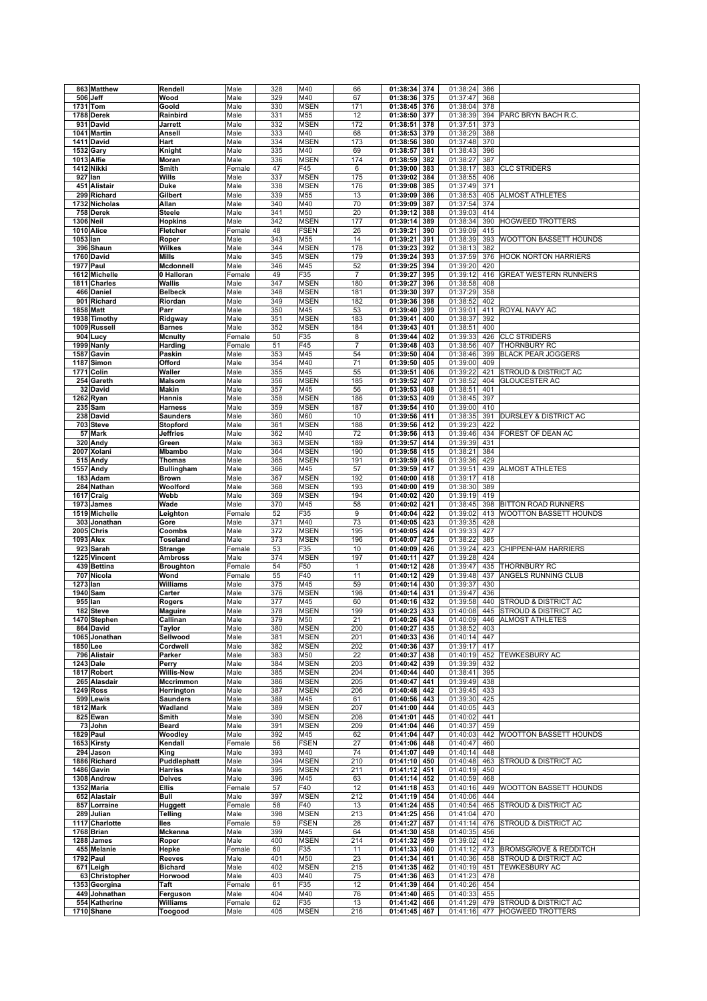|           | 863 Matthew      | Rendell           | Male   | 328        | M40         | 66             | 01:38:34<br>374                    | 01:38:24     | 386 |                                  |
|-----------|------------------|-------------------|--------|------------|-------------|----------------|------------------------------------|--------------|-----|----------------------------------|
|           | 506 Jeff         | Wood              | Male   | 329        | M40         | 67             | 01:38:36<br>375                    | 01:37:47     | 368 |                                  |
|           | 1731 Tom         | Goold             | Male   | 330        | <b>MSEN</b> | 171            | 01:38:45<br>376                    | 01:38:04     | 378 |                                  |
|           |                  |                   |        |            |             |                |                                    |              |     |                                  |
|           | 1788 Derek       | Rainbird          | Male   | 331        | M55         | 12             | 01:38:50<br>377                    | 01:38:39     | 394 | PARC BRYN BACH R.C.              |
|           | 931 David        | Jarrett           | Male   | 332        | <b>MSEN</b> | 172            | 01:38:51<br>378                    | 01:37:51     | 373 |                                  |
|           | 1041 Martin      | Ansell            | Male   | 333        | M40         | 68             | 01:38:53<br>379                    | 01:38:29     | 388 |                                  |
|           | 1411 David       | Hart              | Male   | 334        | <b>MSEN</b> | 173            | 01:38:56<br>380                    | 01:37:48     | 370 |                                  |
|           | <b>1532 Gary</b> | Knight            | Male   | 335        | M40         | 69             | 01:38:57<br>381                    | 01:38:43     | 396 |                                  |
|           | 1013 Alfie       | Moran             | Male   | 336        | <b>MSEN</b> | 174            | 01:38:59<br>382                    | 01:38:27     | 387 |                                  |
|           | 1412 Nikki       | Smith             | Female | 47         | F45         | 6              | 01:39:00<br>383                    | 01:38:17     | 383 | <b>CLC STRIDERS</b>              |
|           | 927 lan          | Wills             | Male   | 337        | <b>MSEN</b> | 175            | 01:39:02<br>384                    | 01:38:55     | 406 |                                  |
|           | 451 Alistair     | <b>Duke</b>       | Male   | 338        | <b>MSEN</b> | 176            | 01:39:08<br>385                    | 01:37:49     | 371 |                                  |
|           |                  |                   |        |            |             |                |                                    |              |     |                                  |
|           | 299 Richard      | Gilbert           | Male   | 339        | M55         | 13             | 01:39:09<br>386                    | 01:38:53     | 405 | <b>ALMOST ATHLETES</b>           |
|           | 1732 Nicholas    | Allan             | Male   | 340        | M40         | 70             | 01:39:09<br>387                    | 01:37:54     | 374 |                                  |
|           | 758 Derek        | <b>Steele</b>     | Male   | 341        | M50         | 20             | 01:39:12<br>388                    | 01:39:03     | 414 |                                  |
| 1306 Neil |                  | <b>Hopkins</b>    | Male   | 342        | <b>MSEN</b> | 177            | 01:39:14<br>389                    | 01:38:34     | 390 | <b>HOGWEED TROTTERS</b>          |
|           | 1010 Alice       | Fletcher          | Female | 48         | <b>FSEN</b> | 26             | 01:39:21<br>390                    | 01:39:09     | 415 |                                  |
| 1053 lan  |                  | Roper             | Male   | 343        | M55         | 14             | 01:39:21<br>391                    | 01:38:39     | 393 | WOOTTON BASSETT HOUNDS           |
|           | 396 Shaun        | Wilkes            | Male   | 344        | <b>MSEN</b> | 178            | 01:39:23<br>392                    | 01:38:13     | 382 |                                  |
|           | 1760 David       | <b>Mills</b>      | Male   | 345        | <b>MSEN</b> | 179            | 01:39:24<br>393                    | 01:37:59     | 376 | <b>HOOK NORTON HARRIERS</b>      |
|           | 1977 Paul        | Mcdonnell         | Male   | 346        | M45         | 52             | 01:39:25<br>394                    | 01:39:20     | 420 |                                  |
|           | 1612 Michelle    | 0 Halloran        | Female | 49         | F35         | $\overline{7}$ | 01:39:27<br>395                    | 01:39:12     | 416 | <b>GREAT WESTERN RUNNERS</b>     |
|           |                  |                   |        |            |             |                |                                    |              |     |                                  |
|           | 1811 Charles     | Wallis            | Male   | 347        | <b>MSEN</b> | 180            | 01:39:27<br>396                    | 01:38:58     | 408 |                                  |
|           | 466 Daniel       | <b>Belbeck</b>    | Male   | 348        | <b>MSEN</b> | 181            | 01:39:30<br>397                    | 01:37:29     | 358 |                                  |
|           | 901 Richard      | Riordan           | Male   | 349        | <b>MSEN</b> | 182            | 01:39:36<br>398                    | 01:38:52     | 402 |                                  |
|           | 1858 Matt        | Parr              | Male   | 350        | M45         | 53             | 01:39:40<br>399                    | 01:39:01     | 411 | ROYAL NAVY AC                    |
|           | 1938 Timothy     | Ridgway           | Male   | 351        | <b>MSEN</b> | 183            | 01:39:41<br>400                    | 01:38:37     | 392 |                                  |
|           | 1009 Russell     | <b>Barnes</b>     | Male   | 352        | <b>MSEN</b> | 184            | 01:39:43<br>401                    | 01:38:51     | 400 |                                  |
|           | 904 Lucy         | <b>Mcnulty</b>    | Female | 50         | F35         | 8              | 01:39:44<br>402                    | 01:39:33     | 426 | <b>CLC STRIDERS</b>              |
|           | 1999 Nanly       | Harding           | Female | 51         | F45         | $\overline{7}$ | 01:39:48<br>403                    | 01:38:56     | 407 | THORNBURY RC                     |
|           | 1587 Gavin       | Paskin            | Male   | 353        | M45         | 54             | 01:39:50<br>404                    | 01:38:46     | 399 | <b>BLACK PEAR JOGGERS</b>        |
|           | 1187 Simon       | Offord            | Male   | 354        | M40         | 71             | 01:39:50<br>405                    | 01:39:00     | 409 |                                  |
|           |                  |                   |        |            |             |                |                                    |              |     | STROUD & DISTRICT AC             |
| 1771      | Colin            | Waller            | Male   | 355        | M45         | 55             | 01:39:51<br>406                    | 01:39:22     | 421 |                                  |
|           | 254 Gareth       | <b>Malsom</b>     | Male   | 356        | <b>MSEN</b> | 185            | 01:39:52<br>407                    | 01:38:52     | 404 | <b>GLOUCESTER AC</b>             |
|           | 32 David         | Makin             | Male   | 357        | M45         | 56             | 01:39:53<br>408                    | 01:38:51     | 401 |                                  |
|           | 1262 Ryan        | Hannis            | Male   | 358        | <b>MSEN</b> | 186            | 01:39:53<br>409                    | 01:38:45     | 397 |                                  |
|           | 235 Sam          | <b>Harness</b>    | Male   | 359        | <b>MSEN</b> | 187            | 01:39:54<br>410                    | 01:39:00     | 410 |                                  |
|           | 238 David        | <b>Saunders</b>   | Male   | 360        | M60         | 10             | 01:39:56<br>411                    | 01:38:35     | 391 | <b>DURSLEY &amp; DISTRICT AC</b> |
|           | 703 Steve        | Stopford          | Male   | 361        | <b>MSEN</b> | 188            | 01:39:56<br>412                    | 01:39:23     | 422 |                                  |
|           | 57 Mark          | Jeffries          | Male   | 362        | M40         | 72             | 01:39:56<br>413                    | 01:39:46     | 434 | FOREST OF DEAN AC                |
|           | 320 Andy         | Green             | Male   | 363        | <b>MSEN</b> | 189            | 01:39:57<br>414                    | 01:39:39     | 431 |                                  |
|           | 2007 Xolani      | <b>Mbambo</b>     | Male   | 364        | <b>MSEN</b> | 190            | 01:39:58<br>415                    | 01:38:21     | 384 |                                  |
|           | 515 Andy         | Thomas            | Male   | 365        | <b>MSEN</b> | 191            | 01:39:59<br>416                    | 01:39:36     | 429 |                                  |
|           |                  |                   |        |            | M45         | 57             |                                    | 01:39:51     |     |                                  |
|           | 1557 Andy        | <b>Bullingham</b> | Male   | 366<br>367 |             | 192            | 01:39:59<br>417<br>01:40:00<br>418 | 01:39:17     | 439 | ALMOST ATHLETES                  |
|           | 183 Adam         | <b>Brown</b>      | Male   |            | <b>MSEN</b> |                |                                    |              | 418 |                                  |
|           | 284 Nathan       | Woolford          | Male   | 368        | <b>MSEN</b> | 193            | 01:40:00<br>419                    | 01:38:30     | 389 |                                  |
|           | 1617 Craig       | Webb              | Male   | 369        | <b>MSEN</b> | 194            | 01:40:02<br>420                    | 01:39:19     | 419 |                                  |
|           | 1973 James       | Wade              | Male   | 370        | M45         | 58             | 01:40:02<br>421                    | 01:38:45     | 398 | <b>BITTON ROAD RUNNERS</b>       |
|           | 1519 Michelle    | Leighton          | Female | 52         | F35         | 9              | 01:40:04<br>422                    | 01:39:02     | 413 | WOOTTON BASSETT HOUNDS           |
|           | 303 Jonathan     | Gore              | Male   | 371        | M40         | 73             | 01:40:05<br>423                    | 01:39:35     | 428 |                                  |
|           | $2005$ Chris     | Coombs            | Male   | 372        | <b>MSEN</b> | 195            | 01:40:05<br>424                    | 01:39:33     | 427 |                                  |
|           | 1093 Alex        | Toseland          | Male   | 373        | <b>MSEN</b> | 196            | 01:40:07<br>425                    | 01:38:22     | 385 |                                  |
|           | 923 Sarah        | <b>Strange</b>    | Female | 53         | F35         | 10             | 01:40:09<br>426                    | 01:39:24     | 423 | CHIPPENHAM HARRIERS              |
|           | 1225 Vincent     | <b>Ambross</b>    | Male   | 374        | <b>MSEN</b> | 197            | 01:40:11<br>427                    | 01:39:28     | 424 |                                  |
|           | 439 Bettina      | <b>Broughton</b>  | Female | 54         | F50         | $\mathbf{1}$   | 01:40:12<br>428                    | 01:39:47     | 435 | THORNBURY RC                     |
|           | 707 Nicola       | Wond              | Female | 55         | F40         | 11             | 01:40:12<br>429                    | 01:39:48     | 437 | ANGELS RUNNING CLUB              |
| 1273 Ian  |                  | Williams          |        | 375        | M45         | 59             | 01:40:14<br>430                    | 01:39:37     | 430 |                                  |
|           |                  |                   | Male   |            |             |                |                                    |              |     |                                  |
|           | 1940 Sam         | Carter            | Male   | 376        | <b>MSEN</b> | 198            | 01:40:14<br>431                    | 01:39:47     | 436 |                                  |
|           | 955 lan          | Rogers            | Male   | 377        | M45         | 60             | 01:40:16<br>432                    | 01:39:58     | 440 | <b>STROUD &amp; DISTRICT AC</b>  |
|           | 182 Steve        | <b>Maguire</b>    | Male   | 378        | <b>MSEN</b> | 199            | 01:40:23<br>433                    | 01:40:08     | 445 | <b>STROUD &amp; DISTRICT AC</b>  |
|           | 1470 Stephen     | Callinan          | Male   | 379        | M50         | 21             | 01:40:26 434                       | 01:40:09 446 |     | <b>ALMOST ATHLETES</b>           |
|           | 864 David        | Taylor            | Male   | 380        | <b>MSEN</b> | 200            | 01:40:27<br>435                    | 01:38:52     | 403 |                                  |
|           | 1065 Jonathan    | Sellwood          | Male   | 381        | <b>MSEN</b> | 201            | 01:40:33<br>436                    | 01:40:14     | 447 |                                  |
|           | 1850 Lee         | Cordwell          | Male   | 382        | <b>MSEN</b> | 202            | 01:40:36<br>437                    | 01:39:17     | 417 |                                  |
|           | 796 Alistair     | Parker            | Male   | 383        | M50         | 22             | 01:40:37<br>438                    | 01:40:19     | 452 | <b>TEWKESBURY AC</b>             |
|           | <b>1243 Dale</b> | Perry             | Male   | 384        | <b>MSEN</b> | 203            | 01:40:42<br>439                    | 01:39:39     | 432 |                                  |
|           | 1817 Robert      | <b>Willis-New</b> | Male   | 385        | <b>MSEN</b> | 204            | 01:40:44<br>440                    | 01:38:41     | 395 |                                  |
|           | 265 Alasdair     | <b>Mccrimmon</b>  | Male   | 386        | <b>MSEN</b> | 205            | 01:40:47<br>441                    | 01:39:49     | 438 |                                  |
|           | <b>1249 Ross</b> | Herrington        | Male   | 387        | <b>MSEN</b> | 206            | 01:40:48<br>442                    | 01:39:45     | 433 |                                  |
|           | 599 Lewis        | <b>Saunders</b>   | Male   | 388        | M45         | 61             | 01:40:56<br>443                    | 01:39:30     | 425 |                                  |
|           | <b>1812 Mark</b> | Wadland           | Male   | 389        | <b>MSEN</b> | 207            | 01:41:00<br>444                    | 01:40:05     | 443 |                                  |
|           | 825 Ewan         | Smith             | Male   | 390        | <b>MSEN</b> | 208            | 01:41:01<br>445                    | 01:40:02     | 441 |                                  |
|           |                  |                   |        |            |             |                |                                    |              |     |                                  |
|           | 73 John          | Beard             | Male   | 391        | <b>MSEN</b> | 209            | 01:41:04<br>446                    | 01:40:37     | 459 |                                  |
|           | 1829 Paul        | Woodley           | Male   | 392        | M45         | 62             | 01:41:04<br>447                    | 01:40:03     | 442 | <b>WOOTTON BASSETT HOUNDS</b>    |
|           |                  |                   |        |            |             |                |                                    |              |     |                                  |
|           | 1653 Kirsty      | Kendall           | Female | 56         | <b>FSEN</b> | 27             | 01:41:06<br>448                    | 01:40:47     | 460 |                                  |
|           | 294 Jason        | King              | Male   | 393        | M40         | 74             | 01:41:07<br>449                    | 01:40:14     | 448 |                                  |
|           | 1886 Richard     | Puddlephatt       | Male   | 394        | <b>MSEN</b> | 210            | 01:41:10 450                       | 01:40:48     | 463 | <b>STROUD &amp; DISTRICT AC</b>  |
|           | 1486 Gavin       | <b>Harriss</b>    | Male   | 395        | <b>MSEN</b> | 211            | 01:41:12<br>451                    | 01:40:19     | 450 |                                  |
|           | 1308 Andrew      | <b>Delves</b>     | Male   | 396        | M45         | 63             | 01:41:14<br>452                    | 01:40:59     | 468 |                                  |
|           | 1352 Maria       | <b>Ellis</b>      | Female | 57         | F40         | 12             | 01:41:18<br>453                    | 01:40:16     | 449 | WOOTTON BASSETT HOUNDS           |
|           | 652 Alastair     | Bull              | Male   | 397        | <b>MSEN</b> | 212            | 01:41:19 454                       | 01:40:06     | 444 |                                  |
|           |                  |                   |        |            |             |                |                                    |              |     |                                  |
|           | 857 Lorraine     | Huggett           | Female | 58         | F40         | 13             | 01:41:24<br>455                    | 01:40:54     | 465 | STROUD & DISTRICT AC             |
|           | 289 Julian       | Telling           | Male   | 398        | <b>MSEN</b> | 213            | 01:41:25<br>456                    | 01:41:04     | 470 |                                  |
|           | 1117 Charlotte   | lles              | Female | 59         | <b>FSEN</b> | 28             | 01:41:27<br>457                    | 01:41:14     | 476 | STROUD & DISTRICT AC             |
|           | 1768 Brian       | Mckenna           | Male   | 399        | M45         | 64             | 01:41:30<br>458                    | 01:40:35     | 456 |                                  |
|           | 1288 James       | Roper             | Male   | 400        | <b>MSEN</b> | 214            | 01:41:32<br>459                    | 01:39:02     | 412 |                                  |
|           | 455 Melanie      | Hepke             | Female | 60         | F35         | 11             | 01:41:33<br>460                    | 01:41:12     | 473 | <b>BROMSGROVE &amp; REDDITCH</b> |
|           | <b>1792 Paul</b> | Reeves            | Male   | 401        | M50         | 23             | 01:41:34<br>461                    | 01:40:36     | 458 | STROUD & DISTRICT AC             |
|           | 671 Leigh        | <b>Bichard</b>    | Male   | 402        | <b>MSEN</b> | 215            | 01:41:35<br>462                    | 01:40:19     | 451 | TEWKESBURY AC                    |
|           | 63 Christopher   | Horwood           | Male   | 403        | M40         | 75             | 01:41:36 463                       | 01:41:23     | 478 |                                  |
|           | 1353 Georgina    | Taft              | Female | 61         | F35         | 12             | 01:41:39<br>464                    | 01:40:26     | 454 |                                  |
|           | 449 Johnathan    | Ferguson          | Male   | 404        | M40         | 76             | 01:41:40 465                       | 01:40:33     | 455 |                                  |
|           | 554 Katherine    | Williams          | Female | 62         | F35         | 13             | 01:41:42<br>466                    | 01:41:29     | 479 | <b>STROUD &amp; DISTRICT AC</b>  |
|           | 1710 Shane       | Toogood           | Male   | 405        | <b>MSEN</b> | 216            | 01:41:45 467                       | 01:41:16     | 477 | <b>HOGWEED TROTTERS</b>          |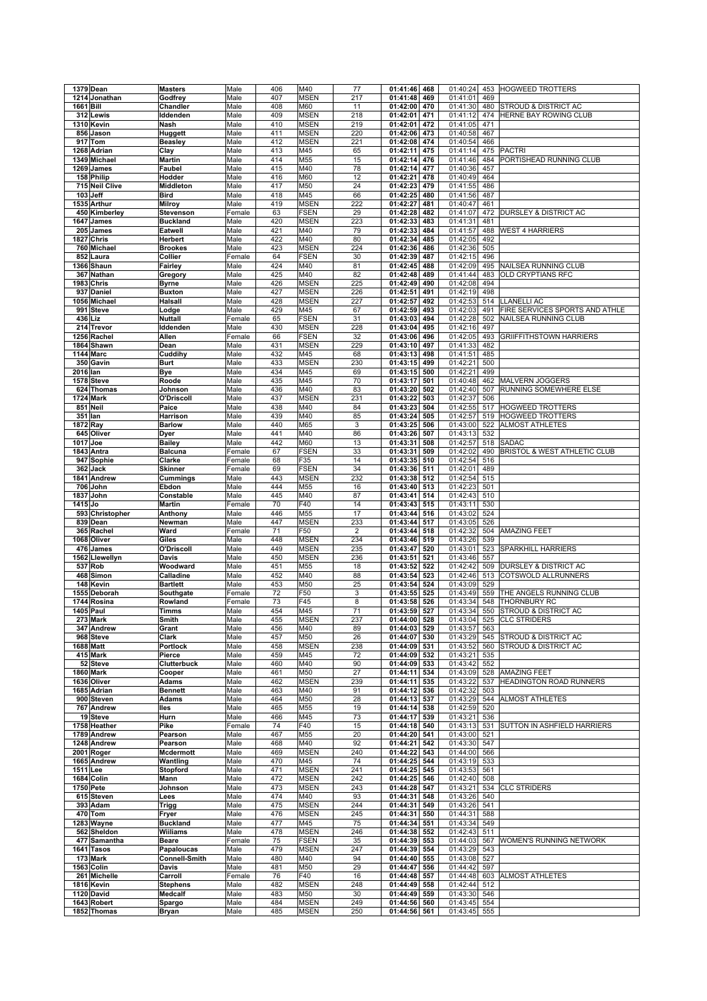|           | 1379 Dean                  | <b>Masters</b>         | Male         | 406        | M40                 | 77                        | 01:41:46                 | 468 | 01:40:24             | 453        | <b>HOGWEED TROTTERS</b>         |
|-----------|----------------------------|------------------------|--------------|------------|---------------------|---------------------------|--------------------------|-----|----------------------|------------|---------------------------------|
|           | 1214 Jonathan              | Godfrey                | Male         | 407        | <b>MSEN</b>         | 217                       | 01:41:48                 | 469 | 01:41:01             | 469        |                                 |
| 1661 Bill |                            | Chandler               | Male         | 408        | M60                 | 11                        | 01:42:00                 | 470 | 01:41:30             | 480        | STROUD & DISTRICT AC            |
|           | 312 Lewis                  | Iddenden               | Male         | 409        | <b>MSEN</b>         | 218                       | 01:42:01                 | 471 | 01:41:12             | 474        | HERNE BAY ROWING CLUB           |
|           | 1310 Kevin                 | Nash                   | Male         | 410        | <b>MSEN</b>         | 219                       | 01:42:01                 | 472 | 01:41:05             | 471        |                                 |
|           | 856 Jason                  | Huggett                | Male         | 411        | <b>MSEN</b>         | 220                       | 01:42:06                 | 473 | 01:40:58             | 467        |                                 |
|           | 917 Tom                    | <b>Beasley</b>         | Male         | 412        | <b>MSEN</b>         | 221                       | 01:42:08                 | 474 | 01:40:54             | 466        |                                 |
|           |                            |                        |              |            |                     |                           | 01:42:11                 |     | 01:41:14             |            | <b>PACTRI</b>                   |
|           | 1268 Adrian                | Clay                   | Male         | 413        | M45                 | 65                        |                          | 475 |                      | 475        |                                 |
|           | 1349 Michael               | Martin                 | Male         | 414        | M55                 | 15                        | 01:42:14                 | 476 | 01:41:46             | 484        | PORTISHEAD RUNNING CLUB         |
|           | 1269 James                 | Faubel                 | Male         | 415        | M40                 | 78                        | 01:42:14                 | 477 | 01:40:36             | 457        |                                 |
|           | 158 Philip                 | Hodder                 | Male         | 416        | M60                 | 12                        | 01:42:21                 | 478 | 01:40:49             | 464        |                                 |
|           | 715 Neil Clive             | Middleton              | Male         | 417        | M50                 | 24                        | 01:42:23                 | 479 | 01:41:55             | 486        |                                 |
|           | 103 Jeff                   | <b>Bird</b>            | Male         | 418        | M45                 | 66                        | 01:42:25                 | 480 | 01:41:56             | 487        |                                 |
|           | 1535 Arthur                | <b>Milroy</b>          | Male         | 419        | <b>MSEN</b>         | 222                       | 01:42:27                 | 481 | 01:40:47             | 461        |                                 |
|           | 450 Kimberley              | <b>Stevenson</b>       | Female       | 63         | <b>FSEN</b>         | 29                        | 01:42:28                 | 482 | 01:41:07             | 472        | DURSLEY & DISTRICT AC           |
|           | 1647 James                 | <b>Buckland</b>        | Male         | 420        | <b>MSEN</b>         | 223                       | 01:42:33                 | 483 | 01:41:31             | 481        |                                 |
|           | 205 James                  | Eatwell                | Male         | 421        | M40                 | 79                        | 01:42:33                 | 484 | 01:41:57             | 488        | <b>WEST 4 HARRIERS</b>          |
|           | 1827 Chris                 | Herbert                | Male         | 422        | M40                 | 80                        | 01:42:34                 | 485 | 01:42:05             | 492        |                                 |
|           | 760 Michael                | <b>Brookes</b>         |              | 423        | <b>MSEN</b>         | 224                       | 01:42:36                 | 486 | 01:42:36             | 505        |                                 |
|           |                            |                        | Male         |            |                     |                           |                          |     |                      |            |                                 |
|           | 852 Laura                  | Collier                | Female       | 64         | <b>FSEN</b>         | 30                        | 01:42:39                 | 487 | 01:42:15             | 496        |                                 |
|           | 1366 Shaun                 | Fairley                | Male         | 424        | M40                 | 81                        | 01:42:45                 | 488 | 01:42:09             | 495        | NAILSEA RUNNING CLUB            |
|           | 367 Nathan                 | Gregory                | Male         | 425        | M40                 | 82                        | 01:42:48                 | 489 | 01:41:44             | 483        | OLD CRYPTIANS RFC               |
|           | <b>1983 Chris</b>          | <b>Byrne</b>           | Male         | 426        | <b>MSEN</b>         | 225                       | 01:42:49                 | 490 | 01:42:08             | 494        |                                 |
|           | 937 Daniel                 | <b>Buxton</b>          | Male         | 427        | <b>MSEN</b>         | 226                       | 01:42:51                 | 491 | 01:42:19             | 498        |                                 |
|           | 1056 Michael               | Halsall                | Male         | 428        | <b>MSEN</b>         | 227                       | 01:42:57                 | 492 | 01:42:53             | 514        | <b>LLANELLI AC</b>              |
| 991       | <b>Steve</b>               | Lodge                  | Male         | 429        | M45                 | 67                        | 01:42:59                 | 493 | 01:42:03             | 491        | FIRE SERVICES SPORTS AND ATHLE  |
|           | 436 Liz                    | Nuttall                | Female       | 65         | <b>FSEN</b>         | 31                        | 01:43:03                 | 494 | 01:42:28             | 502        | NAILSEA RUNNING CLUB            |
|           | 214 Trevor                 | Iddenden               | Male         | 430        | <b>MSEN</b>         | 228                       | 01:43:04                 | 495 | 01:42:16             | 497        |                                 |
|           | 1256 Rachel                | Allen                  | Female       | 66         | <b>FSEN</b>         | 32                        | 01:43:06                 | 496 | 01:42:05             | 493        | <b>GRIIFFITHSTOWN HARRIERS</b>  |
|           | 1864 Shawn                 | Dean                   | Male         | 431        | <b>MSEN</b>         | 229                       | 01:43:10                 | 497 | 01:41:33             | 482        |                                 |
|           | <b>1144 Marc</b>           | Cuddihy                | Male         | 432        | M45                 | 68                        | 01:43:13                 | 498 | 01:41:51             | 485        |                                 |
|           |                            |                        |              |            |                     |                           |                          |     |                      |            |                                 |
|           | 350 Gavin                  | <b>Burt</b>            | Male         | 433        | MSEN                | 230                       | 01:43:15                 | 499 | 01:42:21             | 500        |                                 |
| 2016 lan  |                            | Bye                    | Male         | 434        | M45                 | 69                        | 01:43:15                 | 500 | 01:42:21             | 499        |                                 |
|           | 1578 Steve                 | Roode                  | Male         | 435        | M45                 | 70                        | 01:43:17                 | 501 | 01:40:48             | 462        | <b>MALVERN JOGGERS</b>          |
|           | 624 Thomas                 | Johnson                | Male         | 436        | M40                 | 83                        | 01:43:20                 | 502 | 01:42:40             | 507        | RUNNING SOMEWHERE ELSE          |
|           | <b>1724 Mark</b>           | O'Driscoll             | Male         | 437        | <b>MSEN</b>         | 231                       | 01:43:22                 | 503 | 01:42:37             | 506        |                                 |
|           | 851 Neil                   | Paice                  | Male         | 438        | M40                 | 84                        | 01:43:23                 | 504 | 01:42:55             | 517        | <b>HOGWEED TROTTERS</b>         |
| 351       | lan                        | Harrison               | Male         | 439        | M40                 | 85                        | 01:43:24                 | 505 | 01:42:57             | 519        | <b>HOGWEED TROTTERS</b>         |
| 1872 Ray  |                            | <b>Barlow</b>          | Male         | 440        | M65                 | $\ensuremath{\mathsf{3}}$ | 01:43:25                 | 506 | 01:43:00             | 522        | <b>ALMOST ATHLETES</b>          |
|           | 645 Oliver                 | Dyer                   | Male         | 441        | M40                 | 86                        | 01:43:26                 | 507 | 01:43:13             | 532        |                                 |
| 1017 Joe  |                            | <b>Bailey</b>          | Male         | 442        | M60                 | 13                        | 01:43:31                 | 508 | 01:42:57             | 518        | <b>SADAC</b>                    |
|           | 1843 Antra                 | <b>Balcuna</b>         | Female       | 67         | <b>FSEN</b>         | 33                        | 01:43:31                 | 509 | 01:42:02             | 490        | BRISTOL & WEST ATHLETIC CLUB    |
|           |                            |                        |              |            |                     | 14                        |                          |     |                      |            |                                 |
|           | 947 Sophie                 | Clarke                 | Female       | 68         | F35                 |                           | 01:43:35                 | 510 | 01:42:54             | 516        |                                 |
|           | 362 Jack                   | <b>Skinner</b>         | Female       | 69         | <b>FSEN</b>         | 34                        | 01:43:36                 | 511 | 01:42:01             | 489        |                                 |
|           | 1841 Andrew                | Cummings               | Male         | 443        | <b>MSEN</b>         | 232                       | 01:43:38                 | 512 | 01:42:54             | 515        |                                 |
|           | 706 John                   | Ebdon                  | Male         | 444        | M55                 | 16                        | 01:43:40                 | 513 | 01:42:23             | 501        |                                 |
|           | 1837 John                  | Constable              | Male         | 445        | M40                 | 87                        | 01:43:41                 | 514 | 01:42:43             | 510        |                                 |
| 1415 Jo   |                            | <b>Martin</b>          | Female       | 70         | F40                 | 14                        | 01:43:43                 | 515 | 01:43:11             | 530        |                                 |
|           | 593 Christopher            | Anthony                | Male         | 446        | M55                 | 17                        | 01:43:44                 | 516 | 01:43:02             | 524        |                                 |
|           | 839 Dean                   | Newman                 | Male         | 447        | <b>MSEN</b>         | 233                       | 01:43:44                 | 517 | 01:43:05             | 526        |                                 |
|           | 365 Rachel                 | Ward                   | Female       | 71         | F50                 | $\overline{c}$            | 01:43:44                 | 518 | 01:42:32             | 504        | <b>AMAZING FEET</b>             |
|           | 1068 Oliver                | Giles                  | Male         | 448        | <b>MSEN</b>         | 234                       | 01:43:46                 | 519 | 01:43:26             | 539        |                                 |
|           | 476 James                  | O'Driscoll             | Male         | 449        | <b>MSEN</b>         | 235                       | 01:43:47                 | 520 | 01:43:01             | 523        | SPARKHILL HARRIERS              |
|           |                            |                        | Male         | 450        | <b>MSEN</b>         | 236                       | 01:43:51                 | 521 | 01:43:46             | 557        |                                 |
|           |                            |                        |              |            |                     |                           |                          | 522 |                      |            | DURSLEY & DISTRICT AC           |
| 1562      | Llewellyn                  | Davis                  |              |            |                     |                           |                          |     |                      |            |                                 |
|           | 537 Rob                    | Woodward               | Male         | 451        | M55                 | 18                        | 01:43:52                 |     | 01:42:42             | 509        |                                 |
|           | 468 Simon                  | Calladine              | Male         | 452        | M40                 | 88                        | 01:43:54                 | 523 | 01:42:46             | 513        | COTSWOLD ALLRUNNERS             |
|           | 148 Kevin                  | <b>Bartlett</b>        | Male         | 453        | M50                 | 25                        | 01:43:54                 | 524 | 01:43:09             | 529        |                                 |
|           | 1555 Deborah               | Southgate              | Female       | 72         | F50                 | $\ensuremath{\mathsf{3}}$ | 01:43:55                 | 525 | 01:43:49             | 559        | THE ANGELS RUNNING CLUB         |
|           | 1744 Rosina                | Rowland                | Female       | 73         | F45                 | 8                         | 01:43:58                 | 526 | 01:43:34             | 548        | THORNBURY RC                    |
|           | 1405 Paul                  | Timms                  | Male         | 454        | M45                 | 71                        | 01:43:59                 | 527 | 01:43:34             | 550        | <b>STROUD &amp; DISTRICT AC</b> |
|           | 273 Mark                   | Smith                  | Male         | 455        | <b>MSEN</b>         | 237                       | 01:44:00 528             |     | 01:43:04 525         |            | <b>CLC STRIDERS</b>             |
|           |                            |                        |              |            |                     |                           |                          |     |                      |            |                                 |
|           | 347 Andrew                 | Grant                  | Male         | 456        | M40                 | 89                        | 01:44:03 529             |     | 01:43:57             | 563        |                                 |
|           | 968 Steve                  | Clark                  | Male         | 457        | M50                 | 26                        | 01:44:07                 | 530 | 01:43:29             | 545        | <b>STROUD &amp; DISTRICT AC</b> |
|           | 1688 Matt                  | <b>Portlock</b>        | Male         | 458        | MSEN                | 238                       | 01:44:09                 | 531 | 01:43:52             | 560        | STROUD & DISTRICT AC            |
|           | 415 Mark                   | Pierce                 | Male         | 459        | M45                 | 72                        | 01:44:09                 | 532 | 01:43:21             | 535        |                                 |
|           | 52 Steve                   | Clutterbuck            | Male         | 460        | M40                 | 90                        | 01:44:09                 | 533 | 01:43:42             | 552        |                                 |
|           | 1860 Mark                  | Cooper                 | Male         | 461        | M50                 | 27                        | 01:44:11                 | 534 | 01:43:09             | 528        | <b>AMAZING FEET</b>             |
|           | 1636 Oliver                | Adams                  | Male         | 462        | <b>MSEN</b>         | 239                       | 01:44:11                 | 535 | 01:43:22             | 537        | HEADINGTON ROAD RUNNERS         |
|           | 1685 Adrian                | <b>Bennett</b>         | Male         | 463        | M40                 | 91                        | 01:44:12                 | 536 | 01:42:32             | 503        |                                 |
|           | 900 Steven                 | <b>Adams</b>           | Male         | 464        | M50                 | 28                        | 01:44:13                 | 537 | 01:43:29             | 544        | ALMOST ATHLETES                 |
|           | 767 Andrew                 | lles                   | Male         | 465        | M55                 | 19                        | 01:44:14                 | 538 | 01:42:59             | 520        |                                 |
|           | 19 Steve                   | Hurn                   | Male         | 466        | M45                 | 73                        | 01:44:17                 | 539 | 01:43:21             | 536        |                                 |
|           | 1758 Heather               | Pike                   | Female       | 74         | F40                 | 15                        | 01:44:18                 | 540 | 01:43:13             | 531        | SUTTON IN ASHFIELD HARRIERS     |
|           | 1789 Andrew                | Pearson                | Male         | 467        | M55                 | 20                        | 01:44:20                 | 541 | 01:43:00             | 521        |                                 |
|           | 1248 Andrew                | Pearson                | Male         | 468        | M40                 | 92                        | 01:44:21                 | 542 | 01:43:30             | 547        |                                 |
|           |                            |                        |              | 469        |                     |                           |                          | 543 |                      |            |                                 |
|           | 2001 Roger                 | <b>Mcdermott</b>       | Male         |            | <b>MSEN</b>         | 240                       | 01:44:22                 |     | 01:44:00             | 566        |                                 |
|           | 1665 Andrew                | Wantling               | Male         | 470        | M45                 | 74                        | 01:44:25                 | 544 | 01:43:19             | 533        |                                 |
| 1511 Lee  |                            | Stopford               | Male         | 471        | <b>MSEN</b>         | 241                       | 01:44:25                 | 545 | 01:43:53             | 561        |                                 |
|           | 1684 Colin                 | Mann                   | Male         | 472        | <b>MSEN</b>         | 242                       | 01:44:25                 | 546 | 01:42:40             | 508        |                                 |
|           | 1750 Pete                  | Johnson                | Male         | 473        | <b>MSEN</b>         | 243                       | 01:44:28                 | 547 | 01:43:21             | 534        | <b>CLC STRIDERS</b>             |
|           | 615 Steven                 | Lees                   | Male         | 474        | M40                 | 93                        | 01:44:31                 | 548 | 01:43:26             | 540        |                                 |
|           | 393 Adam                   | Trigg                  | Male         | 475        | <b>MSEN</b>         | 244                       | 01:44:31                 | 549 | 01:43:26             | 541        |                                 |
|           | 470 Tom                    | Fryer                  | Male         | 476        | <b>MSEN</b>         | 245                       | 01:44:31                 | 550 | 01:44:31             | 588        |                                 |
|           | 1283 Wayne                 | <b>Buckland</b>        | Male         | 477        | M45                 | 75                        | 01:44:34                 | 551 | 01:43:34             | 549        |                                 |
|           | 562 Sheldon                | Wiiliams               | Male         | 478        | <b>MSEN</b>         | 246                       | 01:44:38                 | 552 | 01:42:43             | 511        |                                 |
|           | 477 Samantha               | Beare                  | Female       | 75         | <b>FSEN</b>         | 35                        | 01:44:39                 | 553 | 01:44:03             | 567        | WOMEN'S RUNNING NETWORK         |
|           | 1641 Tasos                 | Papaloucas             | Male         | 479        | <b>MSEN</b>         | 247                       | 01:44:39                 | 554 | 01:43:29             | 543        |                                 |
|           |                            |                        |              | 480        |                     |                           |                          |     |                      |            |                                 |
|           | 173 Mark                   | <b>Connell-Smith</b>   | Male         |            | M40                 | 94                        | 01:44:40                 | 555 | 01:43:08             | 527        |                                 |
|           | 1563 Colin                 | Davis                  | Male         | 481        | M50                 | 29                        | 01:44:47                 | 556 | 01:44:42             | 597        |                                 |
|           | 261 Michelle               | Carroll                | Female       | 76         | F40                 | 16                        | 01:44:48                 | 557 | 01:44:48             | 603        | ALMOST ATHLETES                 |
|           | 1816 Kevin                 | <b>Stephens</b>        | Male         | 482        | <b>MSEN</b>         | 248                       | 01:44:49                 | 558 | 01:42:44             | 512        |                                 |
|           | 1120 David                 | Medcalf                | Male         | 483        | M50                 | 30                        | 01:44:49                 | 559 | 01:43:30             | 546        |                                 |
|           | 1643 Robert<br>1852 Thomas | Spargo<br><b>Bryan</b> | Male<br>Male | 484<br>485 | MSEN<br><b>MSEN</b> | 249<br>250                | 01:44:56<br>01:44:56 561 | 560 | 01:43:45<br>01:43:45 | 554<br>555 |                                 |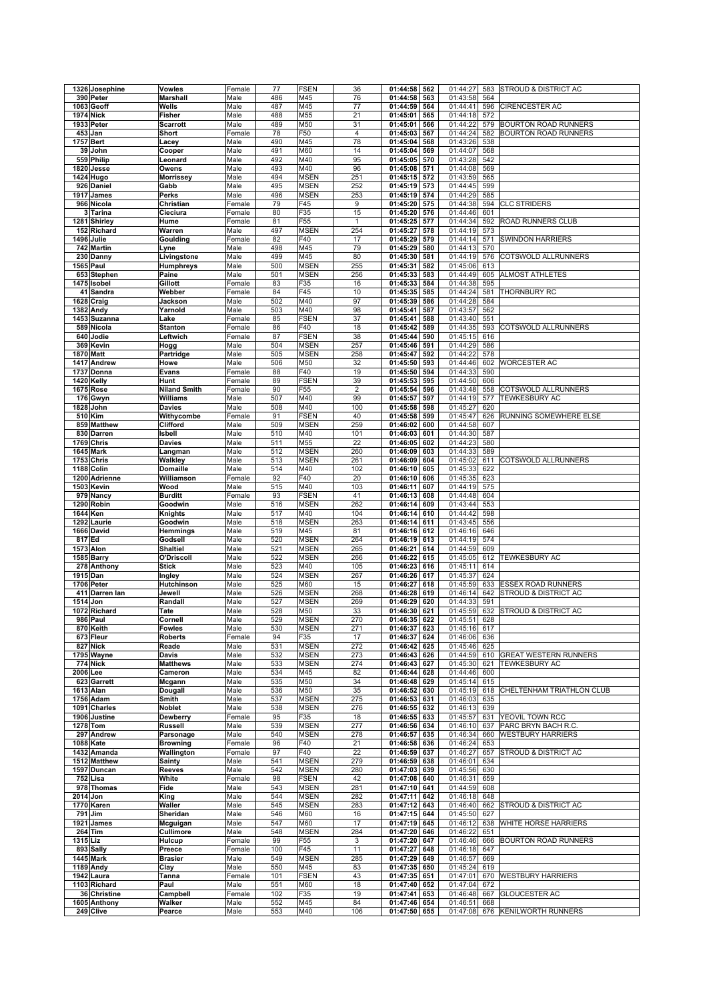|          | 1326 Josephine   | Vowles              | Female | 77         | <b>FSEN</b>     | 36             | 01:44:58     | 562 | 01:44:27     | 583 | STROUD & DISTRICT AC            |
|----------|------------------|---------------------|--------|------------|-----------------|----------------|--------------|-----|--------------|-----|---------------------------------|
|          | 390 Peter        | Marshall            | Male   | 486        | M45             | 76             | 01:44:58     | 563 | 01:43:58     | 564 |                                 |
|          | 1063 Geoff       | Wells               | Male   | 487        | M45             | 77             | 01:44:59     | 564 | 01:44:41     | 596 | CIRENCESTER AC                  |
|          | <b>1974 Nick</b> | <b>Fisher</b>       | Male   | 488        | M55             | 21             | 01:45:01     | 565 | 01:44:18     | 572 |                                 |
|          | 1933 Peter       | <b>Scarrott</b>     | Male   | 489        | M50             | 31             | 01:45:01     | 566 | 01:44:22     | 579 | <b>BOURTON ROAD RUNNERS</b>     |
|          | 453 Jan          | Short               | Female | 78         | F50             | $\overline{4}$ | 01:45:03     | 567 | 01:44:24     | 582 | <b>BOURTON ROAD RUNNERS</b>     |
|          | 1757 Bert        |                     |        | 490        | M45             | 78             |              |     |              |     |                                 |
|          |                  | Lacey               | Male   |            |                 |                | 01:45:04     | 568 | 01:43:26     | 538 |                                 |
|          | 39 John          | Cooper              | Male   | 491        | M60             | 14             | 01:45:04     | 569 | 01:44:07     | 568 |                                 |
|          | 559 Philip       | Leonard             | Male   | 492        | M40             | 95             | 01:45:05     | 570 | 01:43:28     | 542 |                                 |
|          | 1820 Jesse       | Owens               | Male   | 493        | M40             | 96             | 01:45:08     | 571 | 01:44:08     | 569 |                                 |
|          | 1424 Hugo        | Morrissey           | Male   | 494        | <b>MSEN</b>     | 251            | 01:45:15     | 572 | 01:43:59     | 565 |                                 |
|          | 926 Daniel       | Gabb                | Male   | 495        | <b>MSEN</b>     | 252            | 01:45:19     | 573 | 01:44:45     | 599 |                                 |
|          | 1917 James       | Perks               | Male   | 496        | <b>MSEN</b>     | 253            | 01:45:19     | 574 | 01:44:29     | 585 |                                 |
|          | 966 Nicola       | Christian           | Female | 79         | F45             | 9              | 01:45:20     | 575 | 01:44:38     | 594 | <b>CLC STRIDERS</b>             |
|          | 3 Tarina         | Cieciura            | Female | 80         | F35             | 15             | 01:45:20     | 576 | 01:44:46     | 601 |                                 |
|          | 1281 Shirley     | Hume                | Female | 81         | F55             | $\mathbf{1}$   | 01:45:25     | 577 | 01:44:34     | 592 | ROAD RUNNERS CLUB               |
|          | 152 Richard      | Warren              | Male   | 497        | <b>MSEN</b>     | 254            | 01:45:27     | 578 | 01:44:19     | 573 |                                 |
|          | 1496 Julie       | Goulding            | Female | 82         | F40             | 17             | 01:45:29     | 579 | 01:44:14     | 571 | <b>SWINDON HARRIERS</b>         |
|          | 742 Martin       |                     | Male   | 498        | M45             | 79             | 01:45:29     | 580 | 01:44:13     | 570 |                                 |
|          |                  | Lyne<br>Livingstone |        |            |                 |                |              |     |              |     | COTSWOLD ALLRUNNERS             |
|          | 230 Danny        |                     | Male   | 499        | M45             | 80             | 01:45:30     | 581 | 01:44:19     | 576 |                                 |
|          | 1565 Paul        | Humphreys           | Male   | 500        | <b>MSEN</b>     | 255            | 01:45:31     | 582 | 01:45:06     | 613 |                                 |
|          | 653 Stephen      | Paine               | Male   | 501        | <b>MSEN</b>     | 256            | 01:45:33     | 583 | 01:44:49     | 605 | <b>ALMOST ATHLETES</b>          |
|          | 1475 Isobel      | Gillott             | Female | 83         | F35             | 16             | 01:45:33     | 584 | 01:44:38     | 595 |                                 |
|          | 41 Sandra        | Webber              | Female | 84         | F45             | 10             | 01:45:35     | 585 | 01:44:24     | 581 | THORNBURY RC                    |
|          | 1628 Craig       | Jackson             | Male   | 502        | M40             | 97             | 01:45:39     | 586 | 01:44:28     | 584 |                                 |
|          | 1382 Andy        | Yarnold             | Male   | 503        | M40             | 98             | 01:45:41     | 587 | 01:43:57     | 562 |                                 |
|          | 1453 Suzanna     | Lake                | Female | 85         | <b>FSEN</b>     | 37             | 01:45:41     | 588 | 01:43:40     | 551 |                                 |
|          | 589 Nicola       | <b>Stanton</b>      | Female | 86         | F40             | 18             | 01:45:42     | 589 | 01:44:35     | 593 | COTSWOLD ALLRUNNERS             |
|          | 640 Jodie        | Leftwich            | Female | 87         | <b>FSEN</b>     | 38             | 01:45:44     | 590 | 01:45:15     | 616 |                                 |
|          | 369 Kevin        | Hogg                | Male   | 504        | <b>MSEN</b>     | 257            | 01:45:46     | 591 | 01:44:29     | 586 |                                 |
|          | <b>1870 Matt</b> | Partridge           | Male   | 505        | <b>MSEN</b>     | 258            | 01:45:47     | 592 | 01:44:22     | 578 |                                 |
|          | 1417 Andrew      | Howe                | Male   | 506        | M50             | 32             | 01:45:50     | 593 | 01:44:46     | 602 | <b>WORCESTER AC</b>             |
|          | 1737 Donna       | <b>Evans</b>        | Female | 88         | F <sub>40</sub> | 19             | 01:45:50     | 594 | 01:44:33     | 590 |                                 |
|          |                  |                     |        |            |                 |                |              |     |              |     |                                 |
|          | 1420 Kelly       | Hunt                | Female | 89         | <b>FSEN</b>     | 39             | 01:45:53     | 595 | 01:44:50     | 606 |                                 |
|          | <b>1675 Rose</b> | <b>Niland Smith</b> | Female | 90         | F <sub>55</sub> | $\overline{2}$ | 01:45:54     | 596 | 01:43:48     | 558 | <b>COTSWOLD ALLRUNNERS</b>      |
|          | 176 Gwyn         | Williams            | Male   | 507        | M40             | 99             | 01:45:57     | 597 | 01:44:19     | 577 | <b>TEWKESBURY AC</b>            |
|          | 1828 John        | <b>Davies</b>       | Male   | 508        | M40             | 100            | 01:45:58     | 598 | 01:45:27     | 620 |                                 |
|          | 510 Kim          | Withycombe          | Female | 91         | <b>FSEN</b>     | 40             | 01:45:58     | 599 | 01:45:47     | 626 | RUNNING SOMEWHERE ELSE          |
|          | 859 Matthew      | Clifford            | Male   | 509        | <b>MSEN</b>     | 259            | 01:46:02     | 600 | 01:44:58     | 607 |                                 |
|          | 830 Darren       | Isbell              | Male   | 510        | M40             | 101            | 01:46:03     | 601 | 01:44:30     | 587 |                                 |
|          | 1769 Chris       | <b>Davies</b>       | Male   | 511        | M55             | 22             | 01:46:05     | 602 | 01:44:23     | 580 |                                 |
|          | <b>1645 Mark</b> | Langman             | Male   | 512        | <b>MSEN</b>     | 260            | 01:46:09     | 603 | 01:44:33     | 589 |                                 |
|          | 1753 Chris       | Walkley             | Male   | 513        | <b>MSEN</b>     | 261            | 01:46:09     | 604 | 01:45:02     | 611 | COTSWOLD ALLRUNNERS             |
|          | 1188 Colin       | <b>Domaille</b>     | Male   | 514        | M40             | 102            | 01:46:10     | 605 | 01:45:33     | 622 |                                 |
|          |                  |                     |        | 92         | F40             | 20             |              | 606 |              |     |                                 |
|          | 1200 Adrienne    | Williamson          | Female |            |                 |                | 01:46:10     |     | 01:45:35     | 623 |                                 |
|          | 1503 Kevin       | Wood                | Male   | 515        | M40             | 103            | 01:46:11     | 607 | 01:44:19     | 575 |                                 |
|          | 979 Nancy        | <b>Burditt</b>      | Female | 93         | <b>FSEN</b>     | 41             | 01:46:13     | 608 | 01:44:48     | 604 |                                 |
|          | 1290 Robin       | Goodwin             | Male   | 516        | <b>MSEN</b>     | 262            | 01:46:14     | 609 | 01:43:44     | 553 |                                 |
| 1644 Ken |                  | Knights             | Male   | 517        | M40             | 104            | 01:46:14     | 610 | 01:44:42     | 598 |                                 |
|          | 1292 Laurie      | Goodwin             | Male   | 518        | <b>MSEN</b>     | 263            | 01:46:14     | 611 | 01:43:45     | 556 |                                 |
|          | 1666 David       | Hemmings            | Male   | 519        | M45             | 81             | 01:46:16     | 612 | 01:46:16     | 646 |                                 |
| 817 Ed   |                  | Godsell             | Male   | 520        | <b>MSEN</b>     | 264            | 01:46:19     | 613 | 01:44:19     | 574 |                                 |
|          | <b>1573 Alon</b> | <b>Shaltiel</b>     | Male   | 521        | <b>MSEN</b>     | 265            | 01:46:21     | 614 | 01:44:59     | 609 |                                 |
|          | 1585 Barry       | O'Driscoll          | Male   | 522        | <b>MSEN</b>     | 266            | 01:46:22     | 615 | 01:45:05     | 612 | TEWKESBURY AC                   |
|          | 278 Anthony      | <b>Stick</b>        | Male   | 523        | M40             | 105            | 01:46:23     | 616 | 01:45:11     | 614 |                                 |
|          | 1915 Dan         |                     | Male   | 524        | <b>MSEN</b>     | 267            | 01:46:26     | 617 | 01:45:37     | 624 |                                 |
|          | 1706 Peter       | Ingley              |        |            |                 |                |              |     |              |     |                                 |
|          |                  | Hutchinson          | Male   | 525<br>526 | M60             | 15             | 01:46:27     | 618 | 01:45:59     | 633 | ESSEX ROAD RUNNERS              |
|          | 411 Darren lan   | Jewell              | Male   |            | <b>MSEN</b>     | 268            | 01:46:28     | 619 | 01:46:14     | 642 | STROUD & DISTRICT AC            |
| 1514 Jon |                  | Randall             | Male   | 527        | <b>MSEN</b>     | 269            | 01:46:29     | 620 | 01:44:33     | 591 |                                 |
|          | 1072 Richard     | Tate                | Male   | 528        | M50             | 33             | 01:46:30     | 621 | 01:45:59     | 632 | <b>STROUD &amp; DISTRICT AC</b> |
|          | 986 Paul         | Cornell             | Male   | 529        | MSEN            | 270            | 01:46:35 622 |     | 01:45:51 628 |     |                                 |
|          | 870 Keith        | <b>Fowles</b>       | Male   | 530        | <b>MSEN</b>     | 271            | 01:46:37     | 623 | 01:45:16     | 617 |                                 |
|          | 673 Fleur        | <b>Roberts</b>      | Female | 94         | F35             | 17             | 01:46:37     | 624 | 01:46:06     | 636 |                                 |
|          | 827 Nick         | Reade               | Male   | 531        | <b>MSEN</b>     | 272            | 01:46:42     | 625 | 01:45:46     | 625 |                                 |
|          | 1795 Wayne       | Davis               | Male   | 532        | <b>MSEN</b>     | 273            | 01:46:43     | 626 | 01:44:59     | 610 | <b>GREAT WESTERN RUNNERS</b>    |
|          | 774 Nick         | <b>Matthews</b>     | Male   | 533        | <b>MSEN</b>     | 274            | 01:46:43     | 627 | 01:45:30     | 621 | <b>TEWKESBURY AC</b>            |
| 2006 Lee |                  | Cameron             | Male   | 534        | M45             | 82             | 01:46:44     | 628 | 01:44:46     | 600 |                                 |
|          | 623 Garrett      | Mcgann              | Male   | 535        | M50             | 34             | 01:46:48     | 629 | 01:45:14     | 615 |                                 |
|          | 1613 Alan        | Dougall             | Male   | 536        | M50             | 35             | 01:46:52     | 630 | 01:45:19     | 618 | CHELTENHAM TRIATHLON CLUB       |
|          | 1756 Adam        | Smith               | Male   | 537        | <b>MSEN</b>     | 275            | 01:46:53     | 631 | 01:46:03     | 635 |                                 |
|          | 1091 Charles     | Noblet              | Male   | 538        | <b>MSEN</b>     | 276            | 01:46:55     | 632 | 01:46:13     | 639 |                                 |
|          | 1906 Justine     | Dewberry            | Female | 95         | F35             | 18             | 01:46:55     | 633 | 01:45:57     | 631 | YEOVIL TOWN RCC                 |
|          | 1278 Tom         | <b>Russell</b>      | Male   | 539        | <b>MSEN</b>     | 277            | 01:46:56     | 634 | 01:46:10     | 637 | PARC BRYN BACH R.C.             |
|          |                  |                     |        | 540        |                 |                | 01:46:57     | 635 | 01:46:34     |     |                                 |
|          | 297 Andrew       | Parsonage           | Male   |            | <b>MSEN</b>     | 278            |              |     |              | 660 | <b>WESTBURY HARRIERS</b>        |
|          | 1088 Kate        | <b>Browning</b>     | Female | 96         | F40             | 21             | 01:46:58     | 636 | 01:46:24     | 653 |                                 |
|          | 1432 Amanda      | Wallington          | Female | 97         | F40             | 22             | 01:46:59     | 637 | 01:46:27     | 657 | STROUD & DISTRICT AC            |
|          | 1512 Matthew     | <b>Sainty</b>       | Male   | 541        | <b>MSEN</b>     | 279            | 01:46:59     | 638 | 01:46:01     | 634 |                                 |
|          | 1597 Duncan      | <b>Reeves</b>       | Male   | 542        | <b>MSEN</b>     | 280            | 01:47:03     | 639 | 01:45:56     | 630 |                                 |
|          | 752 Lisa         | White               | Female | 98         | <b>FSEN</b>     | 42             | 01:47:08     | 640 | 01:46:31     | 659 |                                 |
|          | 978 Thomas       | Fide                | Male   | 543        | <b>MSEN</b>     | 281            | 01:47:10     | 641 | 01:44:59     | 608 |                                 |
| 2014 Jon |                  | King                | Male   | 544        | <b>MSEN</b>     | 282            | 01:47:11     | 642 | 01:46:18     | 648 |                                 |
|          | 1770 Karen       | Waller              | Male   | 545        | <b>MSEN</b>     | 283            | 01:47:12     | 643 | 01:46:40     | 662 | STROUD & DISTRICT AC            |
|          | 791 Jim          | Sheridan            | Male   | 546        | M60             | 16             | 01:47:15     | 644 | 01:45:50     | 627 |                                 |
|          | 1921 James       | Mcguigan            | Male   | 547        | M60             | 17             | 01:47:19 645 |     | 01:46:12     | 638 | WHITE HORSE HARRIERS            |
|          | $264$ Tim        | Cullimore           | Male   | 548        | <b>MSEN</b>     | 284            | 01:47:20     | 646 | 01:46:22     | 651 |                                 |
|          |                  |                     |        |            |                 |                |              |     | 01:46:46     |     | <b>BOURTON ROAD RUNNERS</b>     |
|          |                  | Hulcup              | Female | 99<br>100  | F <sub>55</sub> | 3              | 01:47:20 647 |     |              | 666 |                                 |
|          | 1315 Liz         |                     |        |            | F45             | 11             | 01:47:27     | 648 | 01:46:18     | 647 |                                 |
|          | 893 Sally        | Preece              | Female |            |                 |                |              |     |              |     |                                 |
|          | 1445 Mark        | <b>Brasier</b>      | Male   | 549        | <b>MSEN</b>     | 285            | 01:47:29 649 |     | 01:46:57     | 669 |                                 |
|          | $1189$ Andy      | Clay                | Male   | 550        | M45             | 83             | 01:47:35     | 650 | 01:45:24     | 619 |                                 |
|          | 1942 Laura       | Tanna               | Female | 101        | <b>FSEN</b>     | 43             | 01:47:35     | 651 | 01:47:01     | 670 | <b>WESTBURY HARRIERS</b>        |
|          | 1103 Richard     | Paul                | Male   | 551        | M60             | 18             | 01:47:40     | 652 | 01:47:04     | 672 |                                 |
|          | 36 Christine     | Campbell            | Female | 102        | F35             | 19             | 01:47:41     | 653 | 01:46:48     | 667 | GLOUCESTER AC                   |
|          | 1605 Anthony     | Walker              | Male   | 552        | M45             | 84             | 01:47:46     | 654 | 01:46:51     | 668 |                                 |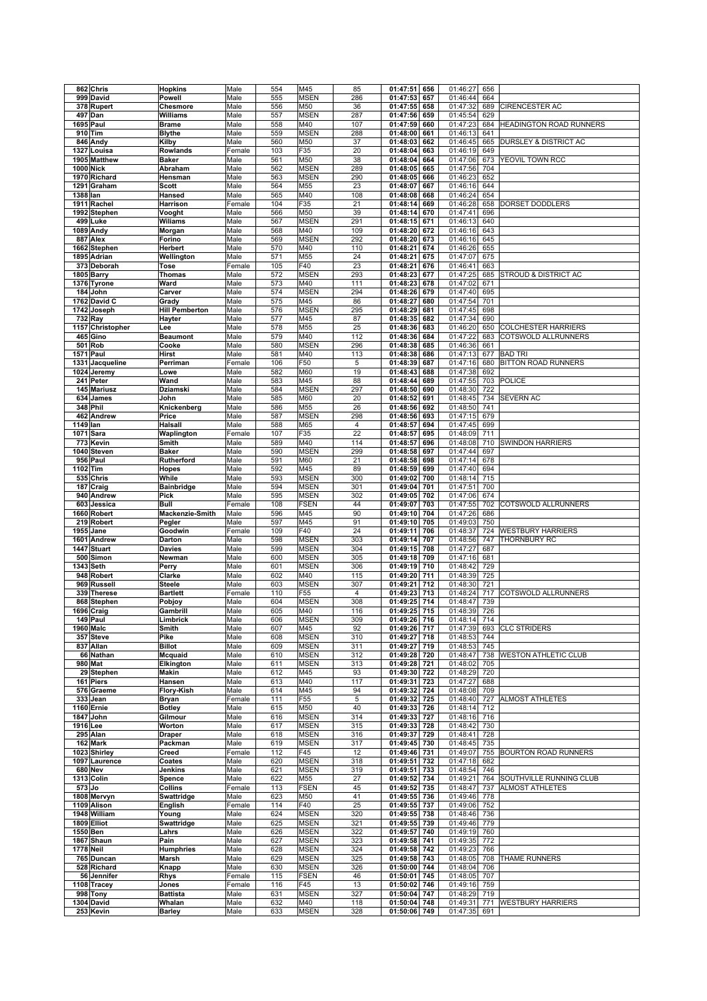|          | 862 Chris        | <b>Hopkins</b>        | Male   | 554 | M45         | 85             | 01:47:51     | 656 | 01:46:27     | 656 |                                |
|----------|------------------|-----------------------|--------|-----|-------------|----------------|--------------|-----|--------------|-----|--------------------------------|
|          | 999 David        | Powell                | Male   | 555 | <b>MSEN</b> | 286            | 01:47:53     | 657 | 01:46:44     | 664 |                                |
|          | 378 Rupert       | Chesmore              | Male   | 556 | M50         | 36             | 01:47:55     | 658 | 01:47:32     | 689 | CIRENCESTER AC                 |
|          | 497 Dan          | Williams              | Male   | 557 | <b>MSEN</b> | 287            | 01:47:56     | 659 | 01:45:54     | 629 |                                |
|          | 1695 Paul        | <b>Brame</b>          | Male   | 558 | M40         | 107            | 01:47:59     | 660 | 01:47:23     | 684 | <b>HEADINGTON ROAD RUNNERS</b> |
|          | 910 Tim          | <b>Blythe</b>         | Male   | 559 | <b>MSEN</b> | 288            | 01:48:00     | 661 | 01:46:13     | 641 |                                |
|          | 846 Andy         | Kilby                 | Male   | 560 | M50         | 37             | 01:48:03     | 662 | 01:46:45     | 665 | DURSLEY & DISTRICT AC          |
| 1327     | Louisa           | Rowlands              | Female | 103 | F35         | 20             | 01:48:04     | 663 | 01:46:19     | 649 |                                |
|          | 1905 Matthew     | <b>Baker</b>          | Male   | 561 | M50         | 38             | 01:48:04     | 664 | 01:47:06     | 673 | YEOVIL TOWN RCC                |
|          | 1000 Nick        | Abraham               | Male   | 562 | <b>MSEN</b> | 289            | 01:48:05     | 665 | 01:47:56     | 704 |                                |
|          | 1970 Richard     | Hensman               | Male   | 563 | <b>MSEN</b> | 290            | 01:48:05     | 666 | 01:46:23     | 652 |                                |
|          | 1291 Graham      | <b>Scott</b>          | Male   | 564 | M55         | 23             | 01:48:07     | 667 | 01:46:16     | 644 |                                |
| 1388 lan |                  | Hansed                | Male   | 565 | M40         | 108            | 01:48:08     | 668 | 01:46:24     | 654 |                                |
|          | 1911 Rachel      | Harrison              | Female | 104 | F35         | 21             | 01:48:14     | 669 | 01:46:28     | 658 | <b>DORSET DODDLERS</b>         |
|          | 1992 Stephen     | Vooght                | Male   | 566 | M50         | 39             | 01:48:14     | 670 | 01:47:41     | 696 |                                |
|          | 499 Luke         | Wiliams               | Male   | 567 | <b>MSEN</b> | 291            | 01:48:15     | 671 | 01:46:13     | 640 |                                |
|          | 1089 Andy        | Morgan                | Male   | 568 | M40         | 109            | 01:48:20     | 672 | 01:46:16     | 643 |                                |
|          | 887 Alex         | Forino                | Male   | 569 | MSEN        | 292            | 01:48:20     | 673 | 01:46:16     | 645 |                                |
|          | 1662 Stephen     | Herbert               | Male   | 570 | M40         | 110            | 01:48:21     | 674 | 01:46:26     | 655 |                                |
|          | 1895 Adrian      | Wellington            | Male   | 571 | M55         | 24             | 01:48:21     | 675 | 01:47:07     | 675 |                                |
|          | 373 Deborah      | Tose                  | Female | 105 | F40         | 23             | 01:48:21     | 676 | 01:46:41     | 663 |                                |
|          | 1805 Barry       | Thomas                | Male   | 572 | <b>MSEN</b> | 293            | 01:48:23     | 677 | 01:47:25     | 685 | STROUD & DISTRICT AC           |
|          | 1376 Tyrone      | Ward                  | Male   | 573 | M40         | 111            | 01:48:23     | 678 | 01:47:02     | 671 |                                |
|          | 184 John         | Carver                | Male   | 574 | <b>MSEN</b> | 294            | 01:48:26     | 679 | 01:47:40     | 695 |                                |
|          | 1762 David C     | Grady                 | Male   | 575 | M45         | 86             | 01:48:27     | 680 | 01:47:54     | 701 |                                |
|          | 1742 Joseph      | <b>Hill Pemberton</b> | Male   | 576 | MSEN        | 295            | 01:48:29     | 681 | 01:47:45     | 698 |                                |
|          | 732 Ray          | Hayter                | Male   | 577 | M45         | 87             | 01:48:35     | 682 | 01:47:34     | 690 |                                |
|          | 1157 Christopher | Lee                   | Male   | 578 | M55         | 25             | 01:48:36     | 683 | 01:46:20     | 650 | <b>COLCHESTER HARRIERS</b>     |
|          | 465 Gino         | <b>Beaumont</b>       | Male   | 579 | M40         | 112            | 01:48:36     | 684 | 01:47:22     | 683 | COTSWOLD ALLRUNNERS            |
|          | 501 Rob          | Cooke                 | Male   | 580 | MSEN        | 296            | 01:48:38     | 685 | 01:46:36     | 661 |                                |
|          | <b>1571 Paul</b> | <b>Hirst</b>          | Male   | 581 | M40         | 113            | 01:48:38     | 686 | 01:47:13     | 677 | <b>BAD TRI</b>                 |
| 1331     | Jacqueline       | Perriman              | Female | 106 | F50         | 5              | 01:48:39     | 687 | 01:47:16     | 680 | BITTON ROAD RUNNERS            |
|          | 1024 Jeremy      | Lowe                  | Male   | 582 | M60         | 19             | 01:48:43     | 688 | 01:47:38     | 692 |                                |
|          | 241 Peter        | Wand                  | Male   | 583 | M45         | 88             | 01:48:44     | 689 | 01:47:55     | 703 | <b>POLICE</b>                  |
|          | 145 Mariusz      | <b>Dziamski</b>       | Male   | 584 | <b>MSEN</b> | 297            | 01:48:50     | 690 | 01:48:30     | 722 |                                |
|          | 634 James        | John                  | Male   | 585 | M60         | 20             | 01:48:52     | 691 | 01:48:45     | 734 | SEVERN AC                      |
|          | 348 Phil         | Knickenberg           | Male   | 586 | M55         | 26             | 01:48:56     | 692 | 01:48:50     | 741 |                                |
|          | 462 Andrew       | Price                 | Male   | 587 | MSEN        | 298            | 01:48:56     | 693 | 01:47:15     | 679 |                                |
| 1149 lan |                  | Halsall               | Male   | 588 | M65         | $\overline{4}$ | 01:48:57     | 694 | 01:47:45     | 699 |                                |
|          | 1071 Sara        | Waplington            | Female | 107 | F35         | 22             | 01:48:57     | 695 | 01:48:09     | 711 |                                |
|          | 773 Kevin        | Smith                 | Male   | 589 | M40         | 114            | 01:48:57     | 696 | 01:48:08     | 710 | <b>SWINDON HARRIERS</b>        |
|          | 1040 Steven      | <b>Baker</b>          | Male   | 590 | MSEN        | 299            | 01:48:58     | 697 | 01:47:44     | 697 |                                |
|          | 956 Paul         | Rutherford            | Male   | 591 | M60         | 21             | 01:48:58     | 698 | 01:47:14     | 678 |                                |
| 1102 Tim |                  | Hopes                 | Male   | 592 | M45         | 89             | 01:48:59     | 699 | 01:47:40     | 694 |                                |
|          | 535 Chris        | While                 | Male   | 593 | MSEN        | 300            | 01:49:02     | 700 | 01:48:14     | 715 |                                |
|          | 187 Craig        | <b>Bainbridge</b>     | Male   | 594 | MSEN        | 301            | 01:49:04     | 701 | 01:47:51     | 700 |                                |
|          | 940 Andrew       | Pick                  | Male   | 595 | <b>MSEN</b> | 302            | 01:49:05     | 702 | 01:47:06     | 674 |                                |
|          | 603 Jessica      | Bull                  | Female | 108 | <b>FSEN</b> | 44             | 01:49:07     | 703 | 01:47:55     | 702 | COTSWOLD ALLRUNNERS            |
|          | 1660 Robert      | Mackenzie-Smith       | Male   | 596 | M45         | 90             | 01:49:10     | 704 | 01:47:26     | 686 |                                |
|          | 219 Robert       | Pegler                | Male   | 597 | M45         | 91             | 01:49:10     | 705 | 01:49:03     | 750 |                                |
|          | 1955 Jane        | Goodwin               | Female | 109 | F40         | 24             | 01:49:11     | 706 | 01:48:37     | 724 | <b>WESTBURY HARRIERS</b>       |
|          | 1601 Andrew      | Darton                | Male   | 598 | <b>MSEN</b> | 303            | 01:49:14     | 707 | 01:48:56     | 747 | THORNBURY RC                   |
|          |                  |                       |        |     |             |                |              |     |              |     |                                |
|          | 1447 Stuart      | <b>Davies</b>         | Male   | 599 | <b>MSEN</b> | 304            | 01:49:15     | 708 | 01:47:27     | 687 |                                |
|          | 500 Simon        | Newman                | Male   | 600 | <b>MSEN</b> | 305            | 01:49:18     | 709 | 01:47:16     | 681 |                                |
|          | 1343 Seth        | Perry                 | Male   | 601 | <b>MSEN</b> | 306            | 01:49:19     | 710 | 01:48:42     | 729 |                                |
|          | 948 Robert       | Clarke                | Male   | 602 | M40         | 115            | 01:49:20     | 711 | 01:48:39     | 725 |                                |
|          | 969 Russell      | <b>Steele</b>         | Male   | 603 | MSEN        | 307            | 01:49:21     | 712 | 01:48:30     | 721 |                                |
|          | 339 Therese      | <b>Bartlett</b>       | Female | 110 | F55         | 4              | 01:49:23     | 713 | 01:48:24     | 717 | COTSWOLD ALLRUNNERS            |
|          | 868 Stephen      | Pobjoy                | Male   | 604 | <b>MSEN</b> | 308            | 01:49:25     | 714 | 01:48:47     | 739 |                                |
|          | 1696 Craig       | Gambrill              | Male   | 605 | M40         | 116            | 01:49:25     | 715 | 01:48:39     | 726 |                                |
|          | 149 Paul         | Limbrick              | Male   | 606 | <b>MSEN</b> | 309            | 01:49:26 716 |     | 01:48:14 714 |     |                                |
|          | 1960 Malc        | Smith                 | Male   | 607 | M45         | 92             | 01:49:26     | 717 | 01:47:39     | 693 | <b>CLC STRIDERS</b>            |
|          | 357 Steve        | Pike                  | Male   | 608 | <b>MSEN</b> | 310            | 01:49:27     | 718 | 01:48:53     | 744 |                                |
|          | 837 Allan        | <b>Billot</b>         | Male   | 609 | <b>MSEN</b> | 311            | 01:49:27     | 719 | 01:48:53     | 745 |                                |
|          | 66 Nathan        | Mcquaid               | Male   | 610 | <b>MSEN</b> | 312            | 01:49:28 720 |     | 01:48:47     | 738 | <b>WESTON ATHLETIC CLUB</b>    |
|          | 980 Mat          | Elkington             | Male   | 611 | <b>MSEN</b> | 313            | 01:49:28 721 |     | 01:48:02     | 705 |                                |
|          | 29 Stephen       | Makin                 | Male   | 612 | M45         | 93             | 01:49:30 722 |     | 01:48:29     | 720 |                                |
|          | 161 Piers        | Hansen                | Male   | 613 | M40         | 117            | 01:49:31     | 723 | 01:47:27     | 688 |                                |
|          | 576 Graeme       | Flory-Kish            | Male   | 614 | M45         | 94             | 01:49:32     | 724 | 01:48:08     | 709 |                                |
|          | 333 Jean         | Bryan                 | Female | 111 | F55         | $\overline{5}$ | 01:49:32     | 725 | 01:48:40     | 727 | <b>ALMOST ATHLETES</b>         |
|          | 1160 Ernie       | <b>Botley</b>         | Male   | 615 | M50         | 40             | 01:49:33     | 726 | 01:48:14     | 712 |                                |
|          | 1847 John        | Gilmour               | Male   | 616 | <b>MSEN</b> | 314            | 01:49:33     | 727 | 01:48:16     | 716 |                                |
| 1916 Lee |                  | Worton                | Male   | 617 | <b>MSEN</b> | 315            | 01:49:33     | 728 | 01:48:42     | 730 |                                |
|          | 295 Alan         | <b>Draper</b>         | Male   | 618 | <b>MSEN</b> | 316            | 01:49:37     | 729 | 01:48:41     | 728 |                                |
|          | 162 Mark         | Packman               | Male   | 619 | <b>MSEN</b> | 317            | 01:49:45     | 730 | 01:48:45     | 735 |                                |
|          | 1023 Shirley     | Creed                 | Female | 112 | F45         | 12             | 01:49:46     | 731 | 01:49:07     | 755 | <b>BOURTON ROAD RUNNERS</b>    |
|          |                  |                       |        |     | <b>MSEN</b> | 318            | 01:49:51     | 732 | 01:47:18     | 682 |                                |
|          | 1097 Laurence    | Coates                | Male   | 620 |             |                |              |     |              |     |                                |
|          | <b>680 Nev</b>   | Jenkins               | Male   | 621 | <b>MSEN</b> | 319            | 01:49:51     | 733 | 01:48:54     | 746 |                                |
|          | 1313 Colin       | Spence                | Male   | 622 | M55         | 27             | 01:49:52     | 734 | 01:49:21     | 764 | SOUTHVILLE RUNNING CLUB        |
| $573$ Jo |                  | Collins               | Female | 113 | <b>FSEN</b> | 45             | 01:49:52     | 735 | 01:48:47     | 737 | <b>ALMOST ATHLETES</b>         |
|          | 1808 Mervyn      | Swattridge            | Male   | 623 | M50         | 41             | 01:49:55     | 736 | 01:49:46     | 778 |                                |
|          | 1109 Alison      | <b>English</b>        | Female | 114 | F40         | 25             | 01:49:55     | 737 | 01:49:06     | 752 |                                |
|          | 1948 William     | Young                 | Male   | 624 | <b>MSEN</b> | 320            | 01:49:55     | 738 | 01:48:46     | 736 |                                |
|          | 1809 Elliot      | Swattridge            | Male   | 625 | <b>MSEN</b> | 321            | 01:49:55     | 739 | 01:49:46     | 779 |                                |
|          | 1550 Ben         | Lahrs                 | Male   | 626 | <b>MSEN</b> | 322            | 01:49:57     | 740 | 01:49:19     | 760 |                                |
|          | 1867 Shaun       | Pain                  | Male   | 627 | <b>MSEN</b> | 323            | 01:49:58     | 741 | 01:49:35     | 772 |                                |
|          | <b>1778 Neil</b> | <b>Humphries</b>      | Male   | 628 | <b>MSEN</b> | 324            | 01:49:58     | 742 | 01:49:23     | 766 |                                |
|          | 765 Duncan       | Marsh                 | Male   | 629 | <b>MSEN</b> | 325            | 01:49:58     | 743 | 01:48:05     | 708 | THAME RUNNERS                  |
|          | 528 Richard      | Knapp                 | Male   | 630 | <b>MSEN</b> | 326            | 01:50:00     | 744 | 01:48:04     | 706 |                                |
|          | 56 Jennifer      | Rhys                  | Female | 115 | <b>FSEN</b> | 46             | 01:50:01     | 745 | 01:48:05 707 |     |                                |
|          | 1108 Tracey      | Jones                 | Female | 116 | F45         | 13             | 01:50:02     | 746 | 01:49:16     | 759 |                                |
|          | 998 Tony         | <b>Battista</b>       | Male   | 631 | MSEN        | 327            | 01:50:04     | 747 | 01:48:29     | 719 |                                |
|          | 1304 David       | Whalan                | Male   | 632 | M40         | 118            | 01:50:04     | 748 | 01:49:31     | 771 | <b>WESTBURY HARRIERS</b>       |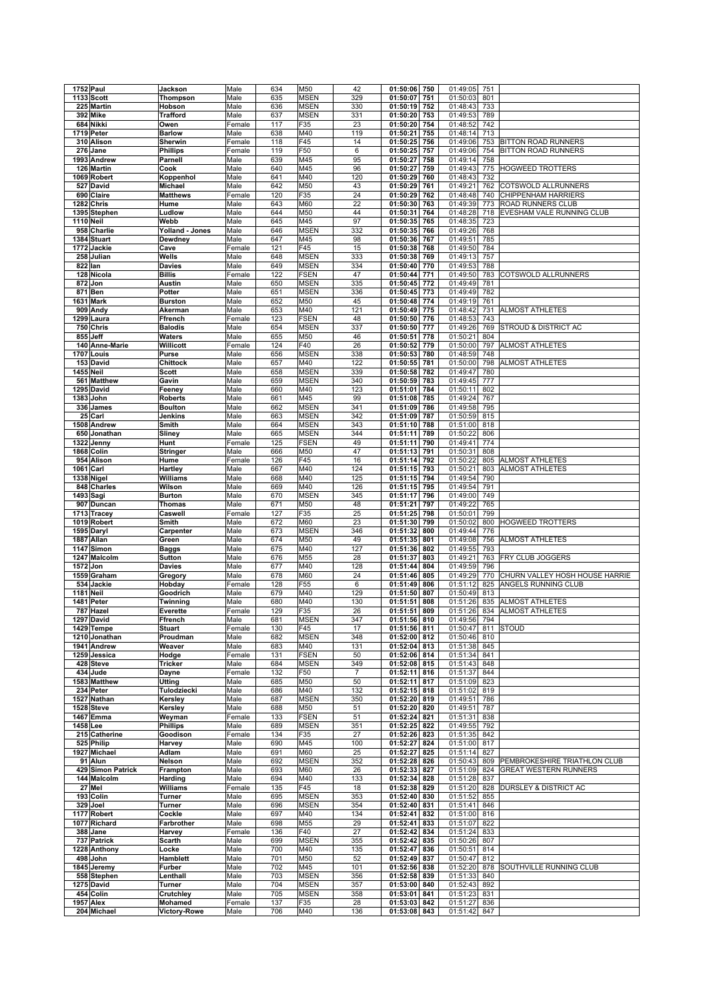|           | 1752 Paul                 | Jackson                        | Male           | 634        | M50             | 42             | 01:50:06<br>750                    | 01:49:05             | 751        |                                |
|-----------|---------------------------|--------------------------------|----------------|------------|-----------------|----------------|------------------------------------|----------------------|------------|--------------------------------|
|           | 1133 Scott                | Thompson                       | Male           | 635        | <b>MSEN</b>     | 329            | 01:50:07<br>751                    | 01:50:03             | 801        |                                |
|           | 225 Martin                | Hobson                         | Male           | 636        | <b>MSEN</b>     | 330            | 01:50:19<br>752                    | 01:48:43             | 733        |                                |
|           | 392 Mike                  | <b>Trafford</b>                | Male           | 637        | <b>MSEN</b>     | 331            | 01:50:20<br>753                    | 01:49:53             | 789        |                                |
|           | 684 Nikki                 | Owen                           | Female         | 117        | F35             | 23             | 01:50:20<br>754                    | 01:48:52             | 742        |                                |
|           | 1719 Peter                | <b>Barlow</b>                  | Male           | 638        | M40             | 119            | 01:50:21<br>755                    | 01:48:14             | 713        |                                |
|           | 310 Alison                | Sherwin                        | Female         | 118        | F45             | 14             | 01:50:25<br>756                    | 01:49:06             | 753        | <b>BITTON ROAD RUNNERS</b>     |
|           | 276 Jane                  | <b>Phillips</b>                | Female         | 119        | F50             | 6              | 01:50:25<br>757                    | 01:49:06             | 754        | <b>BITTON ROAD RUNNERS</b>     |
|           | 1993 Andrew               | Parnell                        | Male           | 639        | M45             | 95             | 01:50:27<br>758                    | 01:49:14             | 758        |                                |
|           | 126 Martin                | Cook                           | Male           | 640        | M45             | 96             | 01:50:27<br>759                    | 01:49:43             | 775        | <b>HOGWEED TROTTERS</b>        |
|           | 1069 Robert               |                                |                | 641        | M40             | 120            | 01:50:29<br>760                    | 01:48:43             | 732        |                                |
|           | 527 David                 | Koppenhol<br><b>Michael</b>    | Male<br>Male   | 642        | M50             | 43             | 01:50:29<br>761                    | 01:49:21             | 762        | COTSWOLD ALLRUNNERS            |
|           |                           |                                |                |            |                 |                |                                    |                      |            |                                |
|           | 690 Claire                | <b>Matthews</b>                | Female         | 120        | F35             | 24             | 01:50:29<br>762                    | 01:48:48             | 740        | CHIPPENHAM HARRIERS            |
|           | 1282 Chris                | Hume                           | Male           | 643        | M60             | 22             | 01:50:30<br>763                    | 01:49:39             | 773        | ROAD RUNNERS CLUB              |
|           | 1395 Stephen              | Ludlow                         | Male           | 644        | M50             | 44             | 01:50:31<br>764                    | 01:48:28             | 718        | EVESHAM VALE RUNNING CLUB      |
| 1110 Neil |                           | Webb                           | Male           | 645        | M45             | 97             | 01:50:35<br>765                    | 01:48:35             | 723        |                                |
|           | 958 Charlie               | Yolland - Jones                | Male           | 646        | <b>MSEN</b>     | 332            | 01:50:35<br>766                    | 01:49:26             | 768        |                                |
|           | 1384 Stuart               | Dewdney                        | Male           | 647        | M45             | 98             | 01:50:36<br>767                    | 01:49:51             | 785        |                                |
|           | 1772 Jackie               | Cave                           | Female         | 121        | F45             | 15             | 01:50:38<br>768                    | 01:49:50             | 784        |                                |
|           | 258 Julian                | Wells                          | Male           | 648        | <b>MSEN</b>     | 333            | 01:50:38<br>769                    | 01:49:13             | 757        |                                |
|           | 822 Ian                   | <b>Davies</b>                  | Male           | 649        | <b>MSEN</b>     | 334            | 01:50:40<br>770                    | 01:49:53             | 788        |                                |
|           | 128 Nicola                | <b>Billis</b>                  | Female         | 122        | <b>FSEN</b>     | 47             | 01:50:44<br>771                    | 01:49:50             | 783        | COTSWOLD ALLRUNNERS            |
|           | 872 Jon                   | Austin                         | Male           | 650        | <b>MSEN</b>     | 335            | 01:50:45<br>772                    | 01:49:49             | 781        |                                |
|           | 871 Ben                   | Potter                         | Male           | 651        | <b>MSEN</b>     | 336            | 01:50:45<br>773                    | 01:49:49             | 782        |                                |
| 1631      | <b>Mark</b>               | <b>Burston</b>                 | Male           | 652        | M50             | 45             | 01:50:48<br>774                    | 01:49:19             | 761        |                                |
| 909       | Andy                      | Akerman                        | Male           | 653        | M40             | 121            | 01:50:49<br>775                    | 01:48:42             | 731        | <b>ALMOST ATHLETES</b>         |
| 1299      | Laura                     | Ffrench                        | Female         | 123        | <b>FSEN</b>     | 48             | 01:50:50<br>776                    | 01:48:53             | 743        |                                |
|           | 750 Chris                 | <b>Balodis</b>                 | Male           | 654        | <b>MSEN</b>     | 337            | 01:50:50<br>777                    | 01:49:26             | 769        | STROUD & DISTRICT AC           |
|           | 855 Jeff                  | Waters                         | Male           | 655        | M50             | 46             | 01:50:51<br>778                    | 01:50:21             | 804        |                                |
|           | 140 Anne-Marie            | Willicott                      | Female         | 124        | F40             | 26             | 01:50:52<br>779                    | 01:50:00             | 797        | <b>ALMOST ATHLETES</b>         |
|           | 1707 Louis                | Purse                          | Male           | 656        | <b>MSEN</b>     | 338            | 01:50:53<br>780                    | 01:48:59             | 748        |                                |
|           | 153 David                 | Chittock                       | Male           | 657        | M40             | 122            | 01:50:55<br>781                    | 01:50:00             | 798        | ALMOST ATHLETES                |
|           | <b>1455 Neil</b>          | <b>Scott</b>                   | Male           | 658        | <b>MSEN</b>     | 339            | 01:50:58<br>782                    | 01:49:47             | 780        |                                |
|           | 561 Matthew               | Gavin                          | Male           | 659        | <b>MSEN</b>     | 340            | 01:50:59<br>783                    | 01:49:45             | 777        |                                |
|           | 1295 David                | Feeney                         | Male           | 660        | M40             | 123            | 01:51:01<br>784                    | 01:50:11             | 802        |                                |
|           | 1383 John                 | <b>Roberts</b>                 | Male           | 661        | M45             | 99             | 01:51:08<br>785                    | 01:49:24             | 767        |                                |
|           | 336 James                 | <b>Boulton</b>                 |                | 662        | <b>MSEN</b>     | 341            | 01:51:09<br>786                    | 01:49:58             | 795        |                                |
|           | 25 Carl                   |                                | Male           | 663        | <b>MSEN</b>     | 342            | 01:51:09<br>787                    | 01:50:59             | 815        |                                |
|           |                           | Jenkins                        | Male           |            |                 |                |                                    |                      |            |                                |
|           | 1508 Andrew               | Smith                          | Male           | 664        | <b>MSEN</b>     | 343            | 01:51:10<br>788                    | 01:51:00             | 818        |                                |
|           | 650 Jonathan              | Sliney                         | Male           | 665        | <b>MSEN</b>     | 344            | 789<br>01:51:11                    | 01:50:22             | 806        |                                |
|           | 1322 Jenny                | Hunt                           | Female         | 125        | <b>FSEN</b>     | 49             | 01:51:11<br>790                    | 01:49:41             | 774        |                                |
|           | 1868 Colin                | <b>Stringer</b>                | Male           | 666        | M50             | 47             | 01:51:13<br>791                    | 01:50:31             | 808        |                                |
| 954       | Alison                    | Hume                           | Female         | 126        | F45             | 16             | 01:51:14<br>792                    | 01:50:22             | 805        | <b>ALMOST ATHLETES</b>         |
| 1061      | Carl                      | Hartley                        | Male           | 667        | M40             | 124            | 793<br>01:51:15                    | 01:50:21             | 803        | ALMOST ATHLETES                |
|           | 1338 Nigel                | Williams                       | Male           | 668        | M40             | 125            | 01:51:15<br>794                    | 01:49:54             | 790        |                                |
|           | 848 Charles               | Wilson                         | Male           | 669        | M40             | 126            | 01:51:15<br>795                    | 01:49:54             | 791        |                                |
|           | 1493 Sagi                 | <b>Burton</b>                  | Male           | 670        | <b>MSEN</b>     | 345            | 01:51:17<br>796                    | 01:49:00             | 749        |                                |
|           | 907 Duncan                | Thomas                         | Male           | 671        | M50             | 48             | 01:51:21<br>797                    | 01:49:22             | 765        |                                |
|           | 1713 Tracey               | Caswell                        | Female         | 127        | F35             | 25             | 01:51:25<br>798                    | 01:50:01             | 799        |                                |
|           | 1019 Robert               | Smith                          | Male           | 672        | M60             | 23             | 01:51:30<br>799                    | 01:50:02             | 800        | <b>HOGWEED TROTTERS</b>        |
|           | 1595 Daryl                | Carpenter                      | Male           | 673        | <b>MSEN</b>     | 346            | 01:51:32<br>800                    | 01:49:44             | 776        |                                |
|           | 1887 Allan                | Green                          | Male           | 674        | M50             | 49             | 01:51:35<br>801                    | 01:49:08             | 756        | <b>ALMOST ATHLETES</b>         |
|           | 1147 Simon                | <b>Baggs</b>                   | Male           | 675        | M40             | 127            | 01:51:36<br>802                    | 01:49:55             | 793        |                                |
| 1247      | Malcolm                   | Sutton                         | Male           | 676        | M55             | 28             | 01:51:37<br>803                    | 01:49:21             | 763        | FRY CLUB JOGGERS               |
|           | 1572 Jon                  |                                |                |            | M40             |                |                                    |                      | 796        |                                |
|           |                           | <b>Davies</b>                  | Male           | 677        |                 | 128            | 01:51:44<br>804                    | 01:49:59             |            |                                |
|           |                           |                                | Male           |            |                 | 24             | 805                                |                      | 770        | CHURN VALLEY HOSH HOUSE HARRIE |
|           | 1559 Graham<br>534 Jackie | Gregory                        |                | 678        | M60             |                | 01:51:46                           | 01:49:29             |            |                                |
|           |                           | Hobday                         | Female         | 128        | F <sub>55</sub> | 6              | 01:51:49<br>806                    | 01:51:12             | 825<br>813 | ANGELS RUNNING CLUB            |
| 1181 Neil |                           | Goodrich                       | Male           | 679        | M40             | 129            | 01:51:50<br>807                    | 01:50:49             |            |                                |
|           | 1481 Peter                | Twinning                       | Male           | 680        | M40             | 130            | 01:51:51<br>808                    | 01:51:26             | 835        | <b>ALMOST ATHLETES</b>         |
|           | 787 Hazel                 | Everette                       | Female         | 129        | F35             | 26             | 01:51:51<br>809                    | 01:51:26             | 834        | <b>ALMOST ATHLETES</b>         |
|           | 1297 David                | Ffrench                        | Male           | 681        | MSEN            | 347            | 01:51:56 810                       | 01:49:56 794         |            | <b>STOUD</b>                   |
|           | 1429 Tempe                | <b>Stuart</b>                  | Female         | 130        | F45             | 17             | 01:51:56 811                       | 01:50:47             | 811        |                                |
|           | 1210 Jonathan             | Proudman                       | Male           | 682        | <b>MSEN</b>     | 348            | 01:52:00<br>812                    | 01:50:46             | 810        |                                |
|           | 1941 Andrew               | Weaver                         | Male           | 683        | M40             | 131            | 01:52:04<br>813                    | 01:51:38             | 845        |                                |
|           | 1259 Jessica              | Hodge                          | Female         | 131        | <b>FSEN</b>     | 50             | 01:52:06<br>814                    | 01:51:34             | 841        |                                |
|           | 428 Steve                 | <b>Tricker</b>                 | Male           | 684        | <b>MSEN</b>     | 349            | 01:52:08<br>815                    | 01:51:43             | 848        |                                |
|           | 434 Jude                  | Dayne                          | Female         | 132        | F50             | $\overline{7}$ | 01:52:11<br>816                    | 01:51:37             | 844        |                                |
|           | 1583 Matthew              | <b>Utting</b>                  | Male           | 685        | M50             | 50             | 01:52:11<br>817                    | 01:51:09             | 823        |                                |
|           | 234 Peter                 | Tulodziecki                    | Male           | 686        | M40             | 132            | 01:52:15<br>818                    | 01:51:02             | 819        |                                |
|           | 1527 Nathan               | Kerslev                        | Male           | 687        | <b>MSEN</b>     | 350            | 01:52:20<br>819                    | 01:49:51             | 786        |                                |
|           | 1528 Steve                | Kersley                        | Male           | 688        | M50             | 51             | 01:52:20 820                       | 01:49:51             | 787        |                                |
|           | 1467 Emma                 | Weyman                         | Female         | 133        | FSEN            | 51             | 01:52:24<br>821                    | 01:51:31             | 838        |                                |
| 1458 Lee  |                           | <b>Phillips</b>                | Male           | 689        | <b>MSEN</b>     | 351            | 01:52:25<br>822                    | 01:49:55             | 792        |                                |
|           | 215 Catherine             | Goodison                       | Female         | 134        | F35             | 27             | 01:52:26<br>823                    | 01:51:35             | 842        |                                |
|           | 525 Philip                | Harvey                         | Male           | 690        | M45             | 100            | 01:52:27<br>824                    | 01:51:00             | 817        |                                |
|           | 1927 Michael              | Adlam                          | Male           | 691        | M60             | 25             | 01:52:27<br>825                    | 01:51:14             | 827        |                                |
|           | 91 Alun                   | Nelson                         | Male           | 692        | <b>MSEN</b>     | 352            | 01:52:28<br>826                    | 01:50:43             | 809        | PEMBROKESHIRE TRIATHLON CLUB   |
|           | 429 Simon Patrick         | Frampton                       | Male           | 693        | M60             | 26             | 01:52:33<br>827                    | 01:51:09             | 824        | <b>GREAT WESTERN RUNNERS</b>   |
|           | 144 Malcolm               | Harding                        | Male           | 694        | M40             | 133            | 01:52:34<br>828                    | 01:51:28             | 837        |                                |
|           | 27 Mel                    | Williams                       | Female         | 135        | F45             | 18             | 01:52:38<br>829                    | 01:51:20             | 828        | DURSLEY & DISTRICT AC          |
|           | 193 Colin                 | Turner                         | Male           | 695        | <b>MSEN</b>     | 353            | 01:52:40<br>830                    | 01:51:52             | 855        |                                |
|           | 329 Joel                  | Turner                         | Male           | 696        | <b>MSEN</b>     | 354            | 01:52:40<br>831                    | 01:51:41             | 846        |                                |
|           | 1177 Robert               | Cockle                         | Male           | 697        | M40             | 134            | 01:52:41<br>832                    | 01:51:00             | 816        |                                |
|           | 1077 Richard              | Farbrother                     | Male           | 698        | M55             | 29             | 01:52:41<br>833                    | 01:51:07             | 822        |                                |
|           | 388 Jane                  | Harvey                         | Female         | 136        | F40             | 27             | 01:52:42<br>834                    | 01:51:24             | 833        |                                |
|           | 737 Patrick               | Scarth                         | Male           | 699        | <b>MSEN</b>     | 355            | 01:52:42<br>835                    | 01:50:26             | 807        |                                |
|           | 1228 Anthony              | Locke                          | Male           | 700        | M40             | 135            | 01:52:47<br>836                    | 01:50:51             | 814        |                                |
|           | 498 John                  | Hamblett                       | Male           | 701        | M50             | 52             | 01:52:49 837                       | 01:50:47             | 812        |                                |
|           | 1845 Jeremy               | Furber                         | Male           | 702        | M45             | 101            | 01:52:56<br>838                    | 01:52:20             | 878        | SOUTHVILLE RUNNING CLUB        |
|           | 558 Stephen               | Lenthall                       | Male           | 703        | <b>MSEN</b>     | 356            | 01:52:58<br>839                    | 01:51:33             | 840        |                                |
|           | 1275 David                | Turner                         | Male           | 704        | <b>MSEN</b>     | 357            | 01:53:00<br>840                    | 01:52:43             | 892        |                                |
|           | 454 Colin                 | Crutchley                      | Male           | 705        | <b>MSEN</b>     | 358            | 01:53:01<br>841                    | 01:51:23             | 831        |                                |
|           | 1957 Alex<br>204 Michael  | Mohamed<br><b>Victory-Rowe</b> | Female<br>Male | 137<br>706 | F35<br>M40      | 28<br>136      | 01:53:03<br>842<br>01:53:08<br>843 | 01:51:27<br>01:51:42 | 836<br>847 |                                |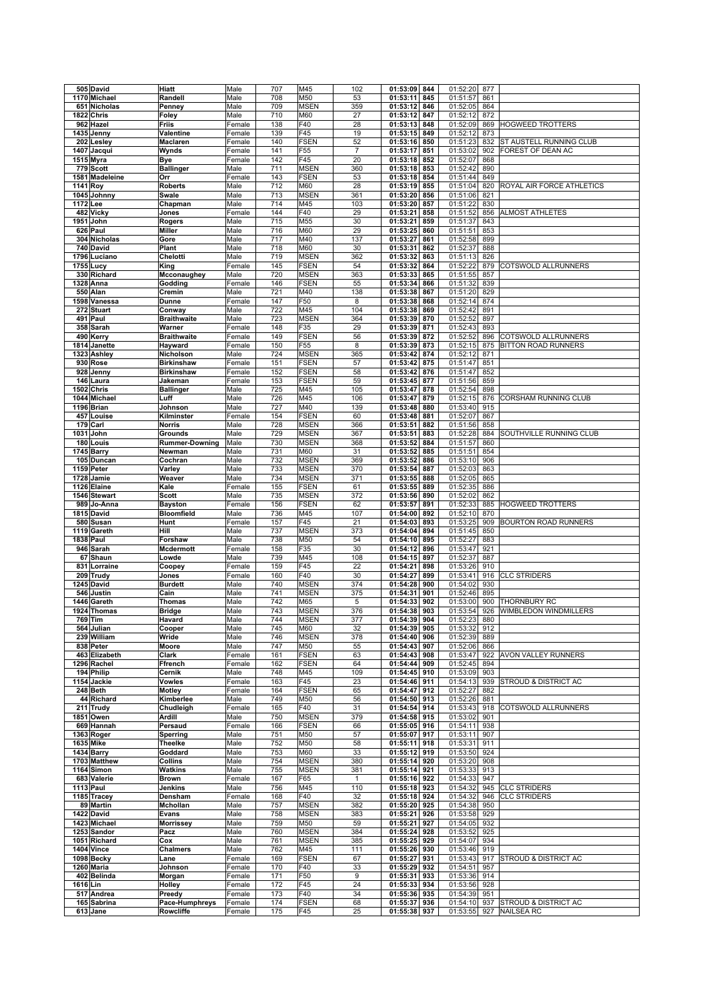|          | 505 David               | Hiatt                       | Male   | 707        | M45             | 102            | 01:53:09<br>844                 | 01:52:20             | 877        |                                                      |
|----------|-------------------------|-----------------------------|--------|------------|-----------------|----------------|---------------------------------|----------------------|------------|------------------------------------------------------|
|          | 1170 Michael            | Randell                     | Male   | 708        | M50             | 53             | 01:53:11<br>845                 | 01:51:57             | 861        |                                                      |
|          | 651 Nicholas            | Penney                      | Male   | 709        | <b>MSEN</b>     | 359            | 01:53:12<br>846                 | 01:52:05             | 864        |                                                      |
|          |                         |                             |        |            |                 |                |                                 |                      |            |                                                      |
|          | 1822 Chris              | Foley                       | Male   | 710        | M60             | 27             | 01:53:12<br>847                 | 01:52:12             | 872        |                                                      |
|          | 962 Hazel               | Friis                       | Female | 138        | F40             | 28             | 01:53:13<br>848                 | 01:52:09             | 869        | <b>HOGWEED TROTTERS</b>                              |
|          | 1435 Jenny              | Valentine                   | Female | 139        | F45             | 19             | 01:53:15<br>849                 | 01:52:12             | 873        |                                                      |
|          | 202 Lesley              | Maclaren                    | Female | 140        | <b>FSEN</b>     | 52             | 01:53:16<br>850                 | 01:51:23             | 832        | ST AUSTELL RUNNING CLUB                              |
|          | 1407 Jacqui             | Wynds                       | Female | 141        | F <sub>55</sub> | $\overline{7}$ | 01:53:17<br>851                 | 01:53:02             | 902        | FOREST OF DEAN AC                                    |
|          | 1515 Myra               | Bye                         | Female | 142        | F45             | 20             | 01:53:18<br>852                 | 01:52:07             | 868        |                                                      |
|          | 779 Scott               | <b>Ballinger</b>            | Male   | 711        | <b>MSEN</b>     | 360            | 01:53:18<br>853                 | 01:52:42             | 890        |                                                      |
|          | 1581 Madeleine          | Orr                         | Female | 143        | <b>FSEN</b>     | 53             | 01:53:18<br>854                 | 01:51:44             | 849        |                                                      |
|          | 1141 Roy                | <b>Roberts</b>              | Male   | 712        | M60             | 28             | 01:53:19<br>855                 | 01:51:04             | 820        | ROYAL AIR FORCE ATHLETICS                            |
|          |                         | Swale                       |        | 713        | <b>MSEN</b>     | 361            | 01:53:20<br>856                 | 01:51:06             | 821        |                                                      |
|          | 1045 Johnny             |                             | Male   |            |                 |                |                                 |                      |            |                                                      |
| 1172 Lee |                         | Chapman                     | Male   | 714        | M45             | 103            | 01:53:20<br>857                 | 01:51:22             | 830        |                                                      |
|          | 482 Vicky               | Jones                       | Female | 144        | F40             | 29             | 01:53:21<br>858                 | 01:51:52             | 856        | ALMOST ATHLETES                                      |
|          | 1951 John               | Rogers                      | Male   | 715        | M55             | 30             | 01:53:21<br>859                 | 01:51:37             | 843        |                                                      |
|          | 626 Paul                | Miller                      | Male   | 716        | M60             | 29             | 01:53:25<br>860                 | 01:51:51             | 853        |                                                      |
|          | 304 Nicholas            | Gore                        | Male   | 717        | M40             | 137            | 01:53:27<br>861                 | 01:52:58             | 899        |                                                      |
|          | 740 David               | Plant                       | Male   | 718        | M60             | 30             | 01:53:31<br>862                 | 01:52:37             | 888        |                                                      |
|          | 1796 Luciano            | Chelotti                    | Male   | 719        | <b>MSEN</b>     | 362            | 01:53:32<br>863                 | 01:51:13             | 826        |                                                      |
|          | 1755 Lucy               | King                        | Female | 145        | <b>FSEN</b>     | 54             | 01:53:32<br>864                 | 01:52:22             | 879        | COTSWOLD ALLRUNNERS                                  |
|          | 330 Richard             | Mcconaughey                 | Male   | 720        | <b>MSEN</b>     | 363            | 01:53:33<br>865                 | 01:51:55             | 857        |                                                      |
|          | 1328 Anna               | Godding                     | Female | 146        | <b>FSEN</b>     | 55             | 01:53:34<br>866                 | 01:51:32             | 839        |                                                      |
|          | 550 Alan                | Cremin                      | Male   | 721        | M40             | 138            | 01:53:38<br>867                 | 01:51:20             | 829        |                                                      |
|          | 1598 Vanessa            | Dunne                       | Female | 147        | F50             | 8              | 01:53:38<br>868                 | 01:52:14             | 874        |                                                      |
|          |                         |                             |        |            |                 |                |                                 |                      |            |                                                      |
|          | 272 Stuart              | Conway                      | Male   | 722        | M45             | 104            | 01:53:38<br>869                 | 01:52:42             | 891        |                                                      |
|          | 491 Paul                | <b>Braithwaite</b>          | Male   | 723        | <b>MSEN</b>     | 364            | 01:53:39<br>870                 | 01:52:52             | 897        |                                                      |
|          | 358 Sarah               | Warner                      | Female | 148        | F35             | 29             | 01:53:39<br>871                 | 01:52:43             | 893        |                                                      |
|          | 490 Kerry               | <b>Braithwaite</b>          | Female | 149        | <b>FSEN</b>     | 56             | 01:53:39<br>872                 | 01:52:52             | 896        | COTSWOLD ALLRUNNERS                                  |
|          | 1814 Janette            | Hayward                     | Female | 150        | F55             | 8              | 01:53:39<br>873                 | 01:52:15             | 875        | <b>BITTON ROAD RUNNERS</b>                           |
|          | 1323 Ashley             | Nicholson                   | Male   | 724        | <b>MSEN</b>     | 365            | 01:53:42<br>874                 | 01:52:12             | 871        |                                                      |
|          | 930 Rose                | <b>Birkinshaw</b>           | Female | 151        | <b>FSEN</b>     | 57             | 01:53:42<br>875                 | 01:51:47             | 851        |                                                      |
|          | 928 Jenny               | <b>Birkinshaw</b>           | Female | 152        | <b>FSEN</b>     | 58             | 01:53:42<br>876                 | 01:51:47             | 852        |                                                      |
| 146      | Laura                   | Jakeman                     | Female | 153        | <b>FSEN</b>     | 59             | 01:53:45<br>877                 | 01:51:56             | 859        |                                                      |
|          | 1502 Chris              | <b>Ballinger</b>            | Male   | 725        | M45             | 105            | 01:53:47<br>878                 | 01:52:54             | 898        |                                                      |
|          | 1044 Michael            | Luff                        | Male   | 726        | M45             | 106            | 01:53:47<br>879                 | 01:52:15             | 876        | CORSHAM RUNNING CLUB                                 |
|          | 1196 Brian              | Johnson                     | Male   | 727        | M40             | 139            | 01:53:48<br>880                 | 01:53:40             | 915        |                                                      |
|          | 457 Louise              | Kilminster                  | Female | 154        | <b>FSEN</b>     | 60             | 01:53:48<br>881                 | 01:52:07             | 867        |                                                      |
|          |                         |                             |        |            |                 |                |                                 |                      |            |                                                      |
|          | 179 Carl                | <b>Norris</b>               | Male   | 728        | <b>MSEN</b>     | 366            | 01:53:51<br>882                 | 01:51:56             | 858        |                                                      |
|          | 1031 John               | Grounds                     | Male   | 729        | <b>MSEN</b>     | 367            | 01:53:51<br>883                 | 01:52:28             | 884        | SOUTHVILLE RUNNING CLUB                              |
|          | 180 Louis               | <b>Rummer-Downing</b>       | Male   | 730        | <b>MSEN</b>     | 368            | 01:53:52<br>884                 | 01:51:57             | 860        |                                                      |
|          | 1745 Barry              | Newman                      | Male   | 731        | M60             | 31             | 01:53:52<br>885                 | 01:51:51             | 854        |                                                      |
|          | 105 Duncan              | Cochran                     | Male   | 732        | <b>MSEN</b>     | 369            | 01:53:52<br>886                 | 01:53:10             | 906        |                                                      |
|          | 1159 Peter              | Varley                      | Male   | 733        | <b>MSEN</b>     | 370            | 01:53:54<br>887                 | 01:52:03             | 863        |                                                      |
|          | 1728 Jamie              | Weaver                      | Male   | 734        | <b>MSEN</b>     | 371            | 01:53:55<br>888                 | 01:52:05             | 865        |                                                      |
|          | 1126 Elaine             | Kale                        | Female | 155        | <b>FSEN</b>     | 61             | 01:53:55<br>889                 | 01:52:35             | 886        |                                                      |
|          | 1546 Stewart            | <b>Scott</b>                | Male   | 735        | <b>MSEN</b>     | 372            | 01:53:56<br>890                 | 01:52:02             | 862        |                                                      |
|          | 989 Jo-Anna             | <b>Bayston</b>              | Female | 156        | <b>FSEN</b>     | 62             | 01:53:57<br>891                 | 01:52:33             | 885        | <b>HOGWEED TROTTERS</b>                              |
|          | 1815 David              | <b>Bloomfield</b>           | Male   | 736        | M45             | 107            | 01:54:00<br>892                 | 01:52:10             | 870        |                                                      |
|          | 580 Susan               | Hunt                        | Female | 157        | F45             | 21             | 01:54:03<br>893                 | 01:53:25             | 909        | BOURTON ROAD RUNNERS                                 |
|          |                         |                             |        |            | <b>MSEN</b>     |                |                                 | 01:51:45             | 850        |                                                      |
|          |                         |                             |        |            |                 |                |                                 |                      |            |                                                      |
|          | 1119 Gareth             | Hill                        | Male   | 737        |                 | 373            | 01:54:04<br>894                 |                      |            |                                                      |
|          | 1838 Paul               | Forshaw                     | Male   | 738        | M50             | 54             | 01:54:10<br>895                 | 01:52:27             | 883        |                                                      |
|          | 946 Sarah               | <b>Mcdermott</b>            | Female | 158        | F35             | 30             | 01:54:12<br>896                 | 01:53:47             | 921        |                                                      |
|          | 67 Shaun                | Lowde                       | Male   | 739        | M45             | 108            | 01:54:15<br>897                 | 01:52:37             | 887        |                                                      |
|          | 831 Lorraine            | Coopey                      | Female | 159        | F45             | 22             | 01:54:21<br>898                 | 01:53:26             | 910        |                                                      |
|          | 209 Trudy               | Jones                       | Female | 160        | F40             | 30             | 01:54:27<br>899                 | 01:53:41             | 916        | <b>CLC STRIDERS</b>                                  |
|          | 1245 David              | <b>Burdett</b>              | Male   | 740        | <b>MSEN</b>     | 374            | 01:54:28<br>900                 | 01:54:02             | 930        |                                                      |
|          | 546 Justin              | Cain                        | Male   | 741        | <b>MSEN</b>     | 375            | 01:54:31<br>901                 | 01:52:46             | 895        |                                                      |
|          | 1446 Gareth             | <b>Thomas</b>               | Male   | 742        | M65             | 5              | 01:54:33<br>902                 | 01:53:00             | 900        | <b>THORNBURY RC</b>                                  |
|          | 1924 Thomas             | <b>Bridge</b>               | Male   | 743        | <b>MSEN</b>     | 376            | 01:54:38<br>903                 | 01:53:54             | 926        | WIMBLEDON WINDMILLERS                                |
|          | 769 Tim                 | Havard                      | Male   | 744        | <b>MSEN</b>     | 377            | 01:54:39 904                    | 01:52:23             | 880        |                                                      |
|          |                         | Cooper                      |        |            |                 |                |                                 |                      |            |                                                      |
|          | 564 Julian              |                             | Male   | 745        | M60             | 32             | 01:54:39<br>905                 | 01:53:32             | 912        |                                                      |
|          | 239 William             | Wride                       | Male   | 746        | <b>MSEN</b>     | 378            | 01:54:40<br>906                 | 01:52:39             | 889        |                                                      |
|          | 838 Peter               | Moore                       | Male   | 747        | M50             | 55             | 01:54:43<br>907                 | 01:52:06             | 866        |                                                      |
|          | 463 Elizabeth           | Clark                       | Female | 161        | <b>FSEN</b>     | 63             | 01:54:43 908                    | 01:53:47             | 922        | AVON VALLEY RUNNERS                                  |
|          | 1296 Rachel             | Ffrench                     | Female | 162        | <b>FSEN</b>     | 64             | 01:54:44<br>909                 | 01:52:45             | 894        |                                                      |
|          | 194 Philip              | Cernik                      | Male   | 748        | M45             | 109            | 01:54:45 910                    | 01:53:09             | 903        |                                                      |
|          | 1154 Jackie             | Vowles                      | Female | 163        | F45             | 23             | 01:54:46<br>911                 | 01:54:13             | 939        | STROUD & DISTRICT AC                                 |
|          | 248 Beth                | <b>Motley</b>               | Female | 164        | <b>FSEN</b>     | 65             | 01:54:47<br>912                 | 01:52:27             | 882        |                                                      |
|          | 44 Richard              | Kimberlee                   | Male   | 749        | M50             | 56             | 01:54:50 913                    | 01:52:26             | 881        |                                                      |
|          | 211 Trudy               | Chudleigh                   | Female | 165        | F40             | 31             | 01:54:54<br>914                 | 01:53:43             | 918        | COTSWOLD ALLRUNNERS                                  |
|          | 1851 Owen               | Ardill                      | Male   | 750        | <b>MSEN</b>     | 379            | 01:54:58<br>915                 | 01:53:02             | 901        |                                                      |
|          | 669 Hannah              | Persaud                     | Female | 166        | <b>FSEN</b>     | 66             | 01:55:05<br>916                 | 01:54:11             | 938        |                                                      |
|          | 1363 Roger              | Sperring                    | Male   | 751        | M50             | 57             | 01:55:07<br>917                 | 01:53:11             | 907        |                                                      |
|          | 1635 Mike               | Theelke                     | Male   | 752        | M50             | 58             | 01:55:11<br>918                 | 01:53:31             | 911        |                                                      |
|          | 1434 Barry              | Goddard                     | Male   | 753        | M60             | 33             | 01:55:12<br>919                 | 01:53:50             | 924        |                                                      |
|          | 1703 Matthew            | Collins                     | Male   | 754        | <b>MSEN</b>     | 380            | 01:55:14<br>920                 | 01:53:20             | 908        |                                                      |
|          | 1164 Simon              | Watkins                     | Male   | 755        | <b>MSEN</b>     | 381            | 01:55:14<br>921                 | 01:53:33             | 913        |                                                      |
|          | 683 Valerie             | <b>Brown</b>                | Female | 167        | F65             | $\mathbf{1}$   | 01:55:16 922                    | 01:54:33             | 947        |                                                      |
|          |                         |                             |        |            |                 |                |                                 |                      | 945        |                                                      |
|          | 1113 Paul               | Jenkins                     | Male   | 756        | M45             | 110            | 01:55:18<br>923                 | 01:54:32             |            | <b>CLC STRIDERS</b>                                  |
|          | 1185 Tracey             | Densham                     | Female | 168        | F40             | 32             | 01:55:18 924                    | 01:54:32             | 946        | <b>CLC STRIDERS</b>                                  |
|          | 89 Martin               | Mchollan                    | Male   | 757        | <b>MSEN</b>     | 382            | 01:55:20<br>925                 | 01:54:38             | 950        |                                                      |
|          | 1422 David              | Evans                       | Male   | 758        | <b>MSEN</b>     | 383            | 01:55:21<br>926                 | 01:53:58             | 929        |                                                      |
|          | 1423 Michael            | <b>Morrissey</b>            | Male   | 759        | M50             | 59             | 01:55:21<br>927                 | 01:54:05             | 932        |                                                      |
|          | 1253 Sandor             | Pacz                        | Male   | 760        | <b>MSEN</b>     | 384            | 01:55:24<br>928                 | 01:53:52             | 925        |                                                      |
|          | 1051 Richard            | Cox                         | Male   | 761        | <b>MSEN</b>     | 385            | 01:55:25<br>929                 | 01:54:07             | 934        |                                                      |
|          | 1404 Vince              | Chalmers                    | Male   | 762        | M45             | 111            | 01:55:26<br>930                 | 01:53:46             | 919        |                                                      |
|          | 1098 Becky              | Lane                        | Female | 169        | <b>FSEN</b>     | 67             | 01:55:27<br>931                 | 01:53:43             | 917        | STROUD & DISTRICT AC                                 |
|          | 1260 Maria              | Johnson                     | Female | 170        | F40             | 33             | 01:55:29<br>932                 | 01:54:51             | 957        |                                                      |
|          | 402 Belinda             | Morgan                      | Female | 171        | F50             | 9              | 01:55:31<br>933                 | 01:53:36             | 914        |                                                      |
| 1616 Lin |                         | Holley                      | Female | 172        | F45             | 24             | 01:55:33<br>934                 | 01:53:56             | 928        |                                                      |
|          | 517 Andrea              | Preedy                      | Female | 173        | F40             | 34             | 01:55:36 935                    | 01:54:39             | 951        |                                                      |
|          | 165 Sabrina<br>613 Jane | Pace-Humphreys<br>Rowcliffe | Female | 174<br>175 | <b>FSEN</b>     | 68<br>25       | 01:55:37<br>936<br>01:55:38 937 | 01:54:10<br>01:53:55 | 937<br>927 | <b>STROUD &amp; DISTRICT AC</b><br><b>NAILSEA RC</b> |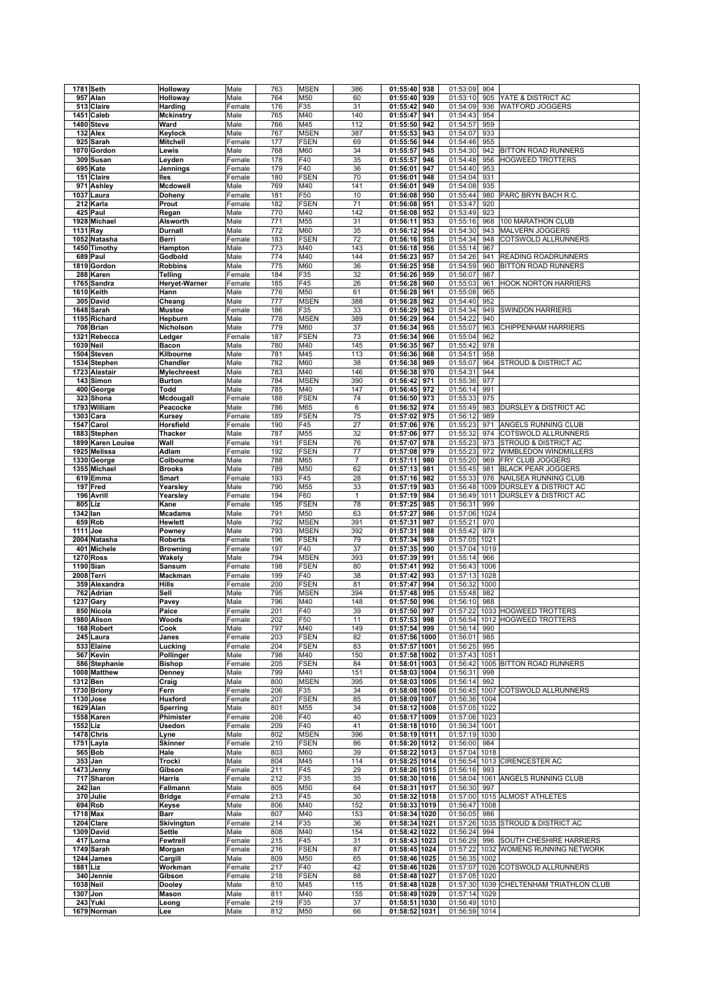|           | 1781 Seth               | Holloway           | Male           | 763        | <b>MSEN</b> | 386          | 01:55:40                       | 938  | 01:53:09                       | 904  |                                         |
|-----------|-------------------------|--------------------|----------------|------------|-------------|--------------|--------------------------------|------|--------------------------------|------|-----------------------------------------|
|           | 957 Alan                | Holloway           | Male           | 764        | M50         | 60           | 01:55:40                       | 939  | 01:53:10                       | 905  | YATE & DISTRICT AC                      |
|           | 513 Claire              | Harding            | Female         | 176        | F35         | 31           | 01:55:42                       | 940  | 01:54:09                       | 936  | <b>WATFORD JOGGERS</b>                  |
| 1451      | Caleb                   | <b>Mckinstry</b>   | Male           | 765        | M40         | 140          | 01:55:47                       | 941  | 01:54:43                       | 954  |                                         |
|           |                         |                    |                |            |             |              |                                |      |                                |      |                                         |
|           | 1480 Steve              | Ward               | Male           | 766        | M45         | 112          | 01:55:50                       | 942  | 01:54:57                       | 959  |                                         |
|           | 132 Alex                | Keylock            | Male           | 767        | <b>MSEN</b> | 387          | 01:55:53                       | 943  | 01:54:07                       | 933  |                                         |
|           | 925 Sarah               | Mitchell           | Female         | 177        | <b>FSEN</b> | 69           | 01:55:56                       | 944  | 01:54:46                       | 955  |                                         |
|           | 1070 Gordon             | Lewis              | Male           | 768        | M60         | 34           | 01:55:57                       | 945  | 01:54:30                       | 942  | <b>BITTON ROAD RUNNERS</b>              |
|           | 309 Susan               | Leyden             | Female         | 178        | F40         | 35           | 01:55:57                       | 946  | 01:54:48                       | 956  | <b>HOGWEED TROTTERS</b>                 |
|           | 695 Kate                | Jennings           | Female         | 179        | F40         | 36           | 01:56:01                       | 947  | 01:54:40                       | 953  |                                         |
|           | 151 Claire              | lles               | Female         | 180        | <b>FSEN</b> | 70           | 01:56:01                       | 948  | 01:54:04                       | 931  |                                         |
| 971       | Ashley                  | Mcdowell           | Male           | 769        | M40         | 141          | 01:56:01                       | 949  | 01:54:08                       | 935  |                                         |
|           | 1037 Laura              |                    |                | 181        | F50         | 10           | 01:56:08                       | 950  | 01:55:44                       | 980  | PARC BRYN BACH R.C.                     |
|           |                         | Doheny             | Female         |            |             |              |                                |      |                                |      |                                         |
|           | 212 Karla               | Prout              | Female         | 182        | <b>FSEN</b> | 71           | 01:56:08                       | 951  | 01:53:47                       | 920  |                                         |
|           | 425 Paul                | Regan              | Male           | 770        | M40         | 142          | 01:56:08                       | 952  | 01:53:49                       | 923  |                                         |
|           | 1928 Michael            | Alsworth           | Male           | 771        | M55         | 31           | 01:56:11                       | 953  | 01:55:16                       | 968  | 100 MARATHON CLUB                       |
| 1131 Ray  |                         | Durnall            | Male           | 772        | M60         | 35           | 01:56:12                       | 954  | 01:54:30                       | 943  | <b>MALVERN JOGGERS</b>                  |
|           | 1052 Natasha            | Berri              | Female         | 183        | <b>FSEN</b> | 72           | 01:56:16                       | 955  | 01:54:34                       | 948  | COTSWOLD ALLRUNNERS                     |
|           | 1450 Timothy            | Hampton            | Male           | 773        | M40         | 143          | 01:56:18                       | 956  | 01:55:14                       | 967  |                                         |
|           | 689 Paul                | Godbold            | Male           | 774        | M40         | 144          | 01:56:23                       | 957  | 01:54:26                       | 941  | <b>READING ROADRUNNERS</b>              |
|           | 1819 Gordon             | <b>Robbins</b>     | Male           | 775        | M60         | 36           | 01:56:25                       | 958  | 01:54:59                       | 960  | <b>BITTON ROAD RUNNERS</b>              |
|           |                         |                    |                |            |             | 32           |                                |      |                                |      |                                         |
|           | 288 Karen               | Telling            | Female         | 184        | F35         |              | 01:56:26                       | 959  | 01:56:07                       | 987  |                                         |
|           | 1765 Sandra             | Heryet-Warner      | Female         | 185        | F45         | 26           | 01:56:28                       | 960  | 01:55:03                       | 961  | <b>HOOK NORTON HARRIERS</b>             |
|           | 1610 Keith              | Hann               | Male           | 776        | M50         | 61           | 01:56:28                       | 961  | 01:55:08                       | 965  |                                         |
|           | 305 David               | Cheang             | Male           | 777        | <b>MSEN</b> | 388          | 01:56:28                       | 962  | 01:54:40                       | 952  |                                         |
|           | 1648 Sarah              | Mustoe             | Female         | 186        | F35         | 33           | 01:56:29                       | 963  | 01:54:34                       | 949  | <b>SWINDON HARRIERS</b>                 |
|           | 1195 Richard            | Hepburn            | Male           | 778        | <b>MSEN</b> | 389          | 01:56:29                       | 964  | 01:54:22                       | 940  |                                         |
|           | 708 Brian               | Nicholson          | Male           | 779        | M60         | 37           | 01:56:34                       | 965  | 01:55:07                       | 963  | <b>CHIPPENHAM HARRIERS</b>              |
|           | 1321 Rebecca            | Ledger             | Female         | 187        | <b>FSEN</b> | 73           | 01:56:34                       | 966  | 01:55:04                       | 962  |                                         |
| 1039 Neil |                         | Bacon              | Male           | 780        | M40         | 145          | 01:56:35                       | 967  | 01:55:42                       | 978  |                                         |
|           |                         |                    |                |            |             |              |                                |      |                                |      |                                         |
|           | 1504 Steven             | Kilbourne          | Male           | 781        | M45         | 113          | 01:56:36                       | 968  | 01:54:51                       | 958  |                                         |
|           | 1534 Stephen            | Chandler           | Male           | 782        | M60         | 38           | 01:56:38                       | 969  | 01:55:07                       | 964  | STROUD & DISTRICT AC                    |
|           | 1723 Alastair           | <b>Mylechreest</b> | Male           | 783        | M40         | 146          | 01:56:38                       | 970  | 01:54:31                       | 944  |                                         |
|           | 143 Simon               | <b>Burton</b>      | Male           | 784        | <b>MSEN</b> | 390          | 01:56:42                       | 971  | 01:55:36                       | 977  |                                         |
|           | 400 George              | Todd               | Male           | 785        | M40         | 147          | 01:56:45                       | 972  | 01:56:14                       | 991  |                                         |
|           | 323 Shona               | Mcdougall          | Female         | 188        | <b>FSEN</b> | 74           | 01:56:50                       | 973  | 01:55:33                       | 975  |                                         |
|           | 1793 William            | Peacocke           | Male           | 786        | M65         | 6            | 01:56:52                       | 974  | 01:55:49                       | 983  | <b>DURSLEY &amp; DISTRICT AC</b>        |
|           | 1303 Cara               | Kursey             | Female         | 189        | <b>FSEN</b> | 75           | 01:57:02                       | 975  | 01:56:12                       | 989  |                                         |
|           | 1547 Carol              | Horsfield          | Female         | 190        | F45         | 27           | 01:57:06                       | 976  | 01:55:23                       | 971  | ANGELS RUNNING CLUB                     |
|           |                         | Thacker            |                |            |             | 32           |                                |      |                                | 974  |                                         |
|           | 1883 Stephen            |                    | Male           | 787        | M55         |              | 01:57:06                       | 977  | 01:55:32                       |      | COTSWOLD ALLRUNNERS                     |
|           | 1899 Karen Louise       | Wall               | Female         | 191        | <b>FSEN</b> | 76           | 01:57:07                       | 978  | 01:55:23                       | 973  | <b>STROUD &amp; DISTRICT AC</b>         |
|           | 1925 Melissa            | Adlam              | Female         | 192        | <b>FSEN</b> | 77           | 01:57:08                       | 979  | 01:55:23                       | 972  | WIMBLEDON WINDMILLERS                   |
|           | 1330 George             | Colbourne          | Male           | 788        | M65         | 7            | 01:57:11                       | 980  | 01:55:20                       | 969  | FRY CLUB JOGGERS                        |
|           | 1355 Michael            | <b>Brooks</b>      | Male           | 789        | M50         | 62           | 01:57:13                       | 981  | 01:55:45                       | 981  | <b>BLACK PEAR JOGGERS</b>               |
|           | 619 Emma                | Smart              | Female         | 193        | F45         | 28           | 01:57:16                       | 982  | 01:55:33                       | 976  | NAILSEA RUNNING CLUB                    |
|           | 197 Fred                | Yearsley           | Male           | 790        | M55         | 33           | 01:57:19                       | 983  | 01:56:48                       |      | 1009 DURSLEY & DISTRICT AC              |
| 196       | <b>Avrill</b>           | Yearsley           | Female         | 194        | F60         | $\mathbf{1}$ | 01:57:19                       | 984  | 01:56:49                       | 1011 | <b>DURSLEY &amp; DISTRICT AC</b>        |
|           | 805 Liz                 | Kane               | Female         | 195        | <b>FSEN</b> | 78           | 01:57:25                       | 985  | 01:56:31                       | 999  |                                         |
| 1342 lan  |                         |                    |                | 791        | M50         | 63           |                                | 986  |                                | 1024 |                                         |
|           |                         | <b>Mcadams</b>     | Male           |            |             |              | 01:57:27                       |      | 01:57:06                       |      |                                         |
|           | 659 Rob                 | Hewlett            | Male           | 792        | <b>MSEN</b> | 391          | 01:57:31                       | 987  | 01:55:21                       | 970  |                                         |
|           | 1111 Joe                | Powney             | Male           | 793        | <b>MSEN</b> | 392          | 01:57:31                       | 988  | 01:55:42                       | 979  |                                         |
|           | 2004 Natasha            | <b>Roberts</b>     | Female         | 196        | <b>FSEN</b> | 79           | 01:57:34                       | 989  | 01:57:05                       | 1021 |                                         |
|           | 401 Michele             | <b>Browning</b>    | Female         | 197        | F40         | 37           | 01:57:35                       | 990  | 01:57:04                       | 1019 |                                         |
|           | <b>1270 Ross</b>        | Wakely             | Male           | 794        | <b>MSEN</b> | 393          | 01:57:39                       | 991  | 01:55:14                       | 966  |                                         |
|           | 1190 Sian               | Sansum             | Female         | 198        | <b>FSEN</b> | 80           | 01:57:41                       | 992  | 01:56:43                       | 1006 |                                         |
|           | 2008 Terri              | Mackman            | Female         | 199        | F40         | 38           | 01:57:42                       | 993  | 01:57:13                       | 1028 |                                         |
|           | 359 Alexandra           | Hills              | Female         | 200        | <b>FSEN</b> |              |                                |      |                                | 1000 |                                         |
|           | 762 Adrian              |                    |                |            |             |              |                                |      |                                |      |                                         |
|           |                         |                    |                |            |             | 81           | 01:57:47                       | 994  | 01:56:32                       |      |                                         |
|           |                         | Sell               | Male           | 795        | <b>MSEN</b> | 394          | 01:57:48                       | 995  | 01:55:48                       | 982  |                                         |
|           | 1237 Gary               | Pavey              | Male           | 796        | M40         | 148          | 01:57:50                       | 996  | 01:56:10                       | 988  |                                         |
|           | 850 Nicola              | Paice              | Female         | 201        | F40         | 39           | 01:57:50                       | 997  | 01:57:22                       |      | 1033 HOGWEED TROTTERS                   |
|           | 1980 Alison             | Woods              | Female         | 202        | F50         | 11           | 01:57:53 998                   |      |                                |      | 01:56:54  1012  HOGWEED TROTTERS        |
|           | 168 Robert              | Cook               | Male           | 797        | M40         | 149          | 01:57:54 999                   |      | 01:56:14 990                   |      |                                         |
|           | 245 Laura               | Janes              | Female         | 203        | <b>FSEN</b> | 82           | 01:57:56 1000                  |      | 01:56:01                       | 985  |                                         |
|           | 533 Elaine              | Lucking            | Female         | 204        | <b>FSEN</b> | 83           | 01:57:57 1001                  |      | 01:56:25                       | 995  |                                         |
|           | 567 Kevin               | Pollinger          | Male           | 798        | M40         | 150          | 01:57:58 1002                  |      | 01:57:43 1051                  |      |                                         |
|           | 586 Stephanie           | <b>Bishop</b>      | Female         | 205        | <b>FSEN</b> | 84           | 01:58:01 1003                  |      | 01:56:42                       |      | 1005 BITTON ROAD RUNNERS                |
|           | 1008 Matthew            | Denney             | Male           | 799        | M40         | 151          | 01:58:03 1004                  |      | 01:56:31                       | 998  |                                         |
|           |                         |                    |                |            |             |              |                                |      | 01:56:14                       |      |                                         |
|           | 1312 Ben                | Craig              | Male           | 800        | <b>MSEN</b> | 395          | 01:58:03 1005                  |      |                                | 992  |                                         |
|           | 1730 Briony             | Fern               | Female         | 206        | F35         | 34           | 01:58:08 1006                  |      |                                |      | 01:56:45 1007 COTSWOLD ALLRUNNERS       |
|           | 1130 Jose               | Huxford            | Female         | 207        | <b>FSEN</b> | 85           | 01:58:09 1007                  |      | 01:56:36 1004                  |      |                                         |
|           | 1629 Alan               | Sperring           | Male           | 801        | M55         | 34           | 01:58:12 1008                  |      | 01:57:05 1022                  |      |                                         |
|           | 1558 Karen              | Phimister          | Female         | 208        | F40         | 40           | 01:58:17 1009                  |      | 01:57:06 1023                  |      |                                         |
| 1552 Liz  |                         | Usedon             | Female         | 209        | F40         | 41           | 01:58:18 1010                  |      | 01:56:34 1001                  |      |                                         |
|           | 1478 Chris              | Lyne               | Male           | 802        | <b>MSEN</b> | 396          | 01:58:19 1011                  |      | 01:57:19 1030                  |      |                                         |
|           | 1751 Layla              | Skinner            | Female         | 210        | <b>FSEN</b> | 86           | 01:58:20 1012                  |      | 01:56:00                       | 984  |                                         |
|           | 565 Bob                 | Hale               | Male           | 803        | M60         | 39           | 01:58:22 1013                  |      | 01:57:04 1018                  |      |                                         |
|           | 353 Jan                 | Trocki             | Male           | 804        | M45         | 114          | 01:58:25 1014                  |      | 01:56:54                       |      | 1013 CIRENCESTER AC                     |
|           | 1473 Jenny              | Gibson             | Female         | 211        | F45         | 29           | 01:58:26 1015                  |      | 01:56:16                       | 993  |                                         |
|           |                         | Harris             | Female         | 212        |             |              |                                |      |                                |      | ANGELS RUNNING CLUB                     |
|           | 717 Sharon              |                    |                |            | F35         | 35           | 01:58:30 1016                  |      | 01:58:04                       | 1061 |                                         |
|           | 242 Ian                 | Fallmann           | Male           | 805        | M50         | 64           | 01:58:31 1017                  |      | 01:56:30                       | 997  |                                         |
|           | 370 Julie               | <b>Bridge</b>      | Female         | 213        | F45         | 30           | 01:58:32                       | 1018 | 01:57:00                       |      | 1015 ALMOST ATHLETES                    |
|           | 694 Rob                 | Keyse              | Male           | 806        | M40         | 152          | 01:58:33 1019                  |      | 01:56:47                       | 1008 |                                         |
|           | 1718 Max                | Barr               | Male           | 807        | M40         | 153          | 01:58:34 1020                  |      | 01:56:05                       | 986  |                                         |
|           | 1204 Clare              | Skivington         | Female         | 214        | F35         | 36           | 01:58:34 1021                  |      | 01:57:26                       |      | 1035 STROUD & DISTRICT AC               |
|           | 1309 David              | Settle             | Male           | 808        | M40         | 154          | 01:58:42 1022                  |      | 01:56:24                       | 994  |                                         |
|           | 417 Lorna               | Fewtrell           | Female         | 215        | F45         | 31           | 01:58:43 1023                  |      | 01:56:29                       | 996  | <b>SOUTH CHESHIRE HARRIERS</b>          |
|           | 1749 Sarah              | Morgan             | Female         | 216        | <b>FSEN</b> | 87           | 01:58:45 1024                  |      |                                |      | 01:57:22 1032 WOMENS RUNNING NETWORK    |
|           | 1244 James              | Cargill            | Male           | 809        | M50         | 65           | 01:58:46 1025                  |      | 01:56:35                       | 1002 |                                         |
| 1881 Liz  |                         | Workman            | Female         | 217        | F40         | 42           | 01:58:46 1026                  |      |                                |      | 1026 COTSWOLD ALLRUNNERS                |
|           | 340 Jennie              | Gibson             | Female         | 218        | <b>FSEN</b> | 88           | 01:58:48 1027                  |      | 01:57:07<br>01:57:05           | 1020 |                                         |
|           |                         |                    |                |            |             |              |                                |      |                                |      |                                         |
|           | 1038 Neil               | Dooley             | Male           | 810        | M45         | 115          | 01:58:48 1028                  |      |                                |      | 01:57:30 1039 CHELTENHAM TRIATHLON CLUB |
|           | 1307 Jon                | Mason              | Male           | 811        | M40         | 155          | 01:58:49 1029                  |      | 01:57:14 1029                  |      |                                         |
|           | 243 Yuki<br>1679 Norman | Leong<br>Lee       | Female<br>Male | 219<br>812 | F35<br>M50  | 37<br>66     | 01:58:51 1030<br>01:58:52 1031 |      | 01:56:49 1010<br>01:56:59 1014 |      |                                         |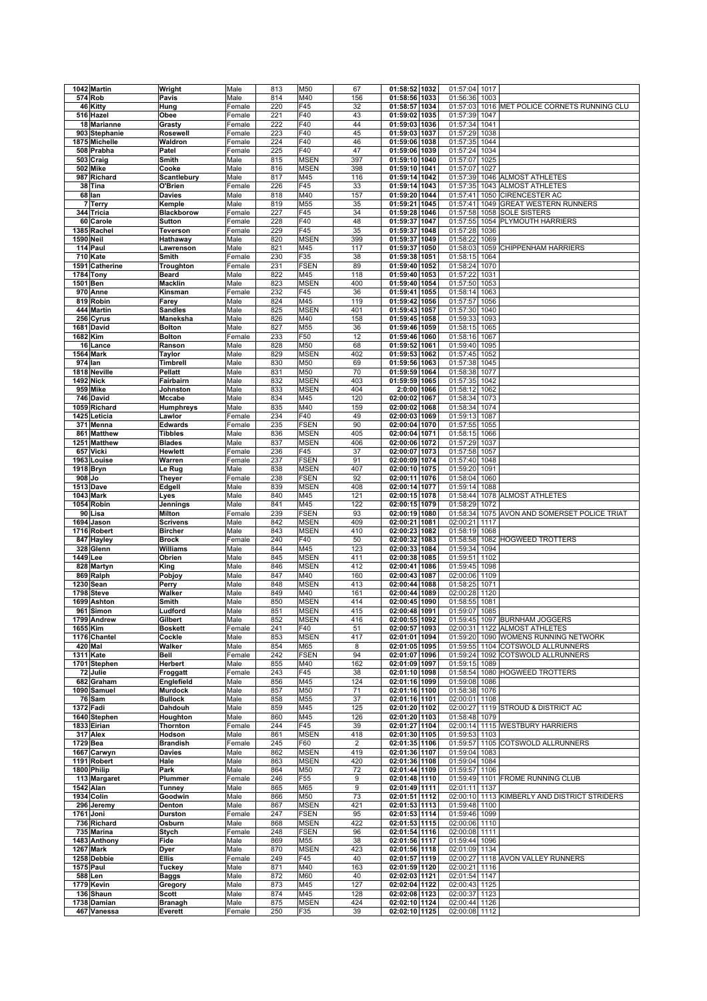|           | 1042 Martin                | Wright                           | Male           | 813        | M50                | 67             | 01:58:52 1032                  |      | 01:57:04             | 1017         |                                     |
|-----------|----------------------------|----------------------------------|----------------|------------|--------------------|----------------|--------------------------------|------|----------------------|--------------|-------------------------------------|
|           | 574 Rob                    | Pavis                            | Male           | 814        | M40                | 156            | 01:58:56 1033                  |      | 01:56:36             | 1003         |                                     |
|           | 46 Kitty                   | Hung                             | Female         | 220        | F45                | 32             | 01:58:57 1034                  |      | 01:57:03             |              | 1016 MET POLICE CORNETS RUNNING CLU |
|           | 516 Hazel                  | Obee                             | Female         | 221        | F40                | 43             | 01:59:02 1035                  |      | 01:57:39             | 1047         |                                     |
|           | 18 Marianne                | Grasty                           | Female         | 222        | F40                | 44             | 01:59:03 1036                  |      | 01:57:34             | 1041         |                                     |
|           | 903 Stephanie              | Rosewell                         | Female         | 223        | F40                | 45             | 01:59:03 1037                  |      | 01:57:29             | 1038         |                                     |
|           | 1875 Michelle              | Waldron                          | Female         | 224        | F40                | 46             | 01:59:06 1038                  |      | 01:57:35             | 1044         |                                     |
|           | 508 Prabha                 | Patel                            | Female         | 225        | F40                | 47             | 01:59:06 1039                  |      | 01:57:24             | 1034         |                                     |
|           | 503 Craig                  | Smith                            | Male           | 815        | MSEN               | 397            | 01:59:10 1040                  |      | 01:57:07             | 1025         |                                     |
|           | 502 Mike                   | Cooke                            | Male           | 816        | <b>MSEN</b>        | 398            | 01:59:10 1041                  |      | 01:57:07             | 1027         |                                     |
|           | 987 Richard                | Scantlebury                      | Male           | 817        | M45                | 116            | 01:59:14 1042                  |      | 01:57:39             |              | 1046 ALMOST ATHLETES                |
|           | 38 Tina                    | O'Brien                          | Female         | 226        | F45                | 33             | 01:59:14 1043                  |      | 01:57:35             |              | 1043 ALMOST ATHLETES                |
|           | $68$ lan                   | Davies                           | Male           | 818        | M40                | 157            | 01:59:20 1044                  |      | 01:57:41             |              | 1050 CIRENCESTER AC                 |
|           | 7 Terry                    | Kemple                           | Male           | 819        | M55                | 35             | 01:59:21                       | 1045 | 01:57:41             |              | 1049 GREAT WESTERN RUNNERS          |
|           | 344 Tricia                 | <b>Blackborow</b>                | Female         | 227        | F45                | 34             | 01:59:28 1046                  |      | 01:57:58             |              | 1058 SOLE SISTERS                   |
|           | 60 Carole                  | <b>Sutton</b>                    | Female         | 228        | F40                | 48             | 01:59:37                       | 1047 | 01:57:55             | 1054         | PLYMOUTH HARRIERS                   |
|           |                            |                                  |                | 229        |                    | 35             | 01:59:37                       | 1048 | 01:57:28             | 1036         |                                     |
|           | 1385 Rachel                | Teverson                         | Female         |            | F45                | 399            | 01:59:37                       |      | 01:58:22             | 1069         |                                     |
| 1590 Neil |                            | Hathaway                         | Male           | 820<br>821 | <b>MSEN</b><br>M45 | 117            | 01:59:37 1050                  | 1049 |                      |              | 1059 CHIPPENHAM HARRIERS            |
|           | 114 Paul                   | Lawrenson                        | Male           |            |                    |                |                                |      | 01:58:03             |              |                                     |
|           | 710 Kate                   | Smith                            | Female         | 230        | F35                | 38<br>89       | 01:59:38 1051                  |      | 01:58:15             | 1064         |                                     |
|           | 1591 Catherine             | Troughton                        | Female         | 231        | <b>FSEN</b>        |                | 01:59:40 1052                  |      | 01:58:24             | 1070         |                                     |
|           | 1784 Tony                  | Beard                            | Male           | 822        | M45                | 118            | 01:59:40 1053                  |      | 01:57:22             | 1031         |                                     |
| 1501 Ben  |                            | <b>Macklin</b>                   | Male           | 823        | <b>MSEN</b>        | 400            | 01:59:40 1054                  |      | 01:57:50             | 1053         |                                     |
|           | 970 Anne                   | Kinsman                          | Female         | 232        | F45                | 36             | 01:59:41 1055                  |      | 01:58:14             | 1063         |                                     |
|           | 819 Robin                  | Farey                            | Male           | 824        | M45                | 119            | 01:59:42 1056                  |      | 01:57:57             | 1056         |                                     |
|           | 444 Martin                 | <b>Sandles</b>                   | Male           | 825        | MSEN               | 401            | 01:59:43                       | 1057 | 01:57:30             | 1040         |                                     |
|           | 256 Cyrus                  | Maneksha                         | Male           | 826        | M40                | 158            | 01:59:45 1058                  |      | 01:59:33             | 1093         |                                     |
|           | 1681 David                 | <b>Bolton</b>                    | Male           | 827        | M55                | 36             | 01:59:46 1059                  |      | 01:58:15             | 1065         |                                     |
|           | 1682 Kim                   | <b>Bolton</b>                    | Female         | 233        | F50                | 12             | 01:59:46 1060                  |      | 01:58:16             | 1067         |                                     |
|           | 16 Lance                   | Ranson                           | Male           | 828        | M50                | 68             | 01:59:52 1061                  |      | 01:59:40             | 1095         |                                     |
|           | <b>1564 Mark</b>           | Taylor                           | Male           | 829        | <b>MSEN</b>        | 402            | 01:59:53 1062                  |      | 01:57:45             | 1052         |                                     |
|           | 974 lan                    | Timbrell                         | Male           | 830        | M50                | 69             | 01:59:56 1063                  |      | 01:57:38             | 1045         |                                     |
|           | 1818 Neville               | <b>Pellatt</b>                   | Male           | 831        | M50                | 70             | 01:59:59 1064                  |      | 01:58:38             | 1077         |                                     |
|           | 1492 Nick                  | Fairbairn                        | Male           | 832        | MSEN               | 403            | 01:59:59 1065                  |      | 01:57:35             | 1042         |                                     |
|           | 959 Mike                   | Johnston                         | Male           | 833        | <b>MSEN</b>        | 404            | 2:0:00 1066                    |      | 01:58:12             | 1062         |                                     |
|           | 746 David                  | <b>Mccabe</b>                    | Male           | 834        | M45                | 120            | 02:00:02 1067                  |      | 01:58:34             | 1073         |                                     |
|           | 1059 Richard               | Humphreys                        | Male           | 835        | M40                | 159            | 02:00:02 1068                  |      | 01:58:34             | 1074         |                                     |
|           | 1425 Leticia               | Lawlor                           | Female         | 234        | F40                | 49             | 02:00:03 1069                  |      | 01:59:13             | 1087         |                                     |
|           | 371 Menna                  | <b>Edwards</b>                   | Female         | 235        | <b>FSEN</b>        | 90             | 02:00:04 1070                  |      | 01:57:55             | 1055         |                                     |
|           | 861 Matthew                | <b>Tibbles</b>                   | Male           | 836        | <b>MSEN</b>        | 405            | 02:00:04 1071                  |      | 01:58:15             | 1066         |                                     |
|           | 1251 Matthew               | <b>Blades</b>                    | Male           | 837        | <b>MSEN</b>        | 406            | 02:00:06 1072                  |      | 01:57:29             | 1037         |                                     |
|           | 657 Vicki                  | Hewlett                          | Female         | 236        | F45                | 37             | 02:00:07 1073                  |      | 01:57:58             | 1057         |                                     |
|           | 1963 Louise                | Warren                           | Female         | 237        | <b>FSEN</b>        | 91             | 02:00:09 1074                  |      | 01:57:40             | 1048         |                                     |
|           | 1918 Bryn                  | Le Rug                           | Male           | 838        | <b>MSEN</b>        | 407            | 02:00:10 1075                  |      | 01:59:20             | 1091         |                                     |
| 908 Jo    |                            | <b>Theyer</b>                    | Female         | 238        | <b>FSEN</b>        | 92             | 02:00:11 1076                  |      | 01:58:04             | 1060         |                                     |
|           | 1513 Dave                  | Edgell                           | Male           | 839        | MSEN               | 408            | 02:00:14 1077                  |      | 01:59:14             | 1088         |                                     |
|           | <b>1043 Mark</b>           | Lyes                             | Male           | 840        | M45                | 121            | 02:00:15 1078                  |      | 01:58:44             |              | 1078 ALMOST ATHLETES                |
|           | 1054 Robin                 | Jennings                         | Male           | 841        | M45                | 122            | 02:00:15 1079                  |      | 01:58:29             | 1072         |                                     |
|           | 90 Lisa                    | <b>Milton</b>                    | Female         | 239        | <b>FSEN</b>        | 93             | 02:00:19 1080                  |      | 01:58:34             |              | 1075 AVON AND SOMERSET POLICE TRIAT |
|           | 1694 Jason                 | <b>Scrivens</b>                  | Male           | 842        | MSEN               | 409            | 02:00:21                       | 1081 | 02:00:21             | 1117         |                                     |
|           | 1716 Robert                | <b>Bircher</b>                   | Male           | 843        | MSEN               | 410            | 02:00:23                       | 1082 | 01:58:19             | 1068         |                                     |
|           | 847 Hayley                 | <b>Brock</b>                     | Female         | 240        | F40                | 50             | 02:00:32                       | 1083 | 01:58:58             |              | 1082 HOGWEED TROTTERS               |
|           | 328 Glenn                  | Williams                         | Male           | 844        | M45                | 123            | 02:00:33 1084                  |      | 01:59:34             | 1094         |                                     |
| 1449 Lee  |                            | Obrien                           | Male           | 845        | MSEN               | 411            | 02:00:38 1085                  |      | 01:59:51             | 1102         |                                     |
|           | 828 Martyn                 | King                             | Male           | 846        | MSEN               | 412            | 02:00:41                       | 1086 | 01:59:45             | 1098         |                                     |
|           | 869 Ralph                  | Pobjoy                           | Male           | 847        | M40                | 160            | 02:00:43 1087                  |      | 02:00:06             | 1109         |                                     |
|           | 1230 Sean                  | Perry                            | Male           | 848        | MSEN               | 413            | 02:00:44 1088                  |      | 01:58:25             | 1071         |                                     |
|           | 1798 Steve                 | Walker                           | Male           | 849        | M40                | 161            | 02:00:44 1089                  |      | 02:00:28             | 1120         |                                     |
|           | 1699 Ashton                | Smith                            | Male           | 850        | MSEN               | 414            | 02:00:45 1090                  |      | 01:58:55             | 1081         |                                     |
|           | 961 Simon                  | Ludford                          | Male           | 851        | MSEN               | 415            | 02:00:48 1091                  |      | 01:59:07             | 1085         |                                     |
|           | 1799 Andrew                | Gilbert                          | Male           | 852        | MSEN               | 416            | 02:00:55 1092                  |      |                      |              | 01:59:45 1097 BURNHAM JOGGERS       |
|           | 1655 Kim                   | <b>Boskett</b>                   | Female         | 241        | F40                | 51             | 02:00:57 1093                  |      |                      |              | 02:00:31 1122 ALMOST ATHLETES       |
|           | 1176 Chantel               | Cockle                           | Male           | 853        | MSEN               | 417            | 02:01:01 1094                  |      | 01:59:20             |              | 1090 WOMENS RUNNING NETWORK         |
|           | 420 Mal                    | Walker                           | Male           | 854        | M65                | 8              | 02:01:05 1095                  |      | 01:59:55             |              | 1104 COTSWOLD ALLRUNNERS            |
|           | <b>1311 Kate</b>           | Bell                             | Female         | 242        | <b>FSEN</b>        | 94             | 02:01:07 1096                  |      | 01:59:24             |              | 1092 COTSWOLD ALLRUNNERS            |
|           | 1701 Stephen<br>72 Julie   | <b>Herbert</b>                   | Male           | 855        | M40                | 162            | 02:01:09 1097                  |      | 01:59:15<br>01:58:54 | 1089         | 1080 HOGWEED TROTTERS               |
|           | 682 Graham                 | Froggatt<br>Englefield           | Female<br>Male | 243<br>856 | F45<br>M45         | 38<br>124      | 02:01:10 1098<br>02:01:16 1099 |      | 01:59:08             | 1086         |                                     |
|           |                            |                                  |                |            |                    | 71             |                                |      |                      |              |                                     |
|           | 1090 Samuel<br>76 Sam      | <b>Murdock</b><br><b>Bullock</b> | Male<br>Male   | 857<br>858 | M50<br>M55         | 37             | 02:01:16 1100<br>02:01:16 1101 |      | 01:58:38<br>02:00:01 | 1076<br>1108 |                                     |
|           | 1372 Fadi                  | Dahdouh                          | Male           | 859        | M45                | 125            | 02:01:20 1102                  |      | 02:00:27             |              | 1119 STROUD & DISTRICT AC           |
|           | 1640 Stephen               | Houghton                         | Male           | 860        | M45                | 126            | 02:01:20 1103                  |      | 01:58:48             | 1079         |                                     |
|           | 1833 Eirian                | Thornton                         | Female         | 244        | F45                | 39             | 02:01:27 1104                  |      |                      |              | 02:00:14 1115 WESTBURY HARRIERS     |
|           | 317 Alex                   | Hodson                           | Male           | 861        | <b>MSEN</b>        | 418            | 02:01:30 1105                  |      | 01:59:53 1103        |              |                                     |
| 1729 Bea  |                            | <b>Brandish</b>                  | Female         | 245        | F60                | $\overline{2}$ | 02:01:35 1106                  |      | 01:59:57             |              | 1105 COTSWOLD ALLRUNNERS            |
|           | 1667 Carwyn                | <b>Davies</b>                    | Male           | 862        | MSEN               | 419            | 02:01:36 1107                  |      | 01:59:04             | 1083         |                                     |
|           | 1191 Robert                | Hale                             | Male           | 863        | <b>MSEN</b>        | 420            | 02:01:36 1108                  |      | 01:59:04             | 1084         |                                     |
|           | 1800 Philip                | Park                             | Male           | 864        | M50                | 72             | 02:01:44 1109                  |      | 01:59:57             | 1106         |                                     |
|           | 113 Margaret               | Plummer                          | Female         | 246        | F55                | 9              | 02:01:48 1110                  |      | 01:59:49             |              | 1101 FROME RUNNING CLUB             |
|           | 1542 Alan                  | <b>Tunney</b>                    | Male           | 865        | M65                | 9              | 02:01:49 1111                  |      | 02:01:11             | 1137         |                                     |
|           | 1934 Colin                 | Goodwin                          | Male           | 866        | M50                | 73             | 02:01:51 1112                  |      | 02:00:10             |              | 1113 KIMBERLY AND DISTRICT STRIDERS |
|           | 296 Jeremy                 | Denton                           | Male           | 867        | MSEN               | 421            | 02:01:53 1113                  |      | 01:59:48 1100        |              |                                     |
|           | 1761 Joni                  | <b>Durston</b>                   | Female         | 247        | FSEN               | 95             | 02:01:53 1114                  |      | 01:59:46             | 1099         |                                     |
|           | 736 Richard                | Osburn                           | Male           | 868        | <b>MSEN</b>        | 422            | 02:01:53 1115                  |      | 02:00:06 1110        |              |                                     |
|           | 735 Marina                 | Stych                            | Female         | 248        | <b>FSEN</b>        | 96             | 02:01:54 1116                  |      | 02:00:08             | 1111         |                                     |
|           | 1483 Anthony               | Fide                             | Male           | 869        | M55                | 38             | 02:01:56 1117                  |      | 01:59:44 1096        |              |                                     |
|           | <b>1267 Mark</b>           | Dyer                             | Male           | 870        | <b>MSEN</b>        | 423            | 02:01:56 1118                  |      | 02:01:09             | 1134         |                                     |
|           | 1258 Debbie                | Ellis                            | Female         | 249        | F45                | 40             | 02:01:57 1119                  |      | 02:00:27             |              | 1118 AVON VALLEY RUNNERS            |
|           | 1575 Paul                  | <b>Tuckey</b>                    | Male           | 871        | M40                | 163            | 02:01:59 1120                  |      | 02:00:21             | 1116         |                                     |
|           | 588 Len                    | Baggs                            | Male           | 872        | M60                | 40             | 02:02:03 1121                  |      | 02:01:54             | 1147         |                                     |
|           |                            |                                  |                |            | M45                | 127            |                                |      | 02:00:43             | 1125         |                                     |
|           |                            |                                  |                |            |                    |                |                                |      |                      |              |                                     |
|           | 1779 Kevin                 | Gregory                          | Male           | 873        |                    |                | 02:02:04 1122                  |      |                      |              |                                     |
|           | 136 Shaun                  | <b>Scott</b>                     | Male           | 874        | M45                | 128            | 02:02:08 1123                  |      | 02:00:37             | 1123         |                                     |
|           | 1738 Damian<br>467 Vanessa | <b>Branagh</b><br>Everett        | Male<br>Female | 875<br>250 | MSEN<br>F35        | 424<br>39      | 02:02:10 1124<br>02:02:10 1125 |      | 02:00:44<br>02:00:08 | 1126<br>1112 |                                     |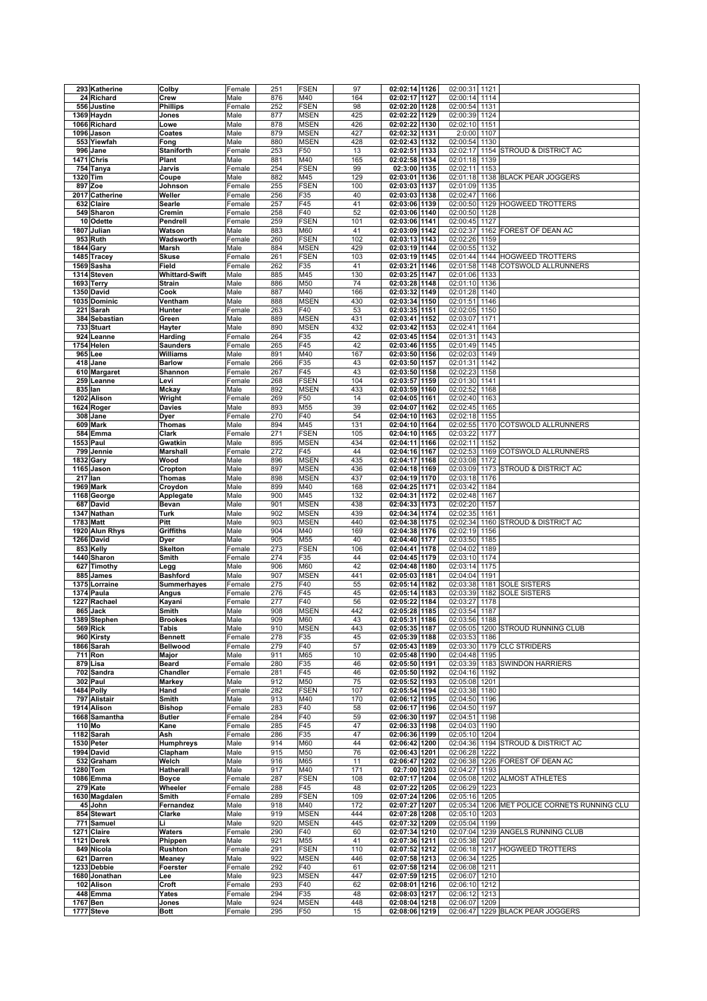|          | 293 Katherine               | Colby                      | Female         | 251        | <b>FSEN</b>        | 97        | 02:02:14 1126                  | 02:00:31 1121 |      |                                              |
|----------|-----------------------------|----------------------------|----------------|------------|--------------------|-----------|--------------------------------|---------------|------|----------------------------------------------|
|          | 24 Richard                  | Crew                       | Male           | 876        | M40                | 164       | 02:02:17 1127                  | 02:00:14      | 1114 |                                              |
|          | 556 Justine                 | <b>Phillips</b>            | Female         | 252        | <b>FSEN</b>        | 98        | 02:02:20 1128                  | 02:00:54 1131 |      |                                              |
|          | 1369 Haydn                  | Jones                      | Male           | 877        | <b>MSEN</b>        | 425       | 02:02:22 1129                  | 02:00:39      | 1124 |                                              |
|          | 1066 Richard                | Lowe                       | Male           | 878        | <b>MSEN</b>        | 426       | 02:02:22 1130                  | 02:02:10      | 1151 |                                              |
|          | 1096 Jason                  | Coates                     | Male           | 879        | <b>MSEN</b>        | 427       | 02:02:32 1131                  | 2:0:00        | 1107 |                                              |
|          | 553 Yiewfah                 | Fong                       | Male           | 880        | <b>MSEN</b>        | 428       | 02:02:43 1132                  | 02:00:54 1130 |      |                                              |
|          | 996 Jane                    | <b>Staniforth</b>          | Female         | 253        | F50                | 13        | 02:02:51 1133                  | 02:02:17      |      | 1154 STROUD & DISTRICT AC                    |
|          | 1471 Chris                  | Plant                      | Male           | 881        | M40                | 165       | 02:02:58 1134                  | 02:01:18      | 1139 |                                              |
|          | 754 Tanya                   | Jarvis                     | Female         | 254        | <b>FSEN</b>        | 99        | $02:3:00$ 1135                 | 02:02:11      | 1153 |                                              |
| 1320 Tim |                             | Coupe                      | Male           | 882        | M45                | 129       | 02:03:01 1136                  |               |      | 02:01:18 1138 BLACK PEAR JOGGERS             |
|          | 897 Zoe                     | Johnson                    | Female         | 255        | <b>FSEN</b>        | 100       | 02:03:03 1137                  | 02:01:09 1135 |      |                                              |
|          | 2017 Catherine              | Weller                     | Female         | 256        | F35                | 40        | 02:03:03 1138                  | 02:02:47      | 1166 |                                              |
|          | 632 Claire                  | Searle                     | Female         | 257        | F45                | 41        | 02:03:06 1139                  | 02:00:50      |      | 1129 HOGWEED TROTTERS                        |
|          | 549 Sharon                  | Cremin                     | Female         | 258        | F40                | 52        | 02:03:06 1140                  | 02:00:50 1128 |      |                                              |
|          | 10 Odette                   | Pendrell                   | Female         | 259        | <b>FSEN</b>        | 101       | 02:03:06 1141                  | 02:00:45      | 1127 |                                              |
|          | 1807 Julian                 | Watson                     | Male           | 883        | M60                | 41        | 02:03:09 1142                  | 02:02:37      |      | 1162 FOREST OF DEAN AC                       |
|          | 953 Ruth                    | Wadsworth                  | Female         | 260        | <b>FSEN</b>        | 102       | 02:03:13 1143                  | 02:02:26      | 1159 |                                              |
|          | 1844 Gary                   | Marsh                      | Male           | 884        | <b>MSEN</b>        | 429       | 02:03:19 1144                  | 02:00:55      | 1132 |                                              |
|          | 1485 Tracey                 | <b>Skuse</b>               | Female         | 261        | <b>FSEN</b>        | 103       | 02:03:19 1145                  | 02:01:44      |      | 1144 HOGWEED TROTTERS                        |
|          | 1569 Sasha                  | Field                      | Female         | 262        | F35                | 41        | 02:03:21<br>1146               | 02:01:58      | 1148 | COTSWOLD ALLRUNNERS                          |
|          | 1314 Steven                 | <b>Whittard-Swift</b>      | Male           | 885        | M45                | 130       | 02:03:25 1147                  | 02:01:06      | 1133 |                                              |
|          | 1693 Terry                  | <b>Strain</b>              | Male           | 886        | M50                | 74        | 02:03:28 1148                  | 02:01:10      | 1136 |                                              |
|          | 1350 David                  | Cook                       | Male           | 887        | M40                | 166       | 02:03:32 1149                  | 02:01:28      | 1140 |                                              |
|          | 1035 Dominic                | Ventham                    | Male           | 888        | <b>MSEN</b>        | 430       | 02:03:34 1150                  | 02:01:51      | 1146 |                                              |
|          | 221 Sarah                   | Hunter                     | Female         | 263        | F40                | 53        | 02:03:35 1151                  | 02:02:05 1150 |      |                                              |
|          |                             |                            |                |            |                    | 431       |                                |               |      |                                              |
|          | 384 Sebastian<br>733 Stuart | Green                      | Male           | 889        | <b>MSEN</b>        |           | 02:03:41 1152<br>02:03:42 1153 | 02:03:07      | 1171 |                                              |
|          | 924 Leanne                  | Hayter                     | Male           | 890        | <b>MSEN</b>        | 432       |                                | 02:02:41 1164 |      |                                              |
|          |                             | Harding                    | Female         | 264        | F35                | 42        | 02:03:45 1154                  | 02:01:31      | 1143 |                                              |
|          | 1754 Helen                  | <b>Saunders</b>            | Female         | 265        | F45                | 42        | 02:03:46 1155                  | 02:01:49      | 1145 |                                              |
|          | 965 Lee                     | Williams                   | Male           | 891        | M40                | 167       | 02:03:50 1156                  | 02:02:03      | 1149 |                                              |
|          | 418 Jane                    | <b>Barlow</b>              | Female         | 266        | F35                | 43        | 02:03:50 1157                  | 02:01:31      | 1142 |                                              |
|          | 610 Margaret                | Shannon                    | Female         | 267        | F45                | 43        | 02:03:50 1158                  | 02:02:23      | 1158 |                                              |
| 259      | Leanne                      | Levi                       | Female         | 268        | <b>FSEN</b>        | 104       | 02:03:57 1159                  | 02:01:30      | 1141 |                                              |
|          | 835 lan                     | Mckay                      | Male           | 892        | <b>MSEN</b>        | 433       | 02:03:59 1160                  | 02:02:52      | 1168 |                                              |
|          | 1202 Alison                 | Wright                     | Female         | 269        | F50                | 14        | 02:04:05 1161                  | 02:02:40 1163 |      |                                              |
|          | 1624 Roger                  | <b>Davies</b>              | Male           | 893        | M55                | 39        | 02:04:07 1162                  | 02:02:45      | 1165 |                                              |
|          | 308 Jane                    | Dyer                       | Female         | 270        | F40                | 54        | 02:04:10 1163                  | 02:02:18 1155 |      |                                              |
|          | 609 Mark                    | Thomas                     | Male           | 894        | M45                | 131       | 02:04:10 1164                  | 02:02:55      |      | 1170 COTSWOLD ALLRUNNERS                     |
|          | 584 Emma                    | Clark                      | Female         | 271        | <b>FSEN</b>        | 105       | 02:04:10 1165                  | 02:03:22      | 1177 |                                              |
|          | 1553 Paul                   | Gwatkin                    | Male           | 895        | <b>MSEN</b>        | 434       | 02:04:11 1166                  | 02:02:11 1152 |      |                                              |
|          | 799 Jennie                  | Marshall                   | Female         | 272        | F45                | 44        | 02:04:16 1167                  | 02:02:53      |      | 1169 COTSWOLD ALLRUNNERS                     |
|          | <b>1832 Gary</b>            | Wood                       | Male           | 896        | <b>MSEN</b>        | 435       | 02:04:17 1168                  | 02:03:08      | 1172 |                                              |
|          | 1165 Jason                  | Cropton                    | Male           | 897        | <b>MSEN</b>        | 436       | 02:04:18 1169                  | 02:03:09      |      | 1173 STROUD & DISTRICT AC                    |
|          | 217 lan                     | Thomas                     | Male           | 898        | <b>MSEN</b>        | 437       | 02:04:19 1170                  | 02:03:18 1176 |      |                                              |
|          | 1969 Mark                   | Croydon                    | Male           | 899        | M40                | 168       | 02:04:25 1171                  | 02:03:42      | 1184 |                                              |
|          | 1168 George                 | Applegate                  | Male           | 900        | M45                | 132       | 02:04:31<br>1172               | 02:02:48      | 1167 |                                              |
|          | 687 David                   | Bevan                      | Male           | 901        | <b>MSEN</b>        | 438       | 02:04:33 1173                  | 02:02:20      | 1157 |                                              |
|          | 1347 Nathan                 | <b>Turk</b>                | Male           | 902        | <b>MSEN</b>        | 439       | 02:04:34 1174                  | 02:02:35      | 1161 |                                              |
|          | 1783 Matt                   | Pitt                       | Male           | 903        | <b>MSEN</b>        | 440       | 02:04:38 1175                  | 02:02:34      | 1160 | STROUD & DISTRICT AC                         |
|          | 1920 Alun Rhys              | Griffiths                  | Male           | 904        | M40                | 169       | 02:04:38 1176                  | 02:02:19      | 1156 |                                              |
|          | 1266 David                  | Dyer                       | Male           | 905        | M55                | 40        | 02:04:40 1177                  | 02:03:50      | 1185 |                                              |
|          | 853 Kelly                   | <b>Skelton</b>             | Female         | 273        | <b>FSEN</b>        | 106       | 02:04:41 1178                  | 02:04:02 1189 |      |                                              |
|          | 1440 Sharon                 | Smith                      | Female         | 274        | F35                | 44        | 02:04:45 1179                  | 02:03:10      | 1174 |                                              |
|          | 627 Timothy                 | Legg                       | Male           | 906        | M60                | 42        | 02:04:48 1180                  | 02:03:14      | 1175 |                                              |
|          | 885 James                   | <b>Bashford</b>            | Male           | 907        | <b>MSEN</b>        | 441       | 02:05:03 1181                  | 02:04:04      | 1191 |                                              |
|          | 1375 Lorraine               | <b>Summerhayes</b>         | Female         | 275        | F40                | 55        | 02:05:14 1182                  | 02:03:38      | 1181 | <b>SOLE SISTERS</b>                          |
|          | 1374 Paula                  | Angus                      | Female         | 276        | F45                | 45        | 02:05:14 1183                  | 02:03:39      | 1182 | <b>SOLE SISTERS</b>                          |
|          | 1227 Rachael                |                            |                |            | F40                |           |                                |               |      |                                              |
| 865 Jack |                             |                            |                |            |                    |           |                                |               |      |                                              |
|          |                             | Kayani                     | Female         | 277        |                    | 56        | 02:05:22 1184                  | 02:03:27      | 1178 |                                              |
|          |                             | Smith                      | Male           | 908        | <b>MSEN</b>        | 442       | 02:05:28 1185                  | 02:03:54      | 1187 |                                              |
|          | 1389 Stephen                | <b>Brookes</b>             | Male           | 909        | M60                | 43        | 02:05:31 1186                  | 02:03:56 1188 |      |                                              |
|          | 569 Rick                    | Tabis                      | Male           | 910        | <b>MSEN</b>        | 443       | 02:05:35 1187                  |               |      | 02:05:05 1200 STROUD RUNNING CLUB            |
|          | 960 Kirsty<br>1866 Sarah    | <b>Bennett</b><br>Bellwood | Female         | 278        | F35<br>F40         | 45        | 02:05:39 1188                  | 02:03:53 1186 |      |                                              |
|          |                             |                            | Female         | 279        |                    | 57        | 02:05:43 1189                  |               |      | 02:03:30 1179 CLC STRIDERS                   |
|          | 711 Ron                     | Major                      | Male           | 911        | M65                | 10        | 02:05:48 1190                  | 02:04:48 1195 |      |                                              |
|          | 879 Lisa                    | Beard                      | Female         | 280        | F35<br>F45         | 46        | 02:05:50 1191                  |               |      | 02:03:39 1183 SWINDON HARRIERS               |
|          | 702 Sandra                  | Chandler                   | Female         | 281        |                    | 46        | 02:05:50 1192                  | 02:04:16 1192 |      |                                              |
|          | 302 Paul                    | <b>Markey</b>              | Male           | 912        | M50                | 75        | 02:05:52 1193                  | 02:05:08 1201 |      |                                              |
|          | 1484 Polly                  | Hand                       | Female         | 282        | <b>FSEN</b>        | 107       | 02:05:54 1194                  | 02:03:38 1180 |      |                                              |
|          | 797 Alistair                | Smith                      | Male           | 913        | M40                | 170       | 02:06:12 1195                  | 02:04:50 1196 |      |                                              |
|          | 1914 Alison                 | <b>Bishop</b>              | Female         | 283        | F40                | 58        | 02:06:17 1196                  | 02:04:50 1197 |      |                                              |
|          | 1668 Samantha               | <b>Butler</b>              | Female         | 284        | F40                | 59        | 02:06:30 1197                  | 02:04:51 1198 |      |                                              |
|          | $110$ Mo                    | Kane                       | Female         | 285        | F45                | 47        | 02:06:33 1198                  | 02:04:03 1190 |      |                                              |
|          | 1182 Sarah                  | Ash                        | Female         | 286        | F35                | 47        | 02:06:36 1199                  | 02:05:10 1204 |      |                                              |
|          | 1530 Peter                  | <b>Humphreys</b>           | Male           | 914        | M60                | 44        | 02:06:42 1200                  |               |      | 02:04:36 1194 STROUD & DISTRICT AC           |
|          | 1994 David                  | Clapham                    | Male           | 915        | M50                | 76        | 02:06:43 1201                  | 02:06:28      | 1222 |                                              |
|          | 532 Graham                  | Welch                      | Male           | 916        | M65                | 11        | 02:06:47 1202                  |               |      | 02:06:38 1226 FOREST OF DEAN AC              |
|          | 1280 Tom                    | Hatherall                  | Male           | 917        | M40                | 171       | 02:7:00 1203                   | 02:04:27 1193 |      |                                              |
|          | 1086 Emma                   | <b>Boyce</b>               | Female         | 287        | <b>FSEN</b>        | 108       | 02:07:17 1204                  |               |      | 02:05:08 1202 ALMOST ATHLETES                |
|          | 279 Kate                    | Wheeler                    | Female         | 288        | F45                | 48        | 02:07:22 1205                  | 02:06:29 1223 |      |                                              |
|          | 1630 Magdalen               | Smith                      | Female         | 289        | <b>FSEN</b>        | 109       | 02:07:24 1206                  | 02:05:16 1205 |      |                                              |
|          | 45 John                     | Fernandez                  | Male           | 918        | M40                | 172       | 02:07:27 1207                  |               |      | 02:05:34 1206 MET POLICE CORNETS RUNNING CLU |
|          | 854 Stewart                 | Clarke                     | Male           | 919        | <b>MSEN</b>        | 444       | 02:07:28 1208                  | 02:05:10 1203 |      |                                              |
|          | 771 Samuel                  | Li                         | Male           | 920        | <b>MSEN</b>        | 445       | 02:07:32 1209                  | 02:05:04 1199 |      |                                              |
|          | 1271 Claire                 | Waters                     | Female         | 290        | F40                | 60        | 02:07:34 1210                  |               |      | 02:07:04 1239 ANGELS RUNNING CLUB            |
|          | 1121 Derek                  | Phippen                    | Male           | 921        | M55                | 41        | 02:07:36 1211                  | 02:05:38 1207 |      |                                              |
|          | 849 Nicola                  | Rushton                    | Female         | 291        | <b>FSEN</b>        | 110       | 02:07:52 1212                  |               |      | 02:06:18 1217 HOGWEED TROTTERS               |
|          | 621 Darren                  | Meaney                     | Male           | 922        | <b>MSEN</b>        | 446       | 02:07:58 1213                  | 02:06:34 1225 |      |                                              |
|          | 1233 Debbie                 | Foerster                   | Female         | 292        | F40                | 61        | 02:07:58 1214                  | 02:06:08 1211 |      |                                              |
|          | 1680 Jonathan               | Lee                        | Male           | 923        | <b>MSEN</b>        | 447       | 02:07:59 1215                  | 02:06:07 1210 |      |                                              |
|          | 102 Alison                  | Croft                      | Female         | 293        | F40                | 62        | 02:08:01 1216                  | 02:06:10 1212 |      |                                              |
|          | 448 Emma                    | Yates                      | Female         | 294        | F35                | 48        | 02:08:03 1217                  | 02:06:12 1213 |      |                                              |
|          | 1767 Ben<br>1777 Steve      | Jones<br><b>Bott</b>       | Male<br>Female | 924<br>295 | <b>MSEN</b><br>F50 | 448<br>15 | 02:08:04 1218<br>02:08:06 1219 | 02:06:07 1209 |      | 02:06:47 1229 BLACK PEAR JOGGERS             |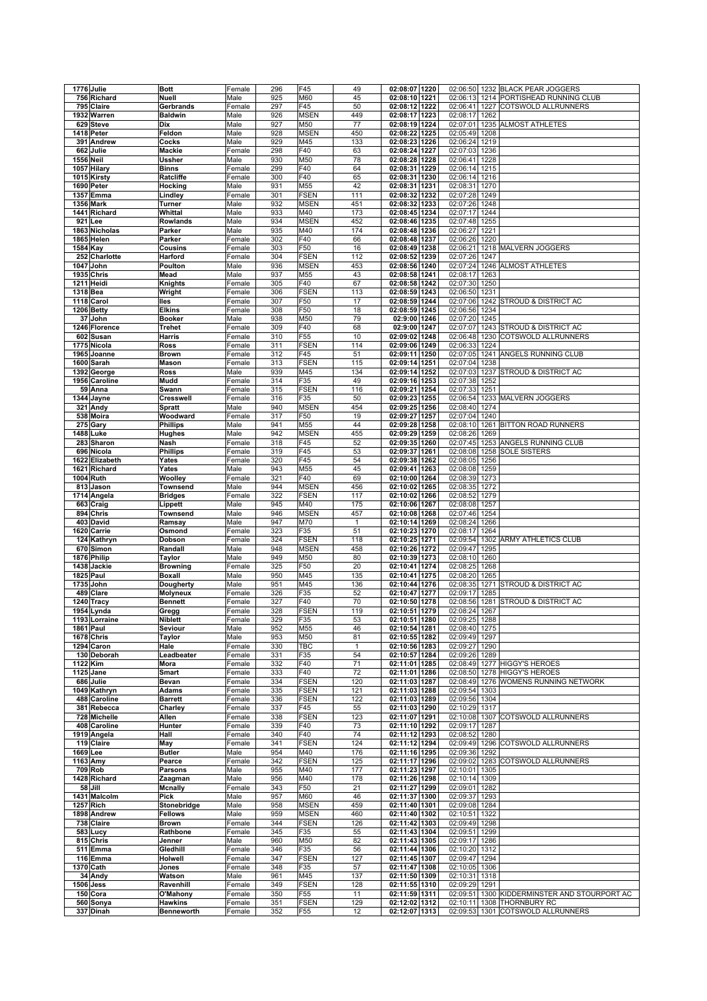|          | 1776 Julie             | <b>Bott</b>                         | Female           | 296        | F45                | 49           | 02:08:07 1220                  |      |               |      | 02:06:50 1232 BLACK PEAR JOGGERS                                |
|----------|------------------------|-------------------------------------|------------------|------------|--------------------|--------------|--------------------------------|------|---------------|------|-----------------------------------------------------------------|
|          | 756 Richard            | Nuell                               | Male             | 925        | M60                | 45           | 02:08:10 1221                  |      | 02:06:13      |      | 1214 PORTISHEAD RUNNING CLUB                                    |
|          | 795 Claire             | Gerbrands                           | Female           | 297        | F45                | 50           | 02:08:12                       | 1222 | 02:06:41      | 1227 | <b>COTSWOLD ALLRUNNERS</b>                                      |
|          | 1932 Warren            | <b>Baldwin</b>                      | Male             | 926        | <b>MSEN</b>        | 449          | 02:08:17 1223                  |      | 02:08:17 1262 |      |                                                                 |
|          | 629 Steve              | Dix                                 | Male             | 927        | M50                | 77           | 02:08:19 1224                  |      | 02:07:01      |      | 1235 ALMOST ATHLETES                                            |
|          | 1418 Peter             | Feldon                              | Male             | 928        | <b>MSEN</b>        | 450          | 02:08:22                       | 1225 | 02:05:49      | 1208 |                                                                 |
|          | 391 Andrew             | Cocks                               | Male             | 929        | M45                | 133          | 02:08:23                       | 1226 | 02:06:24      | 1219 |                                                                 |
|          |                        |                                     |                  |            |                    |              |                                |      |               |      |                                                                 |
|          | 662 Julie              | <b>Mackie</b>                       | Female           | 298        | F40                | 63           | 02:08:24                       | 1227 | 02:07:03 1236 |      |                                                                 |
|          | <b>1556 Neil</b>       | Ussher                              | Male             | 930        | M50                | 78           | 02:08:28                       | 1228 | 02:06:41      | 1228 |                                                                 |
|          | 1057 Hilary            | <b>Binns</b>                        | Female           | 299        | F40                | 64           | 02:08:31                       | 1229 | 02:06:14      | 1215 |                                                                 |
|          | 1015 Kirsty            | Ratcliffe                           | Female           | 300        | F40                | 65           | 02:08:31                       | 1230 | 02:06:14      | 1216 |                                                                 |
|          | 1690 Peter             | Hocking                             | Male             | 931        | M55                | 42           | 02:08:31                       | 1231 | 02:08:31 1270 |      |                                                                 |
|          | 1357 Emma              | Lindley                             | Female           | 301        | <b>FSEN</b>        | 111          | 02:08:32 1232                  |      | 02:07:28      | 1249 |                                                                 |
|          | 1356 Mark              | Turner                              | Male             | 932        | <b>MSEN</b>        | 451          | 02:08:32                       | 1233 | 02:07:26      | 1248 |                                                                 |
|          | 1441 Richard           | Whittal                             | Male             | 933        | M40                | 173          | 02:08:45 1234                  |      | 02:07:17      | 1244 |                                                                 |
|          |                        |                                     |                  |            |                    |              |                                |      |               |      |                                                                 |
|          | 921 Lee                | <b>Rowlands</b>                     | Male             | 934        | <b>MSEN</b>        | 452          | 02:08:46 1235                  |      | 02:07:48 1255 |      |                                                                 |
|          | 1863 Nicholas          | Parker                              | Male             | 935        | M40                | 174          | 02:08:48 1236                  |      | 02:06:27      | 1221 |                                                                 |
|          | 1865 Helen             | Parker                              | Female           | 302        | F40                | 66           | 02:08:48                       | 1237 | 02:06:26      | 1220 |                                                                 |
|          | 1584 Kay               | Cousins                             | Female           | 303        | F50                | 16           | 02:08:49                       | 1238 | 02:06:21      |      | 1218 MALVERN JOGGERS                                            |
|          | 252 Charlotte          | Harford                             | Female           | 304        | <b>FSEN</b>        | 112          | 02:08:52                       | 1239 | 02:07:26      | 1247 |                                                                 |
|          | 1047 John              | Poulton                             | Male             | 936        | <b>MSEN</b>        | 453          | 02:08:56                       | 1240 | 02:07:24      |      | 1246 ALMOST ATHLETES                                            |
|          | <b>1935 Chris</b>      | Mead                                | Male             | 937        | M55                | 43           | 02:08:58                       | 1241 | 02:08:17      | 1263 |                                                                 |
|          | 1211 Heidi             |                                     |                  | 305        | F40                | 67           | 02:08:58 1242                  |      | 02:07:30      | 1250 |                                                                 |
|          |                        | Knights                             | Female           |            |                    |              |                                |      |               |      |                                                                 |
| 1318 Bea |                        | Wright                              | Female           | 306        | <b>FSEN</b>        | 113          | 02:08:59                       | 1243 | 02:06:50      | 1231 |                                                                 |
|          | 1118 Carol             | lles                                | Female           | 307        | F50                | 17           | 02:08:59 1244                  |      | 02:07:06      |      | 1242 STROUD & DISTRICT AC                                       |
|          | 1206 Betty             | <b>Elkins</b>                       | Female           | 308        | F50                | 18           | 02:08:59 1245                  |      | 02:06:56      | 1234 |                                                                 |
|          | 37 John                | <b>Booker</b>                       | Male             | 938        | M50                | 79           | 02:9:00 1246                   |      | 02:07:20      | 1245 |                                                                 |
|          | 1246 Florence          | Trehet                              | Female           | 309        | F40                | 68           | 02:9:00 1247                   |      | 02:07:07      |      | 1243 STROUD & DISTRICT AC                                       |
|          | 602 Susan              | Harris                              | Female           | 310        | F <sub>55</sub>    | 10           | 02:09:02 1248                  |      |               |      | 02:06:48 1230 COTSWOLD ALLRUNNERS                               |
|          | 1775 Nicola            | Ross                                | Female           | 311        | <b>FSEN</b>        | 114          | 02:09:06                       | 1249 | 02:06:33      | 1224 |                                                                 |
|          | 1965 Joanne            | <b>Brown</b>                        | Female           | 312        | F45                | 51           | 02:09:11                       | 1250 | 02:07:05      |      | 1241 ANGELS RUNNING CLUB                                        |
|          |                        |                                     |                  | 313        | <b>FSEN</b>        |              | 02:09:14                       |      | 02:07:04      |      |                                                                 |
|          | 1600 Sarah             | Mason                               | Female           |            |                    | 115          |                                | 1251 |               | 1238 |                                                                 |
|          | 1392 George            | Ross                                | Male             | 939        | M45                | 134          | 02:09:14                       | 1252 | 02:07:03      |      | 1237 STROUD & DISTRICT AC                                       |
|          | 1956 Caroline          | Mudd                                | Female           | 314        | F35                | 49           | 02:09:16                       | 1253 | 02:07:38      | 1252 |                                                                 |
|          | 59 Anna                | Swann                               | Female           | 315        | <b>FSEN</b>        | 116          | 02:09:21                       | 1254 | 02:07:33      | 1251 |                                                                 |
|          | 1344 Jayne             | Cresswell                           | Female           | 316        | F35                | 50           | 02:09:23                       | 1255 | 02:06:54      |      | 1233 MALVERN JOGGERS                                            |
|          | 321 Andy               | Spratt                              | Male             | 940        | <b>MSEN</b>        | 454          | 02:09:25                       | 1256 | 02:08:40      | 1274 |                                                                 |
|          | 538 Moira              | Woodward                            | Female           | 317        | F50                | 19           | 02:09:27                       | 1257 | 02:07:04      | 1240 |                                                                 |
|          | 275 Gary               | <b>Phillips</b>                     | Male             | 941        | M55                | 44           | 02:09:28                       | 1258 | 02:08:10      |      | 1261 BITTON ROAD RUNNERS                                        |
|          |                        |                                     |                  |            |                    |              |                                |      |               |      |                                                                 |
|          | 1488 Luke              | Hughes                              | Male             | 942        | <b>MSEN</b>        | 455          | 02:09:29                       | 1259 | 02:08:26      | 1269 |                                                                 |
|          | 283 Sharon             | Nash                                | Female           | 318        | F45                | 52           | 02:09:35                       | 1260 |               |      | 02:07:45 1253 ANGELS RUNNING CLUB                               |
|          | 696 Nicola             | <b>Phillips</b>                     | Female           | 319        | F45                | 53           | 02:09:37                       | 1261 |               |      | 02:08:08 1258 SOLE SISTERS                                      |
|          | 1622 Elizabeth         | Yates                               | Female           | 320        | F45                | 54           | 02:09:38                       | 1262 | 02:08:05 1256 |      |                                                                 |
|          | 1621 Richard           | Yates                               | Male             | 943        | M55                | 45           | 02:09:41                       | 1263 | 02:08:08      | 1259 |                                                                 |
|          | 1004 Ruth              | Woolley                             | Female           | 321        | F40                | 69           | 02:10:00                       | 1264 | 02:08:39 1273 |      |                                                                 |
|          | 813 Jason              | Townsend                            | Male             | 944        | <b>MSEN</b>        | 456          | 02:10:02                       | 1265 | 02:08:35      | 1272 |                                                                 |
|          | 1714 Angela            | <b>Bridges</b>                      | Female           | 322        | <b>FSEN</b>        | 117          | 02:10:02                       | 1266 | 02:08:52      | 1279 |                                                                 |
|          |                        |                                     |                  |            |                    |              |                                |      |               |      |                                                                 |
|          | 663 Craig              | Lippett                             | Male             | 945        | M40                | 175          | 02:10:06                       | 1267 | 02:08:08      | 1257 |                                                                 |
|          | 894 Chris              | Townsend                            | Male             | 946        | <b>MSEN</b>        | 457          | 02:10:08                       | 1268 | 02:07:46      | 1254 |                                                                 |
|          | 403 David              | Ramsay                              | Male             | 947        | M70                | $\mathbf{1}$ | 02:10:14                       | 1269 | 02:08:24      | 1266 |                                                                 |
|          | 1620 Carrie            | Osmond                              | Female           | 323        | F35                | 51           | 02:10:23 1270                  |      | 02:08:17      | 1264 |                                                                 |
|          | 124 Kathryn            | Dobson                              | Female           | 324        | <b>FSEN</b>        | 118          | 02:10:25                       | 1271 | 02:09:54      |      | 1302 ARMY ATHLETICS CLUB                                        |
|          | 670 Simon              | Randall                             | Male             | 948        | <b>MSEN</b>        | 458          | 02:10:26 1272                  |      | 02:09:47      | 1295 |                                                                 |
|          | 1876 Philip            | Taylor                              | Male             | 949        | M50                | 80           | 02:10:39 1273                  |      | 02:08:10 1260 |      |                                                                 |
|          | 1438 Jackie            | <b>Browning</b>                     | Female           | 325        | F50                | 20           | 02:10:41                       | 1274 | 02:08:25      | 1268 |                                                                 |
|          | $1825$ Paul            |                                     |                  |            |                    |              | 02:10:41                       |      |               |      |                                                                 |
|          |                        | Boxall                              | Male             | 950        | M45                | 135          |                                | 1275 | 02:08:20      | 1265 |                                                                 |
|          | 1735 John              | Dougherty                           | Male             | 951        | M45                | 136          | 02:10:44                       | 1276 | 02:08:35      |      | 1271 STROUD & DISTRICT AC                                       |
|          | 489 Clare              | Molyneux                            | Female           | 326        | F35                | 52           | 02:10:47                       | 1277 | 02:09:17      | 1285 |                                                                 |
|          | 1240 Tracy             | <b>Bennett</b>                      | Female           | 327        | F40                | 70           | 02:10:50                       | 1278 | 02:08:56      |      | 1281 STROUD & DISTRICT AC                                       |
|          | 1954 Lynda             | Gregg                               | Female           | 328        | <b>FSEN</b>        | 119          | 02:10:51                       | 1279 | 02:08:24      | 1267 |                                                                 |
|          | 1193 Lorraine          | Niblett                             | Female           | 329        | F35                | 53           | 02:10:51 1280                  |      | 02:09:25 1288 |      |                                                                 |
|          | 1861 Paul              | Seviour                             | Male             | 952        | M55                | 46           | 02:10:54 1281                  |      | 02:08:40 1275 |      |                                                                 |
|          | 1678 Chris             | Taylor                              | Male             | 953        | M50                | 81           | 02:10:55 1282                  |      | 02:09:49 1297 |      |                                                                 |
|          | 1294 Caron             | Hale                                | Female           | 330        | TBC                | $\mathbf{1}$ | 02:10:56 1283                  |      | 02:09:27 1290 |      |                                                                 |
|          | 130 Deborah            |                                     |                  | 331        | F35                |              |                                |      |               |      |                                                                 |
|          |                        | Leadbeater                          | Female           |            |                    | 54           | 02:10:57 1284                  |      | 02:09:26 1289 |      |                                                                 |
|          | 1122 Kim               | Mora                                | Female           | 332        | F40                | 71           | 02:11:01 1285                  |      |               |      | 02:08:49 1277 HIGGY'S HEROES                                    |
|          | 1125 Jane              | <b>Smart</b>                        | Female           | 333        | F40                | 72           | 02:11:01 1286                  |      |               |      | 02:08:50 1278 HIGGY'S HEROES                                    |
|          | 686 Julie              | Bevan                               | Female           | 334        | <b>FSEN</b>        | 120          | 02:11:03 1287                  |      |               |      | 02:08:49 1276 WOMENS RUNNING NETWORK                            |
|          | 1049 Kathryn           | <b>Adams</b>                        | Female           | 335        | <b>FSEN</b>        | 121          | 02:11:03 1288                  |      | 02:09:54 1303 |      |                                                                 |
|          | 488 Caroline           | <b>Barrett</b>                      | Female           | 336        | <b>FSEN</b>        | 122          | 02:11:03 1289                  |      | 02:09:56 1304 |      |                                                                 |
|          | 381 Rebecca            | Charley                             | Female           | 337        | F45                | 55           | 02:11:03 1290                  |      | 02:10:29 1317 |      |                                                                 |
|          | 728 Michelle           | Allen                               | Female           | 338        | <b>FSEN</b>        | 123          | 02:11:07 1291                  |      |               |      | 02:10:08 1307 COTSWOLD ALLRUNNERS                               |
|          | 408 Caroline           | Hunter                              | Female           | 339        | F40                | 73           | 02:11:10 1292                  |      | 02:09:17      | 1287 |                                                                 |
|          | 1919 Angela            |                                     |                  | 340        | F40                | 74           | 02:11:12 1293                  |      |               |      |                                                                 |
|          |                        | Hall                                | Female           |            |                    |              | 02:11:12 1294                  |      | 02:08:52 1280 |      | 02:09:49 1296 COTSWOLD ALLRUNNERS                               |
|          | 119 Claire             | May                                 | Female           | 341        | <b>FSEN</b>        | 124          |                                |      |               |      |                                                                 |
|          | 1669 Lee               | <b>Butler</b>                       | Male             | 954        | M40                | 176          | 02:11:16 1295                  |      | 02:09:36 1292 |      |                                                                 |
|          | 1163 Amy               | Pearce                              | Female           | 342        | <b>FSEN</b>        | 125          | 02:11:17 1296                  |      |               |      | 02:09:02 1283 COTSWOLD ALLRUNNERS                               |
|          | 709 Rob                | <b>Parsons</b>                      | Male             | 955        | M40                | 177          | 02:11:23 1297                  |      | 02:10:01 1305 |      |                                                                 |
|          | 1428 Richard           | Zaagman                             | Male             | 956        | M40                | 178          | 02:11:26 1298                  |      | 02:10:14 1309 |      |                                                                 |
|          | 58 Jill                | <b>Mcnally</b>                      | Female           | 343        | F50                | 21           | 02:11:27 1299                  |      | 02:09:01 1282 |      |                                                                 |
|          | 1431 Malcolm           | Pick                                | Male             | 957        | M60                | 46           | 02:11:37 1300                  |      | 02:09:37 1293 |      |                                                                 |
|          | <b>1257 Rich</b>       | Stonebridge                         | Male             | 958        | <b>MSEN</b>        | 459          | 02:11:40 1301                  |      | 02:09:08 1284 |      |                                                                 |
|          |                        | <b>Fellows</b>                      |                  |            |                    |              | 02:11:40 1302                  |      |               |      |                                                                 |
|          | 1898 Andrew            |                                     | Male             | 959        | <b>MSEN</b>        | 460          |                                |      | 02:10:51 1322 |      |                                                                 |
|          | 738 Claire             | <b>Brown</b>                        | Female           | 344        | <b>FSEN</b>        | 126          | 02:11:42 1303                  |      | 02:09:49 1298 |      |                                                                 |
|          | 583 Lucy               | Rathbone                            | Female           | 345        | F35                | 55           | 02:11:43 1304                  |      | 02:09:51 1299 |      |                                                                 |
|          | 815 Chris              | Jenner                              | Male             | 960        | M50                | 82           | 02:11:43 1305                  |      | 02:09:17 1286 |      |                                                                 |
|          | 511 Emma               | Gledhill                            | Female           | 346        | F35                | 56           | 02:11:44 1306                  |      | 02:10:20 1312 |      |                                                                 |
|          | 116 Emma               | Holwell                             | Female           | 347        | <b>FSEN</b>        | 127          | 02:11:45 1307                  |      | 02:09:47 1294 |      |                                                                 |
|          |                        |                                     |                  |            | F35                | 57           | 02:11:47                       | 1308 | 02:10:05 1306 |      |                                                                 |
|          |                        | Jones                               | Female           | 348        |                    |              |                                |      |               |      |                                                                 |
|          | 1370 Cath              |                                     |                  |            |                    |              |                                |      |               |      |                                                                 |
|          | 34 Andy                | Watson                              | Male             | 961        | M45                | 137          | 02:11:50 1309                  |      | 02:10:31 1318 |      |                                                                 |
|          | $1506$ Jess            | Ravenhill                           | Female           | 349        | <b>FSEN</b>        | 128          | 02:11:55 1310                  |      | 02:09:29 1291 |      |                                                                 |
|          | 150 Cora               | O'Mahony                            | Female           | 350        | F55                | 11           | 02:11:59 1311                  |      |               |      | 02:09:51 1300 KIDDERMINSTER AND STOURPORT AC                    |
|          | 560 Sonya<br>337 Dinah | <b>Hawkins</b><br><b>Benneworth</b> | Female<br>Female | 351<br>352 | <b>FSEN</b><br>F55 | 129<br>12    | 02:12:02 1312<br>02:12:07 1313 |      |               |      | 02:10:11 1308 THORNBURY RC<br>02:09:53 1301 COTSWOLD ALLRUNNERS |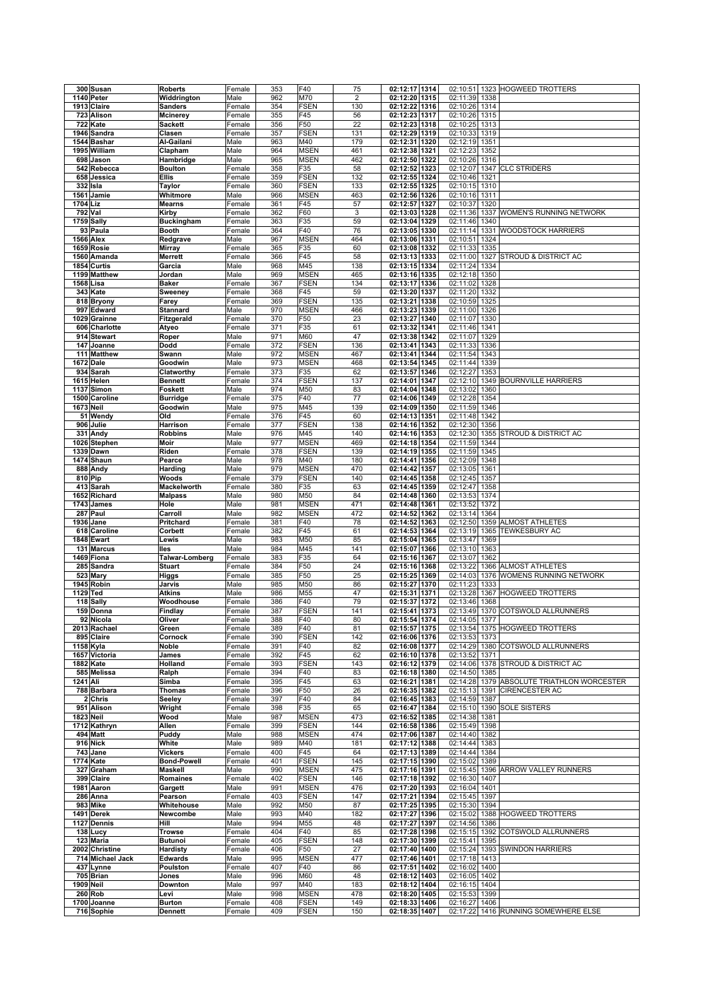|                  | 300 Susan                 | <b>Roberts</b>                  | Female           | 353        | F40                        | 75             | 02:12:17 1314                                |               |      | 02:10:51 1323 HOGWEED TROTTERS       |
|------------------|---------------------------|---------------------------------|------------------|------------|----------------------------|----------------|----------------------------------------------|---------------|------|--------------------------------------|
|                  | 1140 Peter                | Widdrington                     | Male             | 962        | M70                        | $\overline{2}$ | 02:12:20 1315                                | 02:11:39      | 1338 |                                      |
|                  | 1913 Claire               | <b>Sanders</b>                  | Female           | 354        | <b>FSEN</b>                | 130            | 02:12:22 1316                                | 02:10:26 1314 |      |                                      |
|                  | 723 Alison                | <b>Mcinerey</b>                 | Female           | 355        | F45                        | 56             | 02:12:23 1317                                | 02:10:26      | 1315 |                                      |
|                  | 722 Kate                  | <b>Sackett</b>                  | Female           | 356        | F50                        | 22             | 02:12:23 1318                                | 02:10:25      | 1313 |                                      |
|                  | 1946 Sandra               | Clasen                          | Female           | 357        | <b>FSEN</b>                | 131            | 02:12:29 1319                                | 02:10:33      | 1319 |                                      |
|                  | 1544 Bashar               | Al-Gailani                      | Male             | 963        | M40                        | 179            | 02:12:31 1320                                | 02:12:19 1351 |      |                                      |
|                  | 1995 William              | Clapham                         | Male             | 964        | <b>MSEN</b>                | 461            | 02:12:38 1321                                | 02:12:23      | 1352 |                                      |
|                  |                           |                                 |                  |            |                            |                | 02:12:50 1322                                |               |      |                                      |
|                  | 698 Jason                 | Hambridge                       | Male             | 965        | <b>MSEN</b>                | 462            | 02:12:52 1323                                | 02:10:26      | 1316 |                                      |
|                  | 542 Rebecca               | <b>Boulton</b>                  | Female           | 358        | F35                        | 58             |                                              | 02:12:07      | 1347 | <b>CLC STRIDERS</b>                  |
|                  | 658 Jessica               | <b>Ellis</b>                    | Female           | 359        | <b>FSEN</b>                | 132            | 02:12:55 1324                                | 02:10:46 1321 |      |                                      |
|                  | 332 Isla                  | Taylor                          | Female           | 360        | <b>FSEN</b>                | 133            | 02:12:55 1325                                | 02:10:15 1310 |      |                                      |
|                  | 1561 Jamie                | Whitmore                        | Male             | 966        | <b>MSEN</b>                | 463            | 02:12:56 1326                                | 02:10:16 1311 |      |                                      |
| 1704 Liz         |                           | <b>Mearns</b>                   | Female           | 361        | F45                        | 57             | 02:12:57 1327                                | 02:10:37      | 1320 |                                      |
|                  | 792 Val                   | Kirby                           | Female           | 362        | F60                        | $\mathsf 3$    | 02:13:03 1328                                | 02:11:36      | 1337 | WOMEN'S RUNNING NETWORK              |
|                  | 1759 Sally                | <b>Buckingham</b>               | Female           | 363        | F35                        | 59             | 02:13:04 1329                                | 02:11:46      | 1340 |                                      |
|                  | 93 Paula                  | <b>Booth</b>                    | Female           | 364        | F40                        | 76             | 02:13:05 1330                                | 02:11:14      |      | 1331 WOODSTOCK HARRIERS              |
|                  | 1566 Alex                 | Redgrave                        | Male             | 967        | <b>MSEN</b>                | 464            | 02:13:06 1331                                | 02:10:51      | 1324 |                                      |
|                  | 1659 Rosie                | <b>Mirray</b>                   | Female           | 365        | F35                        | 60             | 02:13:08 1332                                | 02:11:33      | 1335 |                                      |
|                  | 1560 Amanda               | Merrett                         | Female           | 366        | F45                        | 58             | 02:13:13 1333                                | 02:11:00      | 1327 | STROUD & DISTRICT AC                 |
|                  | 1854 Curtis               | Garcia                          | Male             | 968        | M45                        | 138            | 02:13:15 1334                                | 02:11:24      | 1334 |                                      |
|                  | 1199 Matthew              | Jordan                          | Male             | 969        | <b>MSEN</b>                | 465            | 02:13:16 1335                                | 02:12:18      | 1350 |                                      |
|                  | 1568 Lisa                 | <b>Baker</b>                    | Female           | 367        | <b>FSEN</b>                | 134            | 02:13:17 1336                                | 02:11:02      | 1328 |                                      |
|                  | 343 Kate                  | Sweeney                         | Female           | 368        | F45                        | 59             | 02:13:20 1337                                | 02:11:20      | 1332 |                                      |
|                  | 818 Bryony                | Farey                           | Female           | 369        | <b>FSEN</b>                | 135            | 02:13:21 1338                                | 02:10:59      | 1325 |                                      |
|                  | 997 Edward                | <b>Stannard</b>                 | Male             | 970        | <b>MSEN</b>                | 466            | 02:13:23 1339                                | 02:11:00      | 1326 |                                      |
|                  | 1029 Grainne              | Fitzgerald                      | Female           | 370        | F50                        | 23             | 02:13:27 1340                                | 02:11:07      | 1330 |                                      |
|                  | 606 Charlotte             | Atyeo                           | Female           | 371        | F35                        | 61             | 02:13:32 1341                                | 02:11:46      | 1341 |                                      |
|                  | 914 Stewart               | Roper                           | Male             | 971        | M60                        | 47             | 02:13:38 1342                                | 02:11:07      | 1329 |                                      |
|                  | 147 Joanne                | Dodd                            | Female           | 372        | <b>FSEN</b>                | 136            | 02:13:41<br>1343                             | 02:11:33      | 1336 |                                      |
|                  | 111 Matthew               | Swann                           | Male             | 972        | <b>MSEN</b>                | 467            | 02:13:41<br>1344                             | 02:11:54      | 1343 |                                      |
|                  | 1672 Dale                 | Goodwin                         | Male             | 973        | <b>MSEN</b>                | 468            | 02:13:54 1345                                | 02:11:44      | 1339 |                                      |
|                  | 934 Sarah                 | Clatworthy                      | Female           | 373        | F35                        | 62             | 02:13:57 1346                                | 02:12:27      | 1353 |                                      |
|                  | 1615 Helen                | <b>Bennett</b>                  | Female           | 374        | <b>FSEN</b>                | 137            | 02:14:01<br>1347                             | 02:12:10      |      | 1349 BOURNVILLE HARRIERS             |
|                  | 1137 Simon                | Foskett                         | Male             | 974        | M50                        | 83             | 02:14:04 1348                                | 02:13:02      | 1360 |                                      |
|                  | 1500 Caroline             | <b>Burridge</b>                 | Female           | 375        | F40                        | 77             | 02:14:06 1349                                | 02:12:28      | 1354 |                                      |
| <b>1673 Neil</b> |                           | Goodwin                         | Male             | 975        | M45                        | 139            | 02:14:09 1350                                | 02:11:59      | 1346 |                                      |
|                  | 51 Wendy                  | Old                             | Female           | 376        | F45                        | 60             | 02:14:13 1351                                | 02:11:48      | 1342 |                                      |
|                  | 906 Julie                 | Harrison                        | Female           | 377        | <b>FSEN</b>                | 138            | 02:14:16 1352                                | 02:12:30      | 1356 |                                      |
|                  |                           |                                 |                  | 976        | M45                        | 140            |                                              | 02:12:30      |      |                                      |
|                  | 331 Andy                  | <b>Robbins</b>                  | Male             | 977        | <b>MSEN</b>                | 469            | 02:14:16 1353<br>02:14:18 1354               | 02:11:59      | 1355 | STROUD & DISTRICT AC                 |
|                  | 1026 Stephen              | Moir                            | Male             |            |                            |                |                                              |               | 1344 |                                      |
|                  | <b>1339 Dawn</b>          | Riden                           | Female           | 378        | <b>FSEN</b>                | 139            | 02:14:19 1355                                | 02:11:59      | 1345 |                                      |
|                  | 1474 Shaun                | Pearce                          | Male             | 978        | M40                        | 180            | 02:14:41 1356                                | 02:12:09      | 1348 |                                      |
|                  | 888 Andy                  | Harding                         | Male             | 979        | <b>MSEN</b>                | 470            | 02:14:42 1357                                | 02:13:05      | 1361 |                                      |
|                  | 810 Pip                   | Woods                           | Female           | 379        | <b>FSEN</b>                | 140            | 02:14:45 1358                                | 02:12:45      | 1357 |                                      |
|                  | 413 Sarah                 | Mackelworth                     | Female           | 380        | F35                        | 63             | 02:14:45 1359                                | 02:12:47      | 1358 |                                      |
|                  | 1652 Richard              | <b>Malpass</b>                  | Male             | 980        | M50                        | 84             | 02:14:48 1360                                | 02:13:53      | 1374 |                                      |
|                  | 1743 James                | Hole                            | Male             | 981        | <b>MSEN</b>                | 471            | 02:14:48 1361                                | 02:13:52      | 1372 |                                      |
|                  | 287 Paul                  | Carroll                         | Male             | 982        | <b>MSEN</b>                | 472            | 02:14:52 1362                                | 02:13:14      | 1364 |                                      |
|                  | 1936 Jane                 | Pritchard                       | Female           | 381        | F40                        | 78             | 02:14:52 1363                                | 02:12:50      |      | 1359 ALMOST ATHLETES                 |
|                  |                           |                                 |                  |            |                            |                |                                              |               |      | <b>TEWKESBURY AC</b>                 |
|                  | 618 Caroline              | Corbett                         | Female           | 382        | F45                        | 61             | 02:14:53 1364                                | 02:13:19      | 1365 |                                      |
|                  | 1848 Ewart                | Lewis                           | Male             | 983        | M50                        | 85             | 02:15:04 1365                                | 02:13:47      | 1369 |                                      |
|                  | 131 Marcus                | lles                            | Male             | 984        | M45                        | 141            | 02:15:07 1366                                | 02:13:10 1363 |      |                                      |
|                  | 1469 Fiona                | Talwar-Lomberg                  | Female           | 383        | F35                        | 64             | 02:15:16 1367                                | 02:13:07      | 1362 |                                      |
|                  | 285 Sandra                | <b>Stuart</b>                   | Female           | 384        | F50                        | 24             | 02:15:16 1368                                | 02:13:22      |      | 1366 ALMOST ATHLETES                 |
|                  | 523 Mary                  | Higgs                           | Female           | 385        | F50                        | 25             | 02:15:25 1369                                | 02:14:03      |      | 1376 WOMENS RUNNING NETWORK          |
|                  | 1945 Robin                | Jarvis                          | Male             | 985        | M50                        | 86             | 02:15:27 1370                                | 02:11:23      | 1333 |                                      |
| 1129 Ted         |                           | Atkins                          | Male             | 986        | M55                        | 47             | 02:15:31<br>1371                             | 02:13:28      | 1367 | <b>HOGWEED TROTTERS</b>              |
|                  | 118 Sally                 | Woodhouse                       | Female           | 386        | F40                        | 79             | 02:15:37 1372                                | 02:13:46      | 1368 |                                      |
|                  | 159 Donna                 | Findlay                         | Female           | 387        | <b>FSEN</b>                | 141            | 02:15:41 1373                                | 02:13:49      |      | 1370 COTSWOLD ALLRUNNERS             |
|                  | 92 Nicola                 | Oliver                          | Female           | 388        | F40                        | 80             | 02:15:54 1374                                | 02:14:05 1377 |      |                                      |
|                  | 2013 Rachael              | Green                           | Female           | 389        | F40                        | 81             | 02:15:57 1375                                |               |      | 02:13:54 1375 HOGWEED TROTTERS       |
|                  | 895 Claire                | Cornock                         | Female           | 390        | <b>FSEN</b>                | 142            | 02:16:06 1376                                | 02:13:53 1373 |      |                                      |
|                  | 1158 Kyla                 | Noble                           | Female           | 391        | F40                        | 82             | 02:16:08 1377                                | 02:14:29      |      | 1380 COTSWOLD ALLRUNNERS             |
|                  | 1657 Victoria             | James                           | Female           | 392        | F <sub>45</sub>            | 62             | 02:16:10 1378                                | 02:13:52 1371 |      |                                      |
|                  | 1882 Kate                 | Holland                         | Female           | 393        | <b>FSEN</b>                | 143            | 02:16:12 1379                                |               |      | 02:14:06 1378 STROUD & DISTRICT AC   |
|                  | 585 Melissa               | Ralph                           | Female           | 394        | F40                        | 83             | 02:16:18 1380                                | 02:14:50 1385 |      |                                      |
| 1241 Ali         |                           | Simba                           | Female           | 395        | F45                        | 63             | 02:16:21 1381                                | 02:14:28      |      | 1379 ABSOLUTE TRIATHLON WORCESTER    |
|                  | 788 Barbara               | <b>Thomas</b>                   | Female           | 396        | F50                        | 26             | 02:16:35 1382                                | 02:15:13 1391 |      | <b>CIRENCESTER AC</b>                |
|                  | $2$ Chris                 | Seeley                          | Female           | 397        | F40                        | 84             | 02:16:45 1383                                | 02:14:59 1387 |      |                                      |
|                  | 951 Alison                | Wright                          | Female           | 398        | F35                        | 65             | 02:16:47 1384                                | 02:15:10 1390 |      | <b>SOLE SISTERS</b>                  |
|                  | <b>1823 Neil</b>          | Wood                            | Male             | 987        | <b>MSEN</b>                | 473            | 02:16:52 1385                                | 02:14:38      | 1381 |                                      |
|                  | 1712 Kathryn              | Allen                           | Female           | 399        | <b>FSEN</b>                | 144            | 02:16:58 1386                                | 02:15:49 1398 |      |                                      |
|                  | 494 Matt                  | Puddy                           | Male             | 988        | <b>MSEN</b>                | 474            | 02:17:06 1387                                | 02:14:40 1382 |      |                                      |
|                  | 916 Nick                  | White                           | Male             | 989        | M40                        | 181            | 02:17:12 1388                                | 02:14:44      | 1383 |                                      |
|                  | 743 Jane                  | <b>Vickers</b>                  | Female           | 400        | F45                        | 64             | 02:17:13 1389                                | 02:14:44      | 1384 |                                      |
|                  | 1774 Kate                 | <b>Bond-Powell</b>              | Female           | 401        | <b>FSEN</b>                | 145            | 02:17:15 1390                                | 02:15:02 1389 |      |                                      |
|                  | 327 Graham                | <b>Maskell</b>                  | Male             | 990        | <b>MSEN</b>                | 475            | 02:17:16 1391                                |               |      | 02:15:45 1396 ARROW VALLEY RUNNERS   |
|                  |                           |                                 |                  | 402        |                            | 146            |                                              |               |      |                                      |
|                  | 399 Claire                | Romaines                        | Female           |            | <b>FSEN</b>                |                | 02:17:18 1392                                | 02:16:30 1407 |      |                                      |
|                  | 1981 Aaron                | Gargett                         | Male             | 991        | <b>MSEN</b>                | 476            | 02:17:20 1393                                | 02:16:04 1401 |      |                                      |
|                  | 286 Anna                  | Pearson                         | Female           | 403        | <b>FSEN</b>                | 147            | 02:17:21 1394                                | 02:15:45 1397 |      |                                      |
|                  | 983 Mike                  | Whitehouse                      | Male             | 992        | M50                        | 87             | 02:17:25 1395                                | 02:15:30 1394 |      |                                      |
|                  | 1491 Derek                | Newcombe                        | Male             | 993        | M40                        | 182            | 02:17:27 1396                                | 02:15:02      |      | 1388 HOGWEED TROTTERS                |
|                  | 1127 Dennis               | Hill                            | Male             | 994        | M55                        | 48             | 02:17:27 1397                                | 02:14:56      | 1386 |                                      |
|                  | 138 Lucy                  | <b>Trowse</b>                   | Female           | 404        | F40                        | 85             | 02:17:28 1398                                |               |      | 02:15:15 1392 COTSWOLD ALLRUNNERS    |
|                  | 123 Maria                 | <b>Butunoi</b>                  | Female           | 405        | <b>FSEN</b>                | 148            | 02:17:30 1399                                | 02:15:41 1395 |      |                                      |
|                  | 2002 Christine            | <b>Hardisty</b>                 | Female           | 406        | F50                        | 27             | 02:17:40 1400                                | 02:15:24      |      | 1393 SWINDON HARRIERS                |
|                  | 714 Michael Jack          | <b>Edwards</b>                  | Male             | 995        | <b>MSEN</b>                | 477            | 02:17:46 1401                                | 02:17:18 1413 |      |                                      |
|                  | 437 Lynne                 | Poulston                        | Female           | 407        | F40                        | 86             | 02:17:51 1402                                | 02:16:02      | 1400 |                                      |
|                  | 705 Brian                 | Jones                           | Male             | 996        | M60                        | 48             | 02:18:12 1403                                | 02:16:05 1402 |      |                                      |
|                  | <b>1909 Neil</b>          | Downton                         | Male             | 997        | M40                        | 183            | 02:18:12 1404                                | 02:16:15 1404 |      |                                      |
|                  | 260 Rob                   | Levi                            | Male             | 998        | <b>MSEN</b>                | 478            | 02:18:20 1405                                | 02:15:53 1399 |      |                                      |
|                  | 1700 Joanne<br>716 Sophie | <b>Burton</b><br><b>Dennett</b> | Female<br>Female | 408<br>409 | <b>FSEN</b><br><b>FSEN</b> | 149<br>150     | $\overline{02}$ :18:33 1406<br>02:18:35 1407 | 02:16:27 1406 |      | 02:17:22 1416 RUNNING SOMEWHERE ELSE |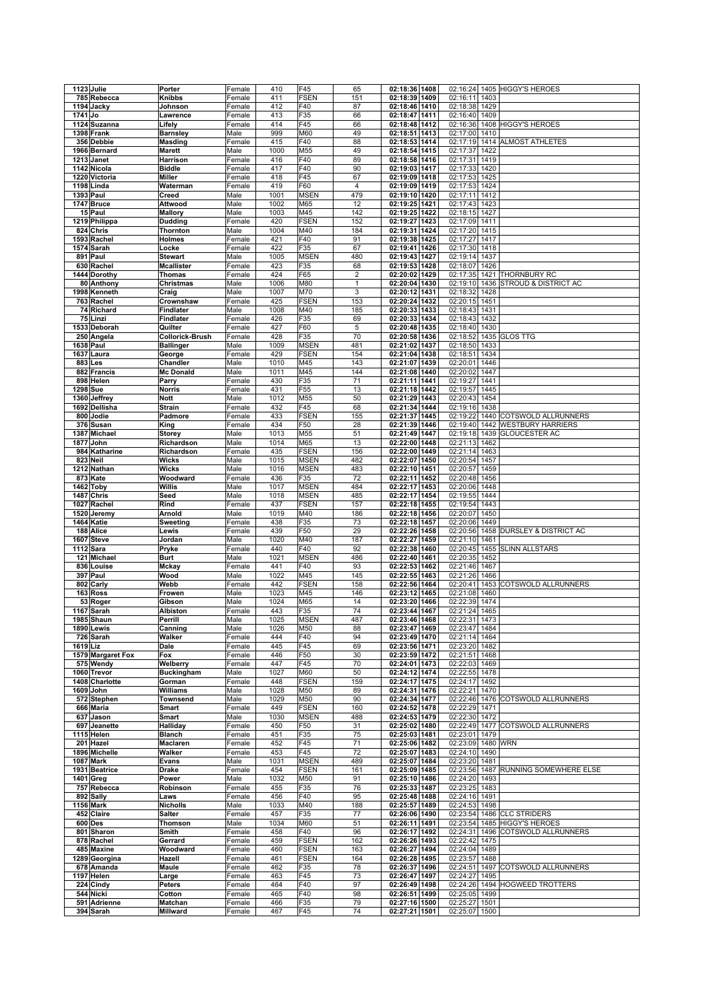|          | 1123 Julie             | Porter            | Female | 410  | F45             | 65           | 02:18:36 1408    | 02:16:24          |      | 1405 HIGGY'S HEROES               |
|----------|------------------------|-------------------|--------|------|-----------------|--------------|------------------|-------------------|------|-----------------------------------|
|          |                        |                   |        |      |                 |              |                  |                   |      |                                   |
|          | 785 Rebecca            | Knibbs            | Female | 411  | <b>FSEN</b>     | 151          | 02:18:39 1409    | 02:16:11          | 1403 |                                   |
|          | 1194 Jacky             | Johnson           | Female | 412  | F40             | 87           | 02:18:46 1410    | 02:18:38          | 1429 |                                   |
| 1741 Jo  |                        | Lawrence          | Female | 413  | F35             | 66           | 02:18:47 1411    | 02:16:40          | 1409 |                                   |
|          | 1124 Suzanna           | Lifely            | Female | 414  | F45             | 66           | 02:18:48 1412    | 02:16:36          |      | 1408 HIGGY'S HEROES               |
|          | 1398 Frank             |                   | Male   | 999  | M60             | 49           | 02:18:51 1413    | 02:17:00          | 1410 |                                   |
|          |                        | <b>Barnsley</b>   |        |      |                 |              |                  |                   |      |                                   |
|          | 356 Debbie             | Masding           | Female | 415  | F40             | 88           | 02:18:53 1414    | 02:17:19          |      | 1414 ALMOST ATHLETES              |
|          | 1966 Bernard           | <b>Marett</b>     | Male   | 1000 | M55             | 49           | 02:18:54 1415    | 02:17:37          | 1422 |                                   |
|          | 1213 Janet             | Harrison          | Female | 416  | F40             | 89           | 02:18:58 1416    | 02:17:31          | 1419 |                                   |
|          | 1142 Nicola            | <b>Biddle</b>     | Female | 417  | F40             | 90           | 02:19:03 1417    | 02:17:33          | 1420 |                                   |
|          | 1220 Victoria          | Miller            | Female | 418  | F45             | 67           | 02:19:09 1418    | 02:17:53          | 1425 |                                   |
|          | 1198 Linda             | Waterman          | Female | 419  | F60             | 4            | 02:19:09 1419    | 02:17:53          | 1424 |                                   |
|          |                        |                   |        |      |                 |              |                  |                   |      |                                   |
|          | 1393 Paul              | Creed             | Male   | 1001 | <b>MSEN</b>     | 479          | 02:19:10 1420    | 02:17:11          | 1412 |                                   |
|          | 1747 Bruce             | Attwood           | Male   | 1002 | M65             | 12           | 02:19:25 1421    | 02:17:43          | 1423 |                                   |
|          | 15 Paul                | <b>Mallory</b>    | Male   | 1003 | M45             | 142          | 02:19:25 1422    | 02:18:15          | 1427 |                                   |
|          | 1219 Philippa          | <b>Dudding</b>    | Female | 420  | <b>FSEN</b>     | 152          | 02:19:27<br>1423 | 02:17:09          | 1411 |                                   |
|          | 824 Chris              | Thornton          | Male   | 1004 | M40             | 184          | 02:19:31<br>1424 | 02:17:20          | 1415 |                                   |
|          | 1593 Rachel            | Holmes            | Female | 421  | F40             | 91           | 02:19:38 1425    | 02:17:27          | 1417 |                                   |
|          |                        |                   |        |      | F <sub>35</sub> | 67           |                  |                   |      |                                   |
|          | 1574 Sarah             | Locke             | Female | 422  |                 |              | 02:19:41 1426    | 02:17:30          | 1418 |                                   |
|          | 891 Paul               | <b>Stewart</b>    | Male   | 1005 | <b>MSEN</b>     | 480          | 02:19:43 1427    | 02:19:14          | 1437 |                                   |
|          | 630 Rachel             | <b>Mcallister</b> | Female | 423  | F35             | 68           | 02:19:53 1428    | 02:18:07          | 1426 |                                   |
|          | 1444 Dorothy           | Thomas            | Female | 424  | F65             | $\sqrt{2}$   | 02:20:02 1429    | 02:17:35          |      | 1421 THORNBURY RC                 |
|          | 80 Anthony             | Christmas         | Male   | 1006 | M80             | $\mathbf{1}$ | 02:20:04 1430    | 02:19:10          | 1436 | STROUD & DISTRICT AC              |
|          | 1998 Kenneth           | Craig             | Male   | 1007 | M70             | 3            | 02:20:12 1431    | 02:18:32          | 1428 |                                   |
|          | 763 Rachel             | Crownshaw         | Female | 425  | <b>FSEN</b>     | 153          | 02:20:24 1432    | 02:20:15          | 1451 |                                   |
|          |                        |                   |        |      |                 |              |                  |                   |      |                                   |
|          | 74 Richard             | <b>Findlater</b>  | Male   | 1008 | M40             | 185          | 02:20:33<br>1433 | 02:18:43          | 1431 |                                   |
|          | 75 Linzi               | Findlater         | Female | 426  | F35             | 69           | 02:20:33 1434    | 02:18:43          | 1432 |                                   |
|          | 1533 Deborah           | Quilter           | Female | 427  | F60             | 5            | 02:20:48 1435    | 02:18:40          | 1430 |                                   |
|          | 250 Angela             | Collorick-Brush   | Female | 428  | F35             | 70           | 02:20:58 1436    | 02:18:52          |      | 1435 GLOS TTG                     |
|          | 1638 Paul              | <b>Ballinger</b>  | Male   | 1009 | <b>MSEN</b>     | 481          | 02:21:02<br>1437 | 02:18:50          | 1433 |                                   |
|          | 1637 Laura             | George            | Female | 429  | <b>FSEN</b>     | 154          | 02:21:04 1438    | 02:18:51          | 1434 |                                   |
|          |                        |                   |        |      |                 |              |                  |                   |      |                                   |
|          | 883 Les                | Chandler          | Male   | 1010 | M45             | 143          | 02:21:07 1439    | 02:20:01 1446     |      |                                   |
|          | 882 Francis            | <b>Mc Donald</b>  | Male   | 1011 | M45             | 144          | 02:21:08 1440    | 02:20:02          | 1447 |                                   |
|          | 898 Helen              | Parry             | Female | 430  | F35             | 71           | 02:21:11 1441    | 02:19:27          | 1441 |                                   |
|          | 1298 Sue               | <b>Norris</b>     | Female | 431  | F55             | 13           | 02:21:18 1442    | 02:19:57          | 1445 |                                   |
|          | 1360 Jeffrey           | <b>Nott</b>       | Male   | 1012 | M55             | 50           | 02:21:29 1443    | 02:20:43          | 1454 |                                   |
|          | 1692 Dellisha          | <b>Strain</b>     | Female | 432  | F45             | 68           | 02:21:34 1444    | 02:19:16          | 1438 |                                   |
|          |                        |                   | Female |      |                 |              |                  |                   |      | 1440 COTSWOLD ALLRUNNERS          |
|          | 800 Jodie              | Padmore           |        | 433  | <b>FSEN</b>     | 155          | 02:21:37 1445    | 02:19:22          |      |                                   |
|          | 376 Susan              | King              | Female | 434  | F50             | 28           | 02:21:39 1446    | 02:19:40          |      | 1442 WESTBURY HARRIERS            |
| 1387     | Michael                | <b>Storey</b>     | Male   | 1013 | M55             | 51           | 02:21:49 1447    | 02:19:18          | 1439 | <b>GLOUCESTER AC</b>              |
| 1877     | John                   | Richardson        | Male   | 1014 | M65             | 13           | 02:22:00 1448    | 02:21:13          | 1462 |                                   |
|          | 984 Katharine          | Richardson        | Female | 435  | <b>FSEN</b>     | 156          | 02:22:00 1449    | 02:21:14          | 1463 |                                   |
|          | 823 Neil               | <b>Wicks</b>      | Male   | 1015 | <b>MSEN</b>     | 482          | 02:22:07 1450    | 02:20:54          | 1457 |                                   |
|          | 1212 Nathan            | Wicks             | Male   | 1016 | <b>MSEN</b>     | 483          | 02:22:10 1451    | 02:20:57          | 1459 |                                   |
|          |                        |                   |        |      |                 |              |                  |                   |      |                                   |
|          | 873 Kate               | Woodward          | Female | 436  | F35             | 72           | 02:22:11 1452    | 02:20:48          | 1456 |                                   |
|          | 1462 Toby              | Willis            | Male   | 1017 | <b>MSEN</b>     | 484          | 02:22:17 1453    | 02:20:06          | 1448 |                                   |
|          | 1487 Chris             | Seed              | Male   | 1018 | <b>MSEN</b>     | 485          | 02:22:17 1454    | 02:19:55          | 1444 |                                   |
|          | 1027 Rachel            | Rind              | Female | 437  | <b>FSEN</b>     | 157          | 02:22:18 1455    | 02:19:54          | 1443 |                                   |
|          | 1520 Jeremy            | Arnold            | Male   | 1019 | M40             | 186          | 02:22:18 1456    | 02:20:07          | 1450 |                                   |
|          | 1464 Katie             | Sweeting          | Female | 438  | F35             | 73           | 02:22:18 1457    | 02:20:06          | 1449 |                                   |
|          | 188 Alice              | Lewis             | Female | 439  | F50             | 29           | 02:22:26 1458    | 02:20:56          | 1458 | <b>DURSLEY &amp; DISTRICT AC</b>  |
|          |                        |                   |        |      |                 |              |                  |                   |      |                                   |
|          | 1607 Steve             | Jordan            | Male   | 1020 | M40             | 187          | 02:22:27 1459    | 02:21:10          | 1461 |                                   |
|          | $1112$ Sara            | Pryke             | Female | 440  | F40             | 92           | 02:22:38 1460    | 02:20:45          | 1455 | <b>SLINN ALLSTARS</b>             |
|          | 121 Michael            | <b>Burt</b>       | Male   | 1021 | <b>MSEN</b>     | 486          | 02:22:40 1461    | 02:20:35          | 1452 |                                   |
|          | 836 Louise             | Mckay             | Female | 441  | F40             | 93           | 02:22:53 1462    | 02:21:46          | 1467 |                                   |
|          | 397 Paul               | Wood              | Male   | 1022 | M45             | 145          | 02:22:55 1463    | 02:21:26          | 1466 |                                   |
|          | 802 Carly              | Webb              | Female | 442  | <b>FSEN</b>     | 158          | 02:22:56 1464    | 02:20:41          | 1453 | <b>COTSWOLD ALLRUNNERS</b>        |
|          |                        |                   |        |      |                 |              | 02:23:12 1465    | 02:21:08          |      |                                   |
|          | 163 Ross               | Frowen            | Male   | 1023 | M45             | 146          |                  |                   | 1460 |                                   |
|          | 53 Roger               | Gibson            | Male   | 1024 | M65             | 14           | 02:23:20 1466    | 02:22:39          | 1474 |                                   |
|          | 1167 Sarah             | Albiston          | Female | 443  | F35             | 74           | 02:23:44 1467    | 02:21:24          | 1465 |                                   |
|          | 1985 Shaun             | Perrill           | Male   | 1025 | <b>MSEN</b>     | 487          | 02:23:46 1468    | 02:22:31 1473     |      |                                   |
|          | 1890 Lewis             | Canning           | Male   | 1026 | M50             | 88           | 02:23:47 1469    | 02:23:47 1484     |      |                                   |
|          | $\overline{726}$ Sarah | Walker            | Female | 444  | F40             | 94           | 02:23:49 1470    | 02:21:14 1464     |      |                                   |
| 1619 Liz |                        | Dale              | Female | 445  | F45             | 69           | 02:23:56 1471    | 02:23:20 1482     |      |                                   |
|          |                        |                   |        |      |                 |              |                  | 02:21:51 1468     |      |                                   |
|          | 1579 Margaret Fox      | Fox               | Female | 446  | F50             | 30           | 02:23:59 1472    |                   |      |                                   |
|          | 575 Wendy              | Welberry          | Female | 447  | F45             | 70           | 02:24:01 1473    | 02:22:03          | 1469 |                                   |
|          | 1060 Trevor            | <b>Buckingham</b> | Male   | 1027 | M60             | 50           | 02:24:12 1474    | 02:22:55 1478     |      |                                   |
|          | 1408 Charlotte         | Gorman            | Female | 448  | <b>FSEN</b>     | 159          | 02:24:17 1475    | 02:24:17          | 1492 |                                   |
|          | 1609 John              | Williams          | Male   | 1028 | M50             | 89           | 02:24:31 1476    | 02:22:21 1470     |      |                                   |
|          | 572 Stephen            | Townsend          | Male   | 1029 | M50             | 90           | 02:24:34 1477    |                   |      | 02:22:46 1476 COTSWOLD ALLRUNNERS |
|          | 666 Maria              | Smart             | Female | 449  | <b>FSEN</b>     | 160          | 02:24:52 1478    | 02:22:29 1471     |      |                                   |
|          | 637 Jason              | Smart             | Male   | 1030 | <b>MSEN</b>     | 488          | 02:24:53 1479    | 02:22:30 1472     |      |                                   |
|          | 697 Jeanette           | Halliday          | Female | 450  | F50             | 31           | 02:25:02 1480    |                   |      | 02:22:49 1477 COTSWOLD ALLRUNNERS |
|          |                        |                   |        |      |                 |              |                  |                   |      |                                   |
|          | 1115 Helen             | <b>Blanch</b>     | Female | 451  | F35             | 75           | 02:25:03 1481    | 02:23:01 1479     |      |                                   |
|          | 201 Hazel              | Maclaren          | Female | 452  | F45             | 71           | 02:25:06 1482    | 02:23:09 1480 WRN |      |                                   |
|          | 1896 Michelle          | Walker            | Female | 453  | F45             | 72           | 02:25:07 1483    | 02:24:10          | 1490 |                                   |
|          | <b>1087 Mark</b>       | Evans             | Male   | 1031 | <b>MSEN</b>     | 489          | 02:25:07 1484    | 02:23:20          | 1481 |                                   |
|          | 1931 Beatrice          | Drake             | Female | 454  | <b>FSEN</b>     | 161          | 02:25:09 1485    | 02:23:56 1487     |      | RUNNING SOMEWHERE ELSE            |
|          | 1401 Greg              | Power             | Male   | 1032 | M50             | 91           | 02:25:10 1486    | 02:24:20          | 1493 |                                   |
|          | 757 Rebecca            | Robinson          | Female | 455  | F35             | 76           | 02:25:33 1487    | 02:23:25 1483     |      |                                   |
|          |                        |                   |        |      |                 |              |                  |                   |      |                                   |
|          | 892 Sally              | Laws              | Female | 456  | F40             | 95           | 02:25:48 1488    | 02:24:16 1491     |      |                                   |
|          | 1156 Mark              | <b>Nicholls</b>   | Male   | 1033 | M40             | 188          | 02:25:57 1489    | 02:24:53          | 1498 |                                   |
|          | 452 Claire             | <b>Salter</b>     | Female | 457  | F35             | 77           | 02:26:06 1490    | 02:23:54          |      | 1486 CLC STRIDERS                 |
|          | 600 Des                | Thomson           | Male   | 1034 | M60             | 51           | 02:26:11 1491    | 02:23:54          |      | 1485 HIGGY'S HEROES               |
|          | 801 Sharon             | Smith             | Female | 458  | F40             | 96           | 02:26:17 1492    |                   |      | 02:24:31 1496 COTSWOLD ALLRUNNERS |
|          | 878 Rachel             | Gerrard           | Female | 459  | <b>FSEN</b>     | 162          | 02:26:26 1493    | 02:22:42 1475     |      |                                   |
|          | 485 Maxine             | Woodward          | Female | 460  | <b>FSEN</b>     | 163          | 02:26:27 1494    | 02:24:04 1489     |      |                                   |
|          |                        |                   |        |      |                 |              |                  |                   |      |                                   |
|          | 1289 Georgina          | Hazell            | Female | 461  | <b>FSEN</b>     | 164          | 02:26:28 1495    | 02:23:57 1488     |      |                                   |
|          | 678 Amanda             | Maule             | Female | 462  | F35             | 78           | 02:26:37 1496    | 02:24:51          | 1497 | COTSWOLD ALLRUNNERS               |
|          | 1197 Helen             | Large             | Female | 463  | F45             | 73           | 02:26:47 1497    | 02:24:27          | 1495 |                                   |
|          | 224 Cindy              | Peters            | Female | 464  | F40             | 97           | 02:26:49 1498    | 02:24:26          |      | 1494 HOGWEED TROTTERS             |
|          | 544 Nicki              | Cotton            | Female | 465  | F40             | 98           | 02:26:51 1499    | 02:25:05 1499     |      |                                   |
|          | 591 Adrienne           | Matchan           | Female | 466  | F35             | 79           | 02:27:16 1500    | 02:25:27          | 1501 |                                   |
|          | 394 Sarah              | Millward          | Female | 467  | F45             | 74           | 02:27:21 1501    | 02:25:07 1500     |      |                                   |
|          |                        |                   |        |      |                 |              |                  |                   |      |                                   |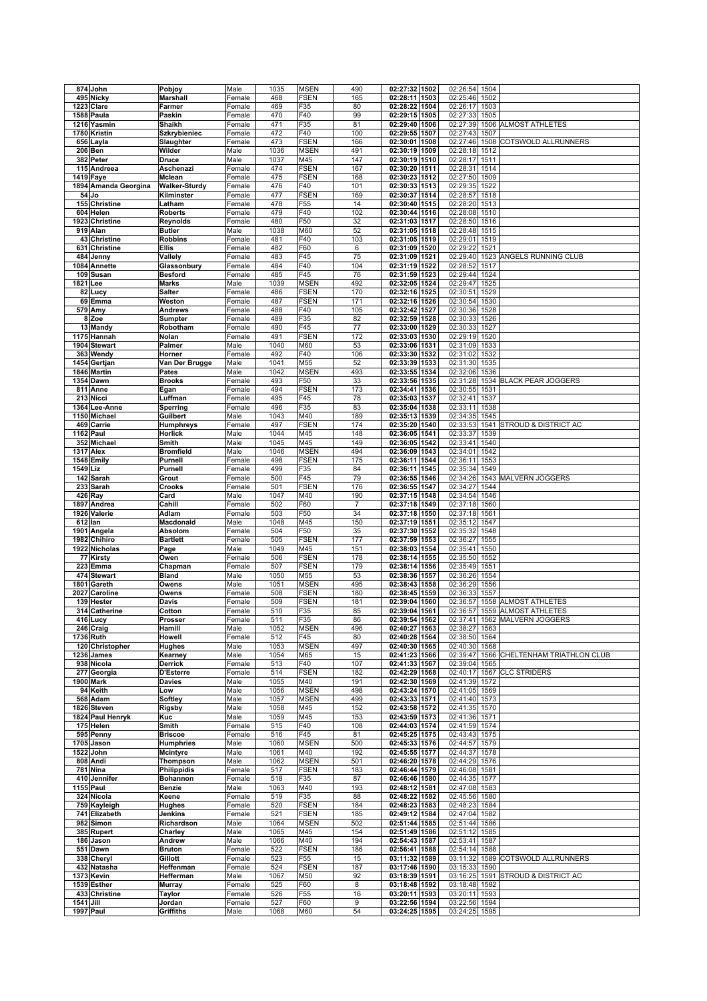|           | 874 John                      | Pobjoy                | Male             | 1035         | <b>MSEN</b>                | 490            | 02:27:32 1502                     | 02:26:54                       | 1504         |                                         |
|-----------|-------------------------------|-----------------------|------------------|--------------|----------------------------|----------------|-----------------------------------|--------------------------------|--------------|-----------------------------------------|
|           | 495 Nicky                     | Marshall              | Female           | 468          | <b>FSEN</b>                | 165            | 02:28:11 1503                     | 02:25:46                       | 1502         |                                         |
|           | 1223 Clare                    | Farmer                | Female           | 469          | F35                        | 80             | 02:28:22 1504                     | 02:26:17                       | 1503         |                                         |
|           | 1588 Paula                    | Paskin                | Female           | 470          | F40                        | 99             | 02:29:15 1505                     | 02:27:33                       | 1505         |                                         |
|           | 1216 Yasmin                   | <b>Shaikh</b>         | Female           | 471          | F35                        | 81             | 02:29:40 1506                     | 02:27:39                       |              | 1506 ALMOST ATHLETES                    |
|           | 1780 Kristin                  | Szkrybieniec          | Female           | 472          | F40                        | 100            | 02:29:55 1507                     | 02:27:43                       | 1507         |                                         |
|           | 656 Layla                     | Slaughter             | Female           | 473          | <b>FSEN</b>                | 166            | 02:30:01<br>1508                  | 02:27:46                       | 1508         | COTSWOLD ALLRUNNERS                     |
|           | 206 Ben                       | Wilder                | Male             | 1036         | <b>MSEN</b>                | 491            | 02:30:19 1509                     | 02:28:18                       | 1512         |                                         |
|           | 382 Peter                     | Druce                 | Male             | 1037         | M45                        | 147            | 02:30:19 1510                     | 02:28:17                       | 1511         |                                         |
|           | 115 Andreea                   | Aschenazi             | Female           | 474          | <b>FSEN</b>                | 167            | 02:30:20 1511                     | 02:28:31                       | 1514         |                                         |
|           | 1419 Faye                     | Mclean                | Female           | 475          | <b>FSEN</b>                | 168            | 02:30:23 1512                     | 02:27:50                       | 1509         |                                         |
|           | 1894 Amanda Georgina          | <b>Walker-Sturdy</b>  | Female           | 476          | F40                        | 101            | 02:30:33 1513                     | 02:29:35                       | 1522         |                                         |
|           | 54 Jo                         | Kilminster            | Female           | 477          | <b>FSEN</b>                | 169            | 02:30:37 1514                     | 02:28:57 1518                  |              |                                         |
|           | 155 Christine                 | Latham                | Female           | 478          | F <sub>55</sub>            | 14             | 02:30:40 1515                     | 02:28:20                       | 1513         |                                         |
|           | 604 Helen                     | <b>Roberts</b>        | Female           | 479          | F40                        | 102            | $02:30:44$ 1516                   | 02:28:08 1510                  |              |                                         |
|           | 1923 Christine                | Reynolds              | Female           | 480          | F50                        | 32             | 02:31:03 1517                     | 02:28:50                       | 1516         |                                         |
|           | 919 Alan                      | <b>Butler</b>         | Male             | 1038         | M60                        | 52             | 02:31:05 1518                     | 02:28:48                       | 1515         |                                         |
|           | 43 Christine                  | <b>Robbins</b>        | Female           | 481          | F40                        | 103            | 02:31:05 1519                     | 02:29:01                       | 1519         |                                         |
|           | 631 Christine                 | <b>Ellis</b>          | Female           | 482          | F60                        | $\,6\,$        | 02:31:09 1520                     | 02:29:22                       | 1521         |                                         |
|           | 484 Jenny                     | Vallely               | Female           | 483          | F45                        | 75             | 02:31:09 1521                     | 02:29:40                       | 1523         | ANGELS RUNNING CLUB                     |
|           | 1084 Annette                  | Glassonbury           | Female           | 484          | F40                        | 104            | 02:31:19 1522                     | 02:28:52                       | 1517         |                                         |
|           | 109 Susan                     | <b>Besford</b>        | Female           | 485          | F45                        | 76             | 02:31:59<br>1523                  | 02:29:44                       | 1524         |                                         |
| 1821 Lee  |                               | <b>Marks</b>          | Male             | 1039         | <b>MSEN</b>                | 492            | 02:32:05 1524                     | 02:29:47                       | 1525         |                                         |
|           | 82 Lucy                       | <b>Salter</b>         | Female           | 486          | <b>FSEN</b>                | 170            | 02:32:16 1525                     | 02:30:51                       | 1529         |                                         |
|           | 69 Emma                       | Weston                | Female           | 487          | <b>FSEN</b>                | 171            | 02:32:16 1526                     | 02:30:54                       | 1530         |                                         |
|           | 579 Amy                       | Andrews               | Female           | 488          | F40                        | 105            | 02:32:42 1527                     | 02:30:36                       | 1528         |                                         |
|           | 8 Zoe                         | Sumpter               | Female           | 489          | F35                        | 82             | 02:32:59 1528                     | 02:30:33                       | 1526         |                                         |
|           | 13 Mandy                      | Robotham              | Female           | 490          | F45                        | 77             | 02:33:00 1529                     | 02:30:33                       | 1527         |                                         |
|           | 1175 Hannah                   | Nolan                 | Female           | 491          | <b>FSEN</b>                | 172            | 02:33:03 1530                     | 02:29:19                       | 1520         |                                         |
|           | 1904 Stewart                  | Palmer                | Male             | 1040         | M60                        | 53             | 02:33:06 1531                     | 02:31:09                       | 1533         |                                         |
|           | 363 Wendy                     | Horner                | Female           | 492          | F40                        | 106            | 02:33:30 1532                     | 02:31:02                       | 1532         |                                         |
|           | 1454 Gertjan                  | Van Der Brugge        | Male             | 1041         | M55                        | 52             | 02:33:39 1533                     | 02:31:30                       | 1535         |                                         |
|           | 1846 Martin                   | Pates                 | Male             | 1042         | <b>MSEN</b>                | 493            | 02:33:55 1534                     | 02:32:06                       | 1536         |                                         |
|           | <b>1354 Dawn</b>              | <b>Brooks</b>         | Female           | 493          | F50                        | 33             | 02:33:56 1535                     | 02:31:28                       | 1534         | <b>BLACK PEAR JOGGERS</b>               |
|           | 811 Anne                      | Egan                  | Female           | 494          | <b>FSEN</b>                | 173            | 02:34:41<br>1536                  | 02:30:55                       | 1531         |                                         |
|           | 213 Nicci                     | Luffman               | Female           | 495          | F45                        | 78             | 02:35:03 1537                     | 02:32:41                       | 1537         |                                         |
|           | 1364 Lee-Anne                 | Sperring              | Female           | 496          | F35                        | 83             | 02:35:04 1538                     | 02:33:11                       | 1538         |                                         |
|           | 1150 Michael                  | Guilbert              | Male             | 1043         | M40                        | 189            | 02:35:13 1539                     | 02:34:35                       | 1545         |                                         |
|           | 469 Carrie                    | <b>Humphreys</b>      | Female           | 497          | <b>FSEN</b>                | 174            | 02:35:20 1540                     | 02:33:53                       | 1541         | <b>STROUD &amp; DISTRICT AC</b>         |
|           | 1162 Paul                     | Horlick               | Male             | 1044         | M45                        | 148            | 02:36:05 1541                     | 02:33:37                       | 1539         |                                         |
|           | 352 Michael                   | Smith                 | Male             | 1045         | M45                        | 149            | 02:36:05 1542                     | 02:33:41 1540                  |              |                                         |
|           | 1317 Alex<br>1548 Emily       | <b>Bromfield</b>      | Male             | 1046<br>498  | <b>MSEN</b><br><b>FSEN</b> | 494<br>175     | 02:36:09 1543<br>02:36:11<br>1544 | 02:34:01<br>02:36:11           | 1542<br>1553 |                                         |
| 1549 Liz  |                               | Purnell<br>Purnell    | Female<br>Female | 499          | F35                        | 84             | 02:36:11<br>1545                  | 02:35:34                       | 1549         |                                         |
|           | 142 Sarah                     | Grout                 | Female           | 500          | F45                        | 79             | 02:36:55 1546                     | 02:34:26                       | 1543         | <b>MALVERN JOGGERS</b>                  |
|           | 233 Sarah                     | Crooks                | Female           | 501          | <b>FSEN</b>                | 176            | 02:36:55 1547                     | 02:34:27                       | 1544         |                                         |
|           | 426 Ray                       | Card                  | Male             | 1047         | M40                        | 190            | 02:37:15 1548                     | 02:34:54                       | 1546         |                                         |
|           | 1897 Andrea                   | Cahill                | Female           | 502          | F60                        | $\overline{7}$ | 02:37:18 1549                     | 02:37:18                       | 1560         |                                         |
|           | 1926 Valerie                  | Adlam                 | Female           | 503          | F50                        | 34             | 02:37:18 1550                     | 02:37:18                       | 1561         |                                         |
|           | 612 lan                       | Macdonald             | Male             | 1048         | M45                        | 150            | 02:37:19 1551                     | 02:35:12                       | 1547         |                                         |
|           | 1901 Angela                   | Absolom               | Female           | 504          | F50                        | 35             | 02:37:30 1552                     | 02:35:32                       | 1548         |                                         |
|           | 1982 Chihiro                  | <b>Bartlett</b>       | Female           | 505          | <b>FSEN</b>                | 177            | 02:37:59 1553                     | 02:36:27                       | 1555         |                                         |
|           | 1922 Nicholas                 | Page                  | Male             | 1049         | M45                        | 151            | 02:38:03 1554                     | 02:35:41                       | 1550         |                                         |
|           |                               |                       | Female           | 506          | <b>FSEN</b>                | 178            | 02:38:14 1555                     | 02:35:50                       | 1552         |                                         |
|           | 77 Kirsty                     | Owen                  |                  |              |                            |                |                                   |                                |              |                                         |
|           | 223 Emma                      | Chapman               | Female           | 507          | <b>FSEN</b>                | 179            | 02:38:14 1556                     | 02:35:49                       | 1551         |                                         |
|           | 474 Stewart                   | <b>Bland</b>          | Male             | 1050         | M55                        | 53             | 02:38:36 1557                     | 02:36:26                       | 1554         |                                         |
|           | 1801 Gareth                   | Owens                 | Male             | 1051         | <b>MSEN</b>                | 495            | 02:38:43 1558                     | 02:36:29                       | 1556         |                                         |
| 2027      | Caroline                      | Owens                 | Female           | 508          | <b>FSEN</b>                | 180            | 02:38:45 1559                     | 02:36:33                       | 1557         |                                         |
|           | 139 Hester                    | Davis                 | Female           | 509          | <b>FSEN</b>                | 181            | 02:39:04 1560                     | 02:36:57                       |              | 1558 ALMOST ATHLETES                    |
|           | 314 Catherine                 | Cotton                | Female           | 510          | F35                        | 85             | 02:39:04 1561                     | 02:36:57                       |              | 1559 ALMOST ATHLETES                    |
|           | 416 Lucy                      | Prosser               | Female           | 511          | F35                        | 86             | 02:39:54 1562                     |                                |              | 02:37:41 1562 MALVERN JOGGERS           |
|           | 246 Craig                     | Hamill                | Male             | 1052         | <b>MSEN</b>                | 496            | 02:40:27 1563                     | 02:38:27                       | 1563         |                                         |
|           | 1736 Ruth                     | Howell                | Female           | 512          | F45                        | 80             | 02:40:28 1564                     | 02:38:50 1564                  |              |                                         |
|           | 120 Christopher<br>1236 James | Hughes                | Male             | 1053<br>1054 | <b>MSEN</b><br>M65         | 497            | 02:40:30 1565                     | 02:40:30 1568                  |              | 02:39:47 1566 CHELTENHAM TRIATHLON CLUB |
|           | 938 Nicola                    | Kearney<br>Derrick    | Male<br>Female   | 513          | F40                        | 15<br>107      | 02:41:23 1566<br>02:41:33 1567    | 02:39:04 1565                  |              |                                         |
|           | 277 Georgia                   | <b>D'Esterre</b>      | Female           | 514          | <b>FSEN</b>                | 182            | 02:42:29 1568                     |                                |              | 02:40:17 1567 CLC STRIDERS              |
|           | 1900 Mark                     | Davies                | Male             | 1055         | M40                        | 191            | 02:42:30 1569                     | 02:41:39                       | 1572         |                                         |
|           | 94 Keith                      | Low                   | Male             | 1056         | <b>MSEN</b>                | 498            | 02:43:24 1570                     | 02:41:05 1569                  |              |                                         |
|           | 568 Adam                      | Softley               | Male             | 1057         | <b>MSEN</b>                | 499            | 02:43:33 1571                     | 02:41:40 1573                  |              |                                         |
|           | 1826 Steven                   | Rigsby                | Male             | 1058         | M45                        | 152            | 02:43:58 1572                     | 02:41:35 1570                  |              |                                         |
|           | 1824 Paul Henryk              | Kuc                   | Male             | 1059         | M45                        | 153            | 02:43:59 1573                     | 02:41:36 1571                  |              |                                         |
|           | 175 Helen                     | Smith                 | Female           | 515          | F40                        | 108            | 02:44:03 1574                     | 02:41:59 1574                  |              |                                         |
|           | 595 Penny                     | <b>Briscoe</b>        | Female           | 516          | F45                        | 81             | 02:45:25 1575                     | 02:43:43 1575                  |              |                                         |
|           | 1705 Jason                    | <b>Humphries</b>      | Male             | 1060         | <b>MSEN</b>                | 500            | 02:45:33 1576                     | 02:44:57 1579                  |              |                                         |
|           | 1522 John                     | <b>Mcintyre</b>       | Male             | 1061         | M40                        | 192            | 02:45:55 1577                     | 02:44:37 1578                  |              |                                         |
|           | 808 Andi                      | Thompson              | Male             | 1062         | <b>MSEN</b>                | 501            | 02:46:20 1578                     | 02:44:29 1576                  |              |                                         |
|           | 781 Nina                      | Philippidis           | Female           | 517          | <b>FSEN</b>                | 183            | 02:46:44 1579                     | 02:46:08 1581                  |              |                                         |
|           | 410 Jennifer                  | Bohannon              | Female           | 518          | F35                        | 87             | 02:46:46 1580                     | 02:44:35 1577                  |              |                                         |
|           | 1155 Paul                     | Benzie                | Male             | 1063         | M40                        | 193            | 02:48:12 1581                     | 02:47:08 1583                  |              |                                         |
|           | 324 Nicola                    | Keene                 | Female           | 519          | F35                        | 88             | 02:48:22 1582                     | 02:45:56 1580                  |              |                                         |
|           | 759 Kayleigh                  | Hughes                | Female           | 520          | <b>FSEN</b>                | 184            | 02:48:23 1583                     | 02:48:23 1584                  |              |                                         |
|           | 741 Elizabeth                 | Jenkins               | Female           | 521          | <b>FSEN</b>                | 185            | 02:49:12 1584                     | 02:47:04 1582                  |              |                                         |
|           | 982 Simon<br>385 Rupert       | Richardson<br>Charley | Male<br>Male     | 1064<br>1065 | <b>MSEN</b><br>M45         | 502<br>154     | 02:51:44 1585<br>02:51:49 1586    | 02:51:44 1586<br>02:51:12 1585 |              |                                         |
|           | 186 Jason                     | Andrew                | Male             | 1066         | M40                        | 194            | 02:54:43 1587                     | 02:53:41 1587                  |              |                                         |
|           | 551 Dawn                      | <b>Bruton</b>         | Female           | 522          | <b>FSEN</b>                | 186            | 02:56:41 1588                     | 02:54:14                       | 1588         |                                         |
|           | 338 Cheryl                    | Gillott               | Female           | 523          | F55                        | 15             | 03:11:32 1589                     |                                |              | 03:11:32 1589 COTSWOLD ALLRUNNERS       |
|           | 432 Natasha                   | Heffenman             | Female           | 524          | <b>FSEN</b>                | 187            | 03:17:46 1590                     | 03:15:33                       | 1590         |                                         |
|           | 1373 Kevin                    | Hefferman             | Male             | 1067         | M50                        | 92             | 03:18:39 1591                     | 03:16:25 1591                  |              | STROUD & DISTRICT AC                    |
|           | 1539 Esther                   | <b>Murray</b>         | Female           | 525          | F60                        | 8              | 03:18:48 1592                     | 03:18:48 1592                  |              |                                         |
|           | 433 Christine                 | Taylor                | Female           | 526          | F55                        | 16             | 03:20:11 1593                     | 03:20:11 1593                  |              |                                         |
| 1541 Jill | 1997 Paul                     | Jordan<br>Griffiths   | Female<br>Male   | 527<br>1068  | F60<br>M60                 | 9<br>54        | 03:22:56 1594<br>03:24:25 1595    | 03:22:56 1594<br>03:24:25 1595 |              |                                         |